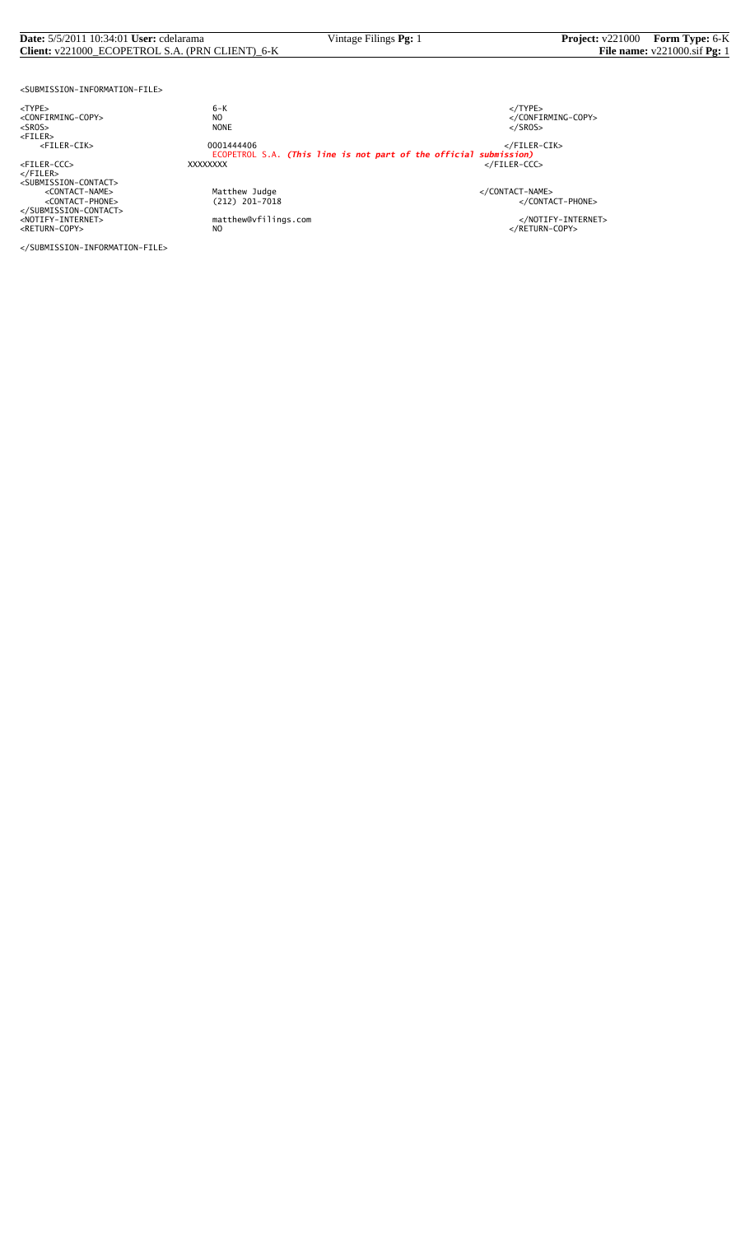#### **Date:** 5/5/2011 10:34:01 **User:** cdelarama **Vintage Filings <b>Pg:** 1 **Project:** v221000 **Form Type:** 6-K **Client:** v221000\_ECOPETROL S.A. (PRN CLIENT)\_6-K **File name:** v221000.sif **Pg:** 1 **Client:** v221000\_ECOPETROL S.A. (PRN CLIENT)\_6-K

<SUBMISSION-INFORMATION-FILE>

<TYPE> 6-K </TYPE>

</FILER><br><SUBMISSION-CONTACT><br><CONTACT-NAME> </CONTACT-NAME></CONTACT-NAME> </SUBMISSION-CONTACT>

<CONFIRMING-COPY> NO </CONFIRMING-COPY> <SROS> NONE </SROS> <FILER> <FILER-CIK> 0001444406 </FILER-CIK> ECOPETROL S.A. *(This line is not part of the official submission)* <FILER-CCC> XXXXXXXX </FILER-CCC>

Matthew Judge<br>
(212) 201-7018 </CONTACT-PHONE><br>
</CONTACT-PHONE>

<NOTIFY-INTERNET> matthew@vfilings.com </NOTIFY-INTERNET><br><RETURN-COPY> NO

</SUBMISSION-INFORMATION-FILE>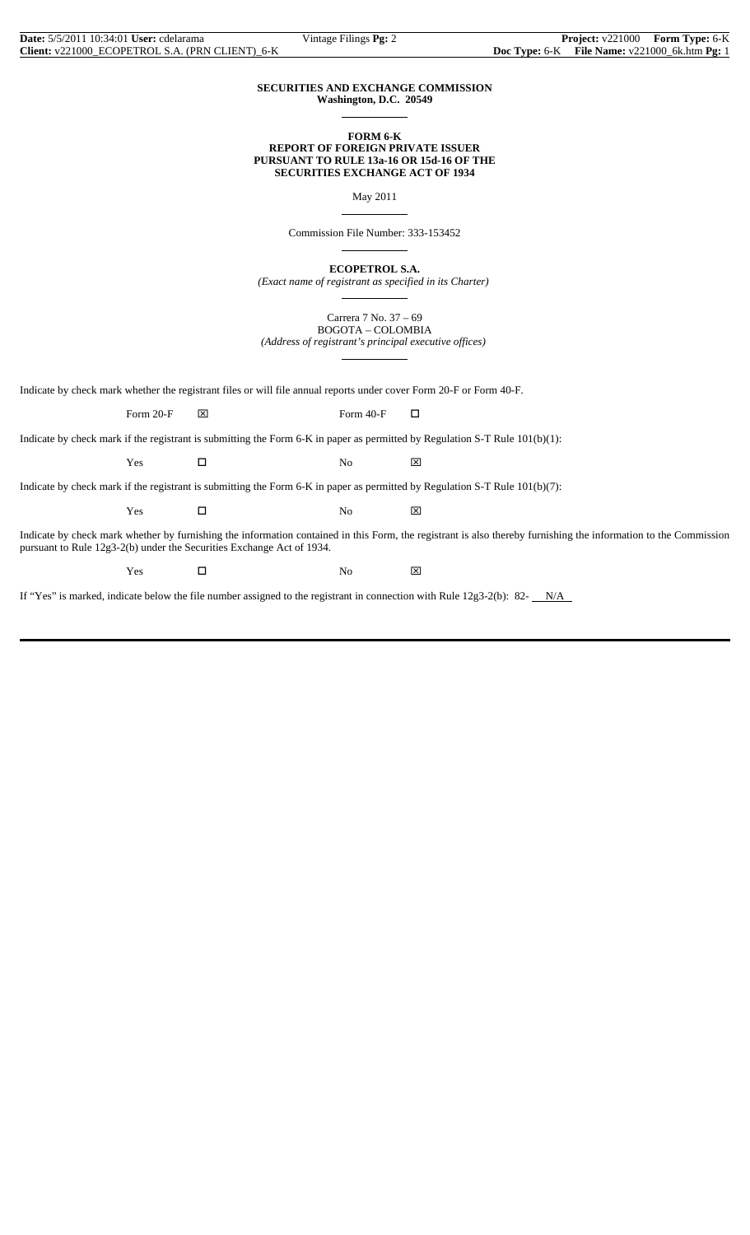#### **SECURITIES AND EXCHANGE COMMISSION Washington, D.C. 20549**

 $\overline{a}$ 

 $\overline{a}$ 

 $\overline{a}$ 

 $\overline{a}$ 

 $\overline{a}$ 

#### **FORM 6-K REPORT OF FOREIGN PRIVATE ISSUER PURSUANT TO RULE 13a-16 OR 15d-16 OF THE**

**SECURITIES EXCHANGE ACT OF 1934**

May 2011

Commission File Number: 333-153452

**ECOPETROL S.A.**

*(Exact name of registrant as specified in its Charter)*

Carrera 7 No. 37 – 69 BOGOTA – COLOMBIA *(Address of registrant's principal executive offices)*

Indicate by check mark whether the registrant files or will file annual reports under cover Form 20-F or Form 40-F.

Form 20-F  $\boxtimes$  Form 40-F  $\Box$ 

Indicate by check mark if the registrant is submitting the Form 6-K in paper as permitted by Regulation S-T Rule 101(b)(1):

Yes □ No ⊠

Indicate by check mark if the registrant is submitting the Form 6-K in paper as permitted by Regulation S-T Rule 101(b)(7):

 $Yes$   $\Box$  No  $\boxtimes$ 

Indicate by check mark whether by furnishing the information contained in this Form, the registrant is also thereby furnishing the information to the Commission pursuant to Rule 12g3-2(b) under the Securities Exchange Act of 1934.

 $Yes$   $\square$  No  $\boxtimes$ 

If "Yes" is marked, indicate below the file number assigned to the registrant in connection with Rule  $12g3-2(b)$ : 82- $N/A$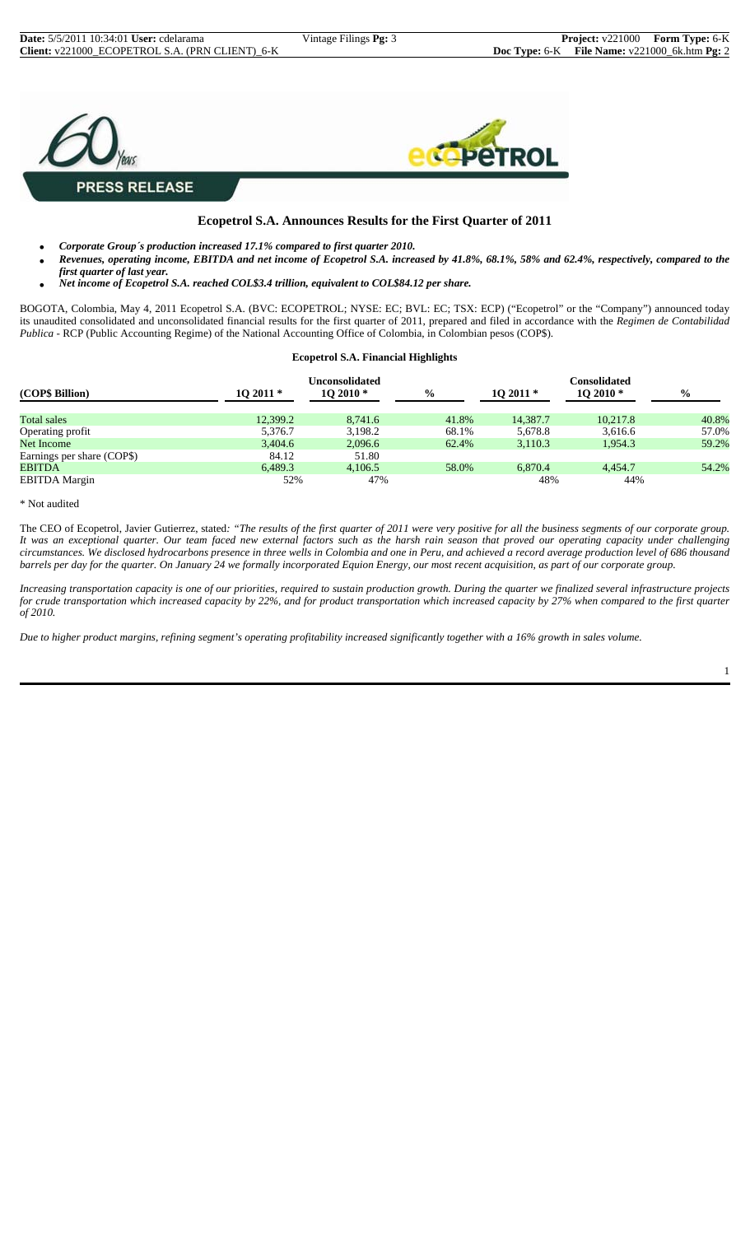

#### **Ecopetrol S.A. Announces Results for the First Quarter of 2011**

- *Corporate Group´s production increased 17.1% compared to first quarter 2010.*
- *Revenues, operating income, EBITDA and net income of Ecopetrol S.A. increased by 41.8%, 68.1%, 58% and 62.4%, respectively, compared to the first quarter of last year.*
- *Net income of Ecopetrol S.A. reached COL\$3.4 trillion, equivalent to COL\$84.12 per share.*

BOGOTA, Colombia, May 4, 2011 Ecopetrol S.A. (BVC: ECOPETROL; NYSE: EC; BVL: EC; TSX: ECP) ("Ecopetrol" or the "Company") announced today its unaudited consolidated and unconsolidated financial results for the first quarter of 2011, prepared and filed in accordance with the *Regimen de Contabilidad Publica* - RCP (Public Accounting Regime) of the National Accounting Office of Colombia, in Colombian pesos (COP\$).

#### **Ecopetrol S.A. Financial Highlights**

| (COP\$ Billion)            | $102011*$ | Unconsolidated<br>$102010*$ | $\frac{0}{0}$ | $102011*$ | Consolidated<br>$102010*$ | $\frac{6}{9}$ |
|----------------------------|-----------|-----------------------------|---------------|-----------|---------------------------|---------------|
| <b>Total sales</b>         | 12,399.2  | 8.741.6                     | 41.8%         | 14.387.7  | 10.217.8                  | 40.8%         |
| Operating profit           | 5,376.7   | 3,198.2                     | 68.1%         | 5,678.8   | 3.616.6                   | 57.0%         |
| Net Income                 | 3,404.6   | 2,096.6                     | 62.4%         | 3,110.3   | 1.954.3                   | 59.2%         |
| Earnings per share (COP\$) | 84.12     | 51.80                       |               |           |                           |               |
| <b>EBITDA</b>              | 6.489.3   | 4,106.5                     | 58.0%         | 6,870.4   | 4.454.7                   | 54.2%         |
| <b>EBITDA</b> Margin       | 52%       | 47%                         |               | 48%       | 44%                       |               |

\* Not audited

The CEO of Ecopetrol, Javier Gutierrez, stated*: "The results of the first quarter of 2011 were very positive for all the business segments of our corporate group. It was an exceptional quarter. Our team faced new external factors such as the harsh rain season that proved our operating capacity under challenging circumstances. We disclosed hydrocarbons presence in three wells in Colombia and one in Peru, and achieved a record average production level of 686 thousand barrels per day for the quarter. On January 24 we formally incorporated Equion Energy, our most recent acquisition, as part of our corporate group.*

*Increasing transportation capacity is one of our priorities, required to sustain production growth. During the quarter we finalized several infrastructure projects for crude transportation which increased capacity by 22%, and for product transportation which increased capacity by 27% when compared to the first quarter of 2010.*

*Due to higher product margins, refining segment's operating profitability increased significantly together with a 16% growth in sales volume.*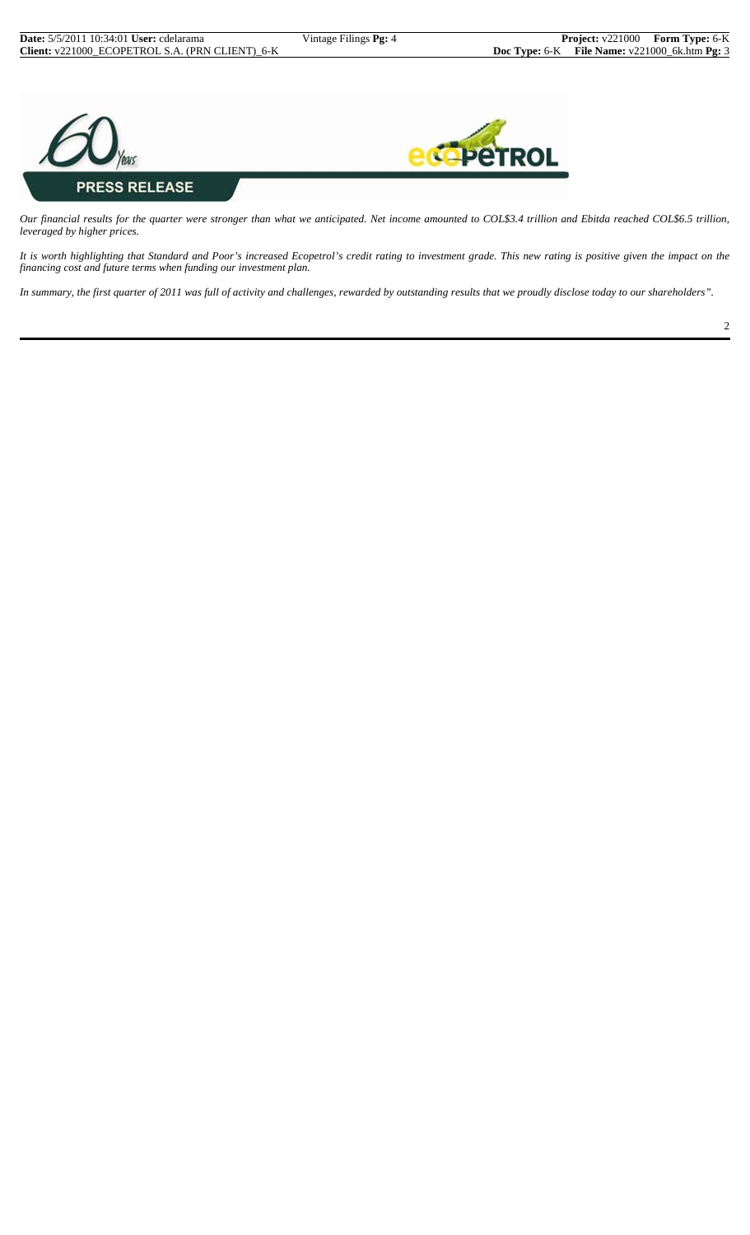

*Our financial results for the quarter were stronger than what we anticipated. Net income amounted to COL\$3.4 trillion and Ebitda reached COL\$6.5 trillion, leveraged by higher prices.*

*It is worth highlighting that Standard and Poor's increased Ecopetrol's credit rating to investment grade. This new rating is positive given the impact on the financing cost and future terms when funding our investment plan.*

*In summary, the first quarter of 2011 was full of activity and challenges, rewarded by outstanding results that we proudly disclose today to our shareholders".*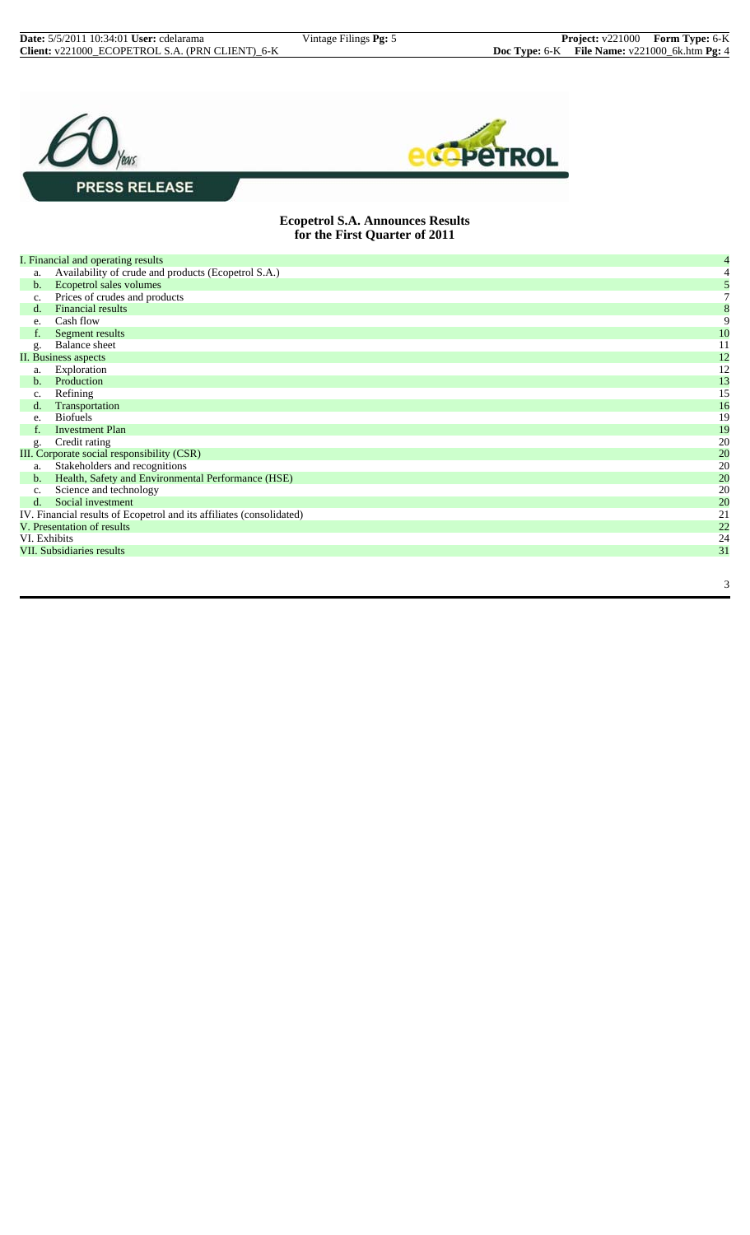3





#### **Ecopetrol S.A. Announces Results for the First Quarter of 2011**

|              | I. Financial and operating results                                   | 4                |
|--------------|----------------------------------------------------------------------|------------------|
| a.           | Availability of crude and products (Ecopetrol S.A.)                  |                  |
| b.           | Ecopetrol sales volumes                                              | 5                |
| c.           | Prices of crudes and products                                        | $\tau$           |
| d.           | <b>Financial results</b>                                             | $\boldsymbol{8}$ |
| e.           | Cash flow                                                            | 9                |
| f.           | Segment results                                                      | 10               |
| g.           | Balance sheet                                                        | 11               |
|              | II. Business aspects                                                 | 12               |
| a.           | Exploration                                                          | 12               |
| b.           | Production                                                           | 13               |
| c.           | Refining                                                             | 15               |
| d.           | Transportation                                                       | 16               |
| e.           | <b>Biofuels</b>                                                      | 19               |
| f.           | <b>Investment Plan</b>                                               | 19               |
| g.           | Credit rating                                                        | 20               |
|              | III. Corporate social responsibility (CSR)                           | 20               |
| a.           | Stakeholders and recognitions                                        | 20               |
| b.           | Health, Safety and Environmental Performance (HSE)                   | 20               |
| c.           | Science and technology                                               | 20               |
| d.           | Social investment                                                    | 20               |
|              | IV. Financial results of Ecopetrol and its affiliates (consolidated) | 21               |
|              | V. Presentation of results                                           | 22               |
| VI. Exhibits |                                                                      | 24               |
|              | VII. Subsidiaries results                                            | 31               |
|              |                                                                      |                  |
|              |                                                                      |                  |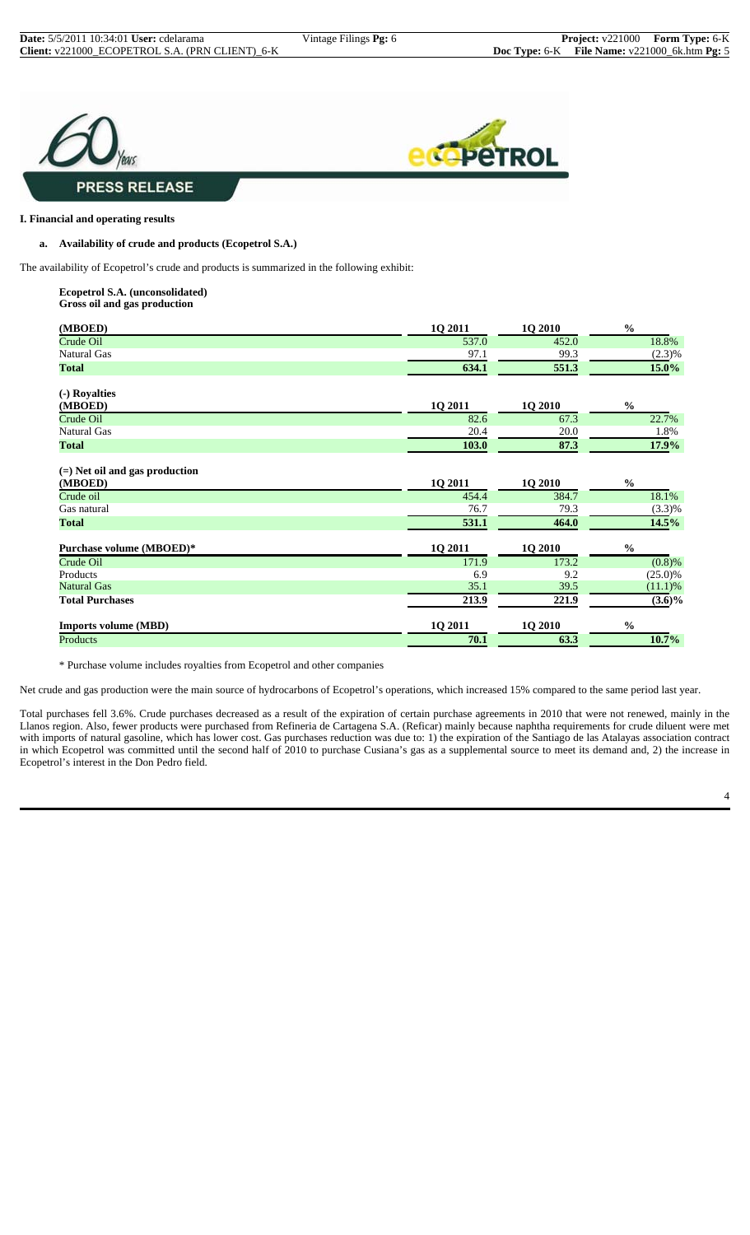

#### **I. Financial and operating results**

#### **a. Availability of crude and products (Ecopetrol S.A.)**

The availability of Ecopetrol's crude and products is summarized in the following exhibit:

#### **Ecopetrol S.A. (unconsolidated) Gross oil and gas production**

| (MBOED)                                     | 1Q 2011 | 1Q 2010 | $\frac{0}{0}$ |
|---------------------------------------------|---------|---------|---------------|
| Crude Oil                                   | 537.0   | 452.0   | 18.8%         |
| <b>Natural Gas</b>                          | 97.1    | 99.3    | $(2.3)\%$     |
| <b>Total</b>                                | 634.1   | 551.3   | 15.0%         |
| (-) Royalties                               |         |         |               |
| (MBOED)                                     | 1Q 2011 | 1Q 2010 | $\frac{0}{0}$ |
| Crude Oil                                   | 82.6    | 67.3    | 22.7%         |
| <b>Natural Gas</b>                          | 20.4    | 20.0    | 1.8%          |
| <b>Total</b>                                | 103.0   | 87.3    | 17.9%         |
| $(=)$ Net oil and gas production<br>(MBOED) | 1Q 2011 | 1Q 2010 | $\frac{0}{0}$ |
| Crude oil                                   | 454.4   | 384.7   | 18.1%         |
| Gas natural                                 | 76.7    | 79.3    | (3.3)%        |
| <b>Total</b>                                | 531.1   | 464.0   | 14.5%         |
| Purchase volume (MBOED)*                    | 1Q 2011 | 1Q 2010 | $\frac{0}{0}$ |
| Crude Oil                                   | 171.9   | 173.2   | (0.8)%        |
| Products                                    | 6.9     | 9.2     | $(25.0)\%$    |
| <b>Natural Gas</b>                          | 35.1    | 39.5    | $(11.1)$ %    |
| <b>Total Purchases</b>                      | 213.9   | 221.9   | $(3.6)\%$     |
| <b>Imports volume (MBD)</b>                 | 1Q 2011 | 1Q 2010 | $\frac{0}{0}$ |
| Products                                    | 70.1    | 63.3    | 10.7%         |

\* Purchase volume includes royalties from Ecopetrol and other companies

Net crude and gas production were the main source of hydrocarbons of Ecopetrol's operations, which increased 15% compared to the same period last year.

Total purchases fell 3.6%. Crude purchases decreased as a result of the expiration of certain purchase agreements in 2010 that were not renewed, mainly in the Llanos region. Also, fewer products were purchased from Refineria de Cartagena S.A. (Reficar) mainly because naphtha requirements for crude diluent were met with imports of natural gasoline, which has lower cost. Gas purchases reduction was due to: 1) the expiration of the Santiago de las Atalayas association contract in which Ecopetrol was committed until the second half of 2010 to purchase Cusiana's gas as a supplemental source to meet its demand and, 2) the increase in Ecopetrol's interest in the Don Pedro field.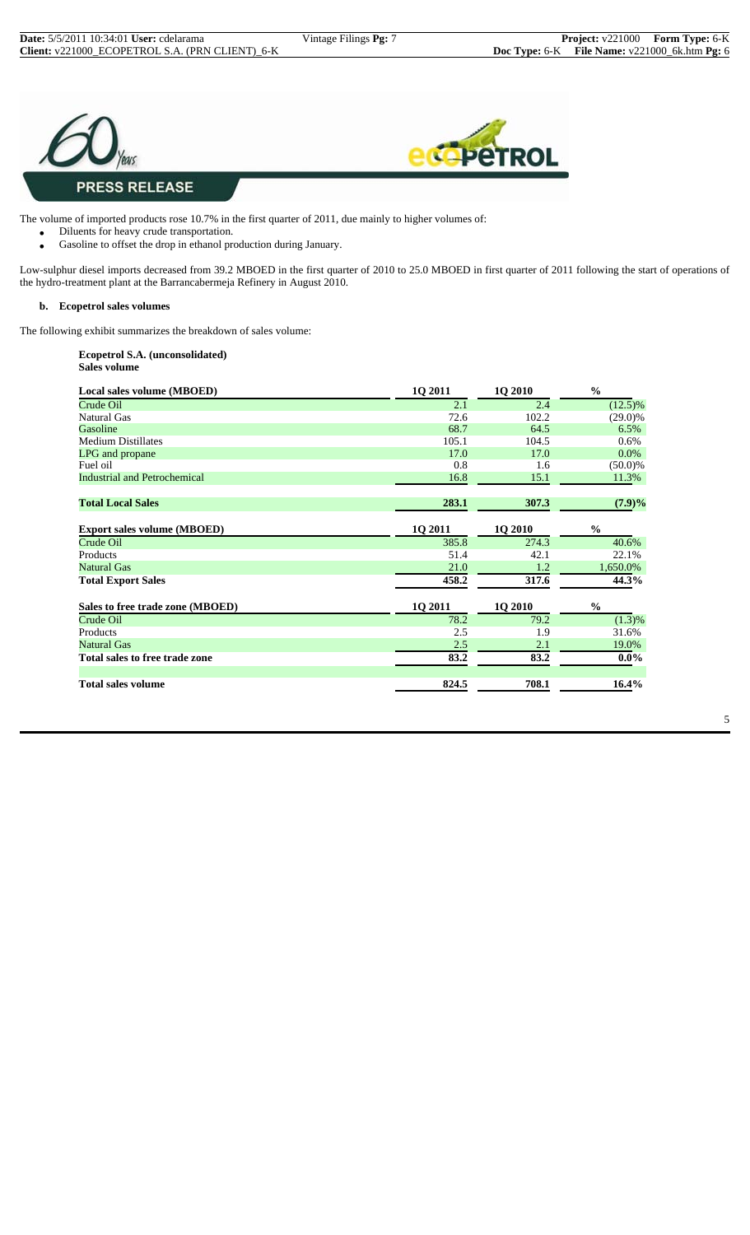



The volume of imported products rose 10.7% in the first quarter of 2011, due mainly to higher volumes of:

- Diluents for heavy crude transportation.
	- Gasoline to offset the drop in ethanol production during January.

Low-sulphur diesel imports decreased from 39.2 MBOED in the first quarter of 2010 to 25.0 MBOED in first quarter of 2011 following the start of operations of the hydro-treatment plant at the Barrancabermeja Refinery in August 2010.

#### **b. Ecopetrol sales volumes**

The following exhibit summarizes the breakdown of sales volume:

#### **Ecopetrol S.A. (unconsolidated) Sales volume**

| Local sales volume (MBOED)          | <b>1Q 2011</b> | <b>1Q 2010</b> | $\frac{0}{0}$ |
|-------------------------------------|----------------|----------------|---------------|
| Crude Oil                           | 2.1            | 2.4            | $(12.5)\%$    |
| <b>Natural Gas</b>                  | 72.6           | 102.2          | $(29.0)\%$    |
| Gasoline                            | 68.7           | 64.5           | 6.5%          |
| <b>Medium Distillates</b>           | 105.1          | 104.5          | $0.6\%$       |
| LPG and propane                     | 17.0           | 17.0           | $0.0\%$       |
| Fuel oil                            | 0.8            | 1.6            | $(50.0)\%$    |
| <b>Industrial and Petrochemical</b> | 16.8           | 15.1           | 11.3%         |
| <b>Total Local Sales</b>            | 283.1          | 307.3          | $(7.9)\%$     |
| <b>Export sales volume (MBOED)</b>  | <b>10 2011</b> | <b>1Q 2010</b> | $\frac{0}{0}$ |
| Crude Oil                           | 385.8          | 274.3          | 40.6%         |
| Products                            | 51.4           | 42.1           | 22.1%         |
| <b>Natural Gas</b>                  | 21.0           | 1.2            | 1,650.0%      |
| <b>Total Export Sales</b>           | 458.2          | 317.6          | 44.3%         |
| Sales to free trade zone (MBOED)    | 1Q 2011        | 1Q 2010        | $\frac{0}{0}$ |
| Crude Oil                           | 78.2           | 79.2           | (1.3)%        |
| Products                            | 2.5            | 1.9            | 31.6%         |
| <b>Natural Gas</b>                  | 2.5            | 2.1            | 19.0%         |
| Total sales to free trade zone      | 83.2           | 83.2           | $0.0\%$       |
| <b>Total sales volume</b>           | 824.5          | 708.1          | 16.4%         |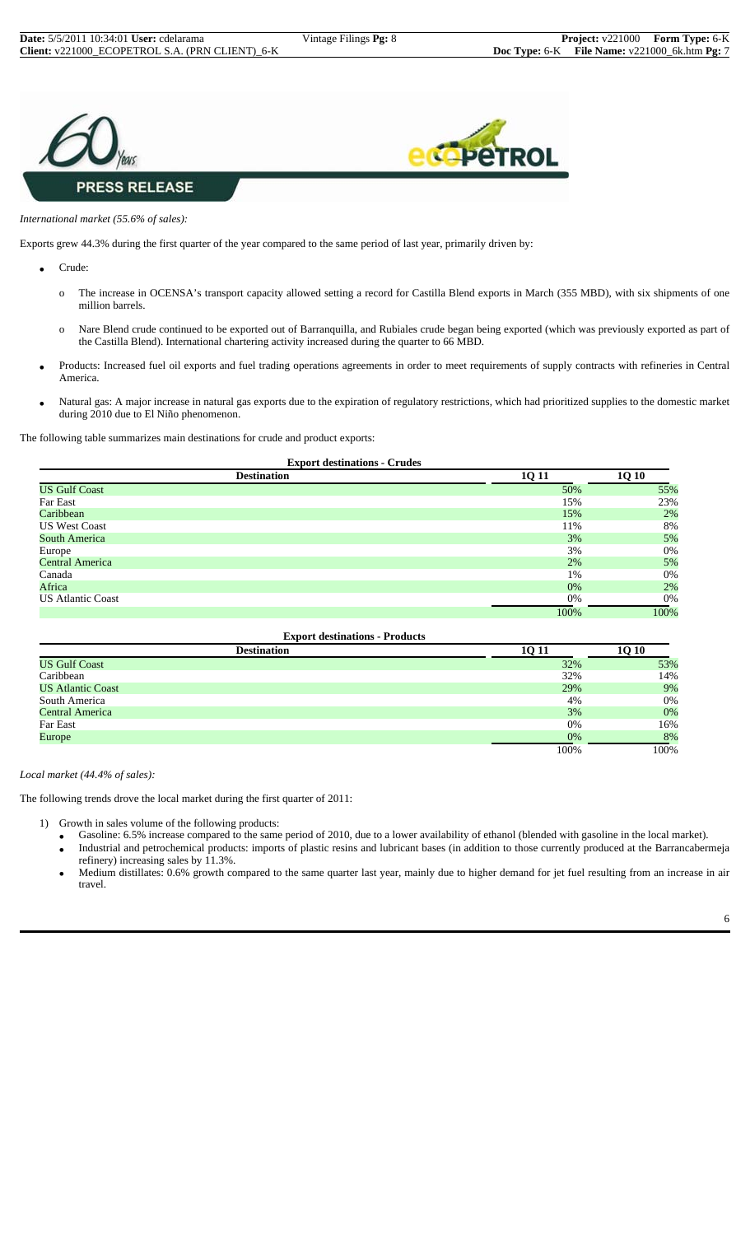



#### *International market (55.6% of sales):*

Exports grew 44.3% during the first quarter of the year compared to the same period of last year, primarily driven by:

- Crude:
	- o The increase in OCENSA's transport capacity allowed setting a record for Castilla Blend exports in March (355 MBD), with six shipments of one million barrels.
	- o Nare Blend crude continued to be exported out of Barranquilla, and Rubiales crude began being exported (which was previously exported as part of the Castilla Blend). International chartering activity increased during the quarter to 66 MBD.
- Products: Increased fuel oil exports and fuel trading operations agreements in order to meet requirements of supply contracts with refineries in Central America.
- Natural gas: A major increase in natural gas exports due to the expiration of regulatory restrictions, which had prioritized supplies to the domestic market during 2010 due to El Niño phenomenon.

The following table summarizes main destinations for crude and product exports:

|                    | <b>Export destinations - Crudes</b> |
|--------------------|-------------------------------------|
| <b>Destination</b> |                                     |

| <b>Destination</b>       | 1Q 11 | <b>1Q 10</b> |
|--------------------------|-------|--------------|
| <b>US Gulf Coast</b>     | 50%   | 55%          |
| Far East                 | 15%   | 23%          |
| Caribbean                | 15%   | 2%           |
| <b>US West Coast</b>     | 11%   | 8%           |
| South America            | 3%    | 5%           |
| Europe                   | 3%    | 0%           |
| <b>Central America</b>   | 2%    | 5%           |
| Canada                   | 1%    | 0%           |
| Africa                   | 0%    | 2%           |
| <b>US Atlantic Coast</b> | 0%    | 0%           |
|                          | 100%  | 100%         |

| <b>Export destinations - Products</b> |             |              |  |  |  |  |
|---------------------------------------|-------------|--------------|--|--|--|--|
| <b>Destination</b>                    | <b>1011</b> | <b>10 10</b> |  |  |  |  |
| <b>US Gulf Coast</b>                  | 32%         | 53%          |  |  |  |  |
| Caribbean                             | 32%         | 14%          |  |  |  |  |
| <b>US Atlantic Coast</b>              | 29%         | 9%           |  |  |  |  |
| South America                         | 4%          | 0%           |  |  |  |  |
| Central America                       | 3%          | 0%           |  |  |  |  |
| Far East                              | 0%          | 16%          |  |  |  |  |
| Europe                                | 0%          | 8%           |  |  |  |  |
|                                       | 100%        | 100%         |  |  |  |  |

*Local market (44.4% of sales):*

The following trends drove the local market during the first quarter of 2011:

- 1) Growth in sales volume of the following products:
	- Gasoline: 6.5% increase compared to the same period of 2010, due to a lower availability of ethanol (blended with gasoline in the local market).
	- Industrial and petrochemical products: imports of plastic resins and lubricant bases (in addition to those currently produced at the Barrancabermeja refinery) increasing sales by 11.3%.
	- Medium distillates: 0.6% growth compared to the same quarter last year, mainly due to higher demand for jet fuel resulting from an increase in air travel.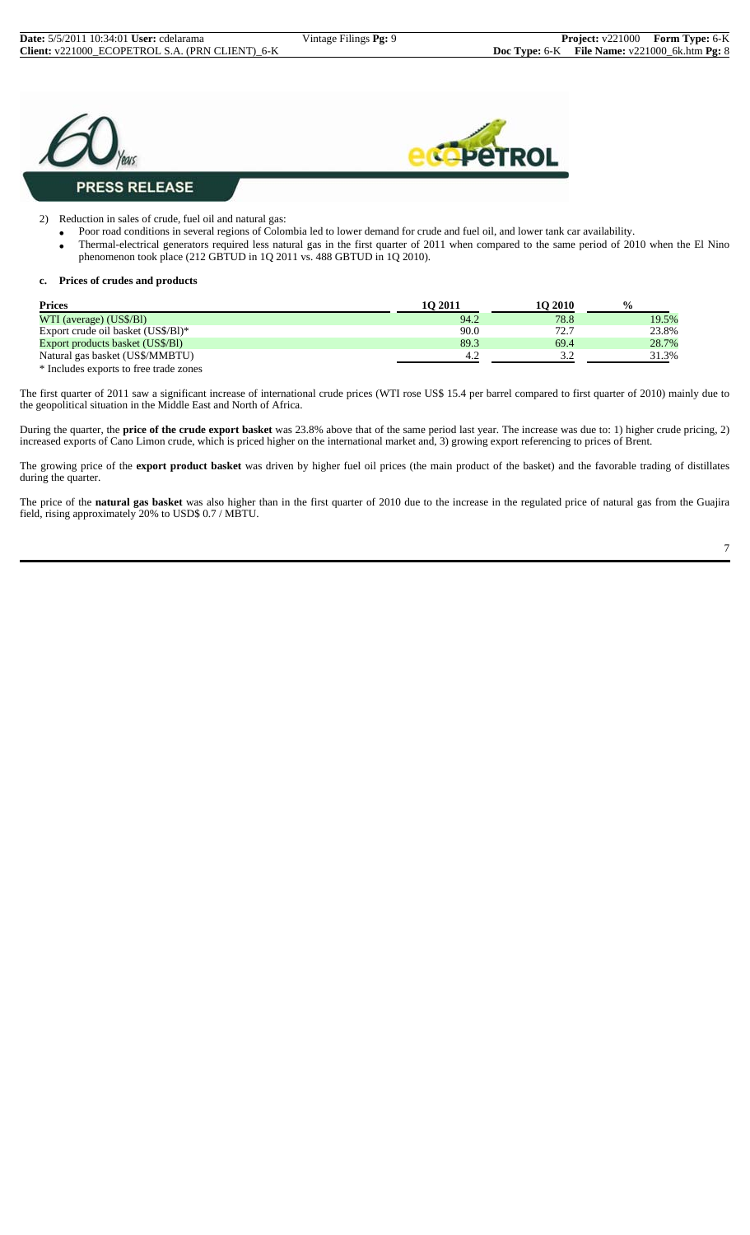



2) Reduction in sales of crude, fuel oil and natural gas:

- Poor road conditions in several regions of Colombia led to lower demand for crude and fuel oil, and lower tank car availability.
- Thermal-electrical generators required less natural gas in the first quarter of 2011 when compared to the same period of 2010 when the El Nino phenomenon took place (212 GBTUD in 1Q 2011 vs. 488 GBTUD in 1Q 2010).

#### **c. Prices of crudes and products**

| <b>Prices</b>                      | 10 2011 | 10 2010         | $\frac{0}{0}$ |
|------------------------------------|---------|-----------------|---------------|
| WTI (average) (US\$/Bl)            | 94.2    | 78.8            | 19.5%         |
| Export crude oil basket (US\$/B1)* | 90.0    | 72.7            | 23.8%         |
| Export products basket (US\$/BI)   | 89.3    | 69.4            | 28.7%         |
| Natural gas basket (US\$/MMBTU)    | 4.2     | $\Omega$<br>ے ۔ | 31.3%         |

\* Includes exports to free trade zones

The first quarter of 2011 saw a significant increase of international crude prices (WTI rose US\$ 15.4 per barrel compared to first quarter of 2010) mainly due to the geopolitical situation in the Middle East and North of Africa.

During the quarter, the **price of the crude export basket** was 23.8% above that of the same period last year. The increase was due to: 1) higher crude pricing, 2) increased exports of Cano Limon crude, which is priced higher on the international market and, 3) growing export referencing to prices of Brent.

The growing price of the **export product basket** was driven by higher fuel oil prices (the main product of the basket) and the favorable trading of distillates during the quarter.

The price of the **natural gas basket** was also higher than in the first quarter of 2010 due to the increase in the regulated price of natural gas from the Guajira field, rising approximately 20% to USD\$ 0.7 / MBTU.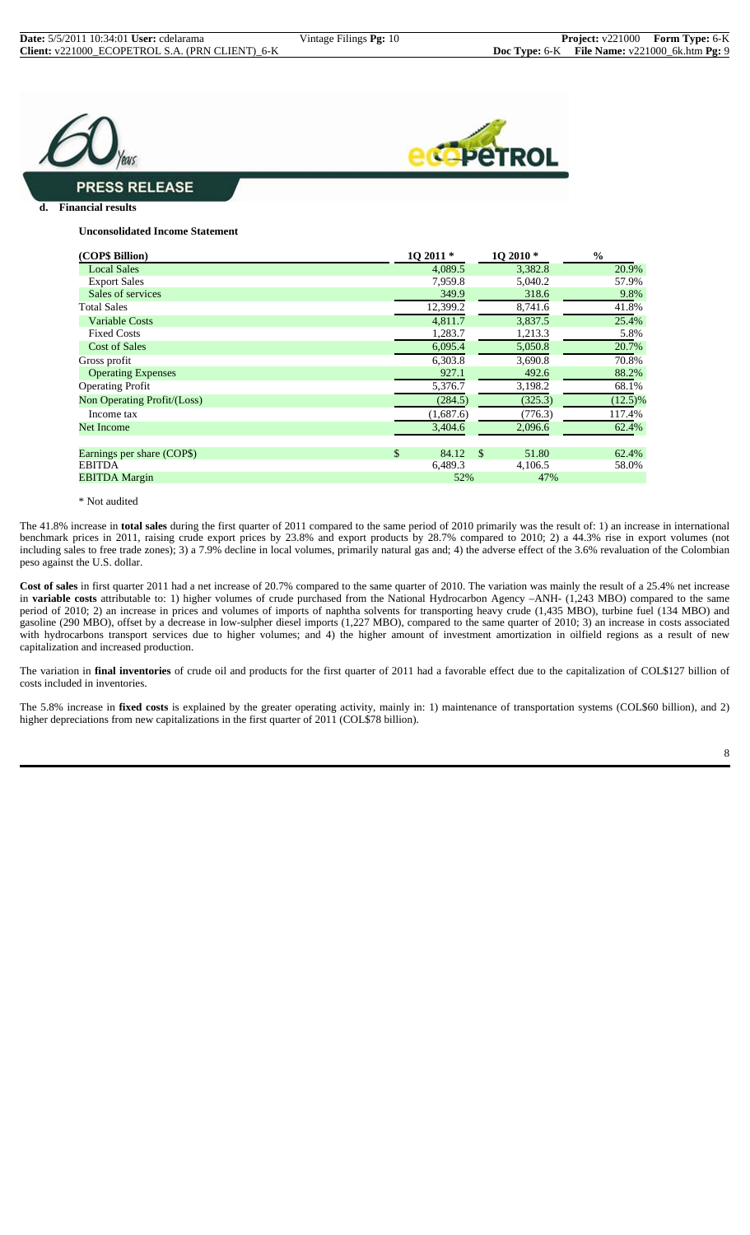



#### **PRESS RELEASE**

**d. Financial results**

#### **Unconsolidated Income Statement**

| (COP\$ Billion)             | 10 2011 *   |               | 1Q 2010 * | $\frac{0}{0}$ |
|-----------------------------|-------------|---------------|-----------|---------------|
| <b>Local Sales</b>          | 4,089.5     |               | 3,382.8   | 20.9%         |
| <b>Export Sales</b>         | 7,959.8     |               | 5,040.2   | 57.9%         |
| Sales of services           | 349.9       |               | 318.6     | 9.8%          |
| <b>Total Sales</b>          | 12,399.2    |               | 8,741.6   | 41.8%         |
| <b>Variable Costs</b>       | 4.811.7     |               | 3,837.5   | 25.4%         |
| <b>Fixed Costs</b>          | 1,283.7     |               | 1,213.3   | 5.8%          |
| <b>Cost of Sales</b>        | 6,095.4     |               | 5,050.8   | 20.7%         |
| Gross profit                | 6,303.8     |               | 3,690.8   | 70.8%         |
| <b>Operating Expenses</b>   | 927.1       |               | 492.6     | 88.2%         |
| <b>Operating Profit</b>     | 5,376.7     |               | 3,198.2   | 68.1%         |
| Non Operating Profit/(Loss) | (284.5)     |               | (325.3)   | $(12.5)\%$    |
| Income tax                  | (1,687.6)   |               | (776.3)   | 117.4%        |
| <b>Net Income</b>           | 3,404.6     |               | 2,096.6   | 62.4%         |
|                             |             |               |           |               |
| Earnings per share (COP\$)  | \$<br>84.12 | <sup>\$</sup> | 51.80     | 62.4%         |
| <b>EBITDA</b>               | 6,489.3     |               | 4,106.5   | 58.0%         |
| <b>EBITDA</b> Margin        | 52%         |               | 47%       |               |

\* Not audited

The 41.8% increase in **total sales** during the first quarter of 2011 compared to the same period of 2010 primarily was the result of: 1) an increase in international benchmark prices in 2011, raising crude export prices by 23.8% and export products by 28.7% compared to 2010; 2) a 44.3% rise in export volumes (not including sales to free trade zones); 3) a 7.9% decline in local volumes, primarily natural gas and; 4) the adverse effect of the 3.6% revaluation of the Colombian peso against the U.S. dollar.

**Cost of sales** in first quarter 2011 had a net increase of 20.7% compared to the same quarter of 2010. The variation was mainly the result of a 25.4% net increase in **variable costs** attributable to: 1) higher volumes of crude purchased from the National Hydrocarbon Agency –ANH- (1,243 MBO) compared to the same period of 2010; 2) an increase in prices and volumes of imports of naphtha solvents for transporting heavy crude (1,435 MBO), turbine fuel (134 MBO) and gasoline (290 MBO), offset by a decrease in low-sulpher diesel imports (1,227 MBO), compared to the same quarter of 2010; 3) an increase in costs associated with hydrocarbons transport services due to higher volumes; and 4) the higher amount of investment amortization in oilfield regions as a result of new capitalization and increased production.

The variation in **final inventories** of crude oil and products for the first quarter of 2011 had a favorable effect due to the capitalization of COL\$127 billion of costs included in inventories.

The 5.8% increase in **fixed costs** is explained by the greater operating activity, mainly in: 1) maintenance of transportation systems (COL\$60 billion), and 2) higher depreciations from new capitalizations in the first quarter of 2011 (COL\$78 billion).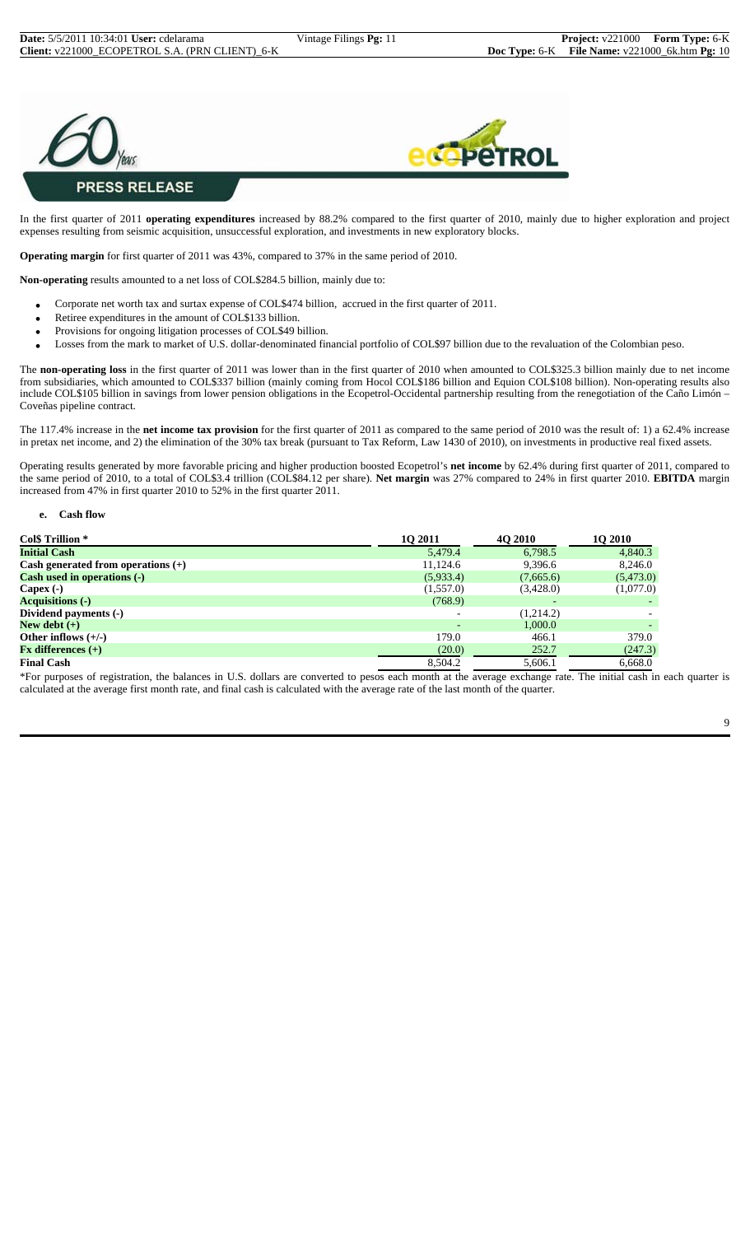



In the first quarter of 2011 **operating expenditures** increased by 88.2% compared to the first quarter of 2010, mainly due to higher exploration and project expenses resulting from seismic acquisition, unsuccessful exploration, and investments in new exploratory blocks.

**Operating margin** for first quarter of 2011 was 43%, compared to 37% in the same period of 2010.

**Non-operating** results amounted to a net loss of COL\$284.5 billion, mainly due to:

- Corporate net worth tax and surtax expense of COL\$474 billion, accrued in the first quarter of 2011.
- Retiree expenditures in the amount of COL\$133 billion.
- Provisions for ongoing litigation processes of COL\$49 billion.
- Losses from the mark to market of U.S. dollar-denominated financial portfolio of COL\$97 billion due to the revaluation of the Colombian peso.

The **non-operating loss** in the first quarter of 2011 was lower than in the first quarter of 2010 when amounted to COL\$325.3 billion mainly due to net income from subsidiaries, which amounted to COL\$337 billion (mainly coming from Hocol COL\$186 billion and Equion COL\$108 billion). Non-operating results also include COL\$105 billion in savings from lower pension obligations in the Ecopetrol-Occidental partnership resulting from the renegotiation of the Caño Limón – Coveñas pipeline contract.

The 117.4% increase in the **net income tax provision** for the first quarter of 2011 as compared to the same period of 2010 was the result of: 1) a 62.4% increase in pretax net income, and 2) the elimination of the 30% tax break (pursuant to Tax Reform, Law 1430 of 2010), on investments in productive real fixed assets.

Operating results generated by more favorable pricing and higher production boosted Ecopetrol's **net income** by 62.4% during first quarter of 2011, compared to the same period of 2010, to a total of COL\$3.4 trillion (COL\$84.12 per share). **Net margin** was 27% compared to 24% in first quarter 2010. **EBITDA** margin increased from 47% in first quarter 2010 to 52% in the first quarter 2011.

#### **e. Cash flow**

| Col\$ Trillion *                     | <b>10 2011</b>           | <b>40 2010</b> | <b>10 2010</b> |
|--------------------------------------|--------------------------|----------------|----------------|
| <b>Initial Cash</b>                  | 5,479.4                  | 6,798.5        | 4,840.3        |
| Cash generated from operations $(+)$ | 11,124.6                 | 9,396.6        | 8,246.0        |
| Cash used in operations (-)          | (5,933.4)                | (7,665.6)      | (5,473.0)      |
| Capex $(-)$                          | (1,557.0)                | (3,428.0)      | (1,077.0)      |
| <b>Acquisitions (-)</b>              | (768.9)                  |                |                |
| Dividend payments (-)                | $\overline{\phantom{0}}$ | (1,214.2)      |                |
| New debt $(+)$                       |                          | 1.000.0        |                |
| Other inflows $(+/-)$                | 179.0                    | 466.1          | 379.0          |
| $Fx$ differences $(+)$               | (20.0)                   | 252.7          | (247.3)        |
| <b>Final Cash</b>                    | 8,504.2                  | 5,606.1        | 6,668.0        |

\*For purposes of registration, the balances in U.S. dollars are converted to pesos each month at the average exchange rate. The initial cash in each quarter is calculated at the average first month rate, and final cash is calculated with the average rate of the last month of the quarter.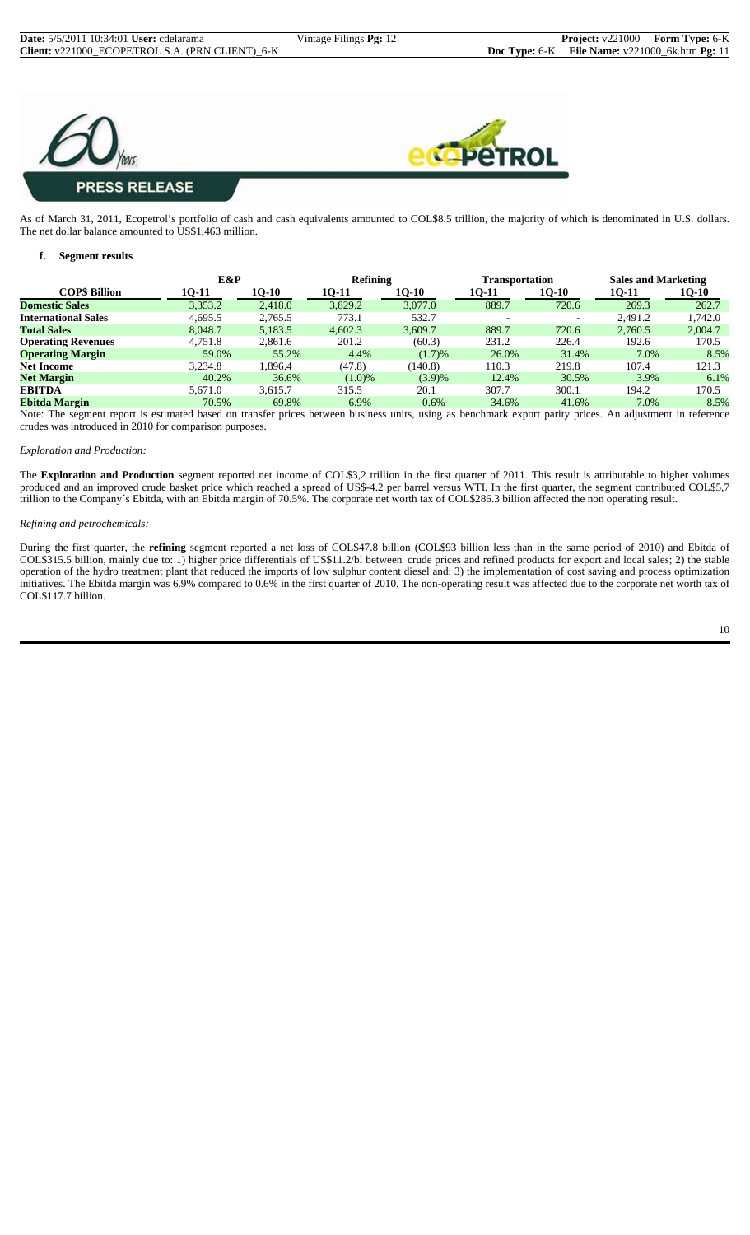



As of March 31, 2011, Ecopetrol's portfolio of cash and cash equivalents amounted to COL\$8.5 trillion, the majority of which is denominated in U.S. dollars. The net dollar balance amounted to US\$1,463 million.

#### **f. Segment results**

|                            | E&P     |         | Refining |         | Transportation |                          | <b>Sales and Marketing</b> |              |
|----------------------------|---------|---------|----------|---------|----------------|--------------------------|----------------------------|--------------|
| <b>COPS Billion</b>        | 10-11   | 10-10   | 10-11    | 10-10   | 10-11          | 10-10                    | 10-11                      | <b>10-10</b> |
| <b>Domestic Sales</b>      | 3,353.2 | 2,418.0 | 3,829.2  | 3,077.0 | 889.7          | 720.6                    | 269.3                      | 262.7        |
| <b>International Sales</b> | 4,695.5 | 2,765.5 | 773.1    | 532.7   |                | $\overline{\phantom{0}}$ | 2.491.2                    | 1,742.0      |
| <b>Total Sales</b>         | 8.048.7 | 5,183.5 | 4,602.3  | 3,609.7 | 889.7          | 720.6                    | 2,760.5                    | 2,004.7      |
| <b>Operating Revenues</b>  | 4,751.8 | 2,861.6 | 201.2    | (60.3)  | 231.2          | 226.4                    | 192.6                      | 170.5        |
| <b>Operating Margin</b>    | 59.0%   | 55.2%   | 4.4%     | (1.7)%  | 26.0%          | 31.4%                    | 7.0%                       | 8.5%         |
| <b>Net Income</b>          | 3.234.8 | .896.4  | (47.8)   | (140.8) | 110.3          | 219.8                    | 107.4                      | 121.3        |
| <b>Net Margin</b>          | 40.2%   | 36.6%   | (1.0)%   | (3.9)%  | 12.4%          | 30.5%                    | 3.9%                       | 6.1%         |
| <b>EBITDA</b>              | 5.671.0 | 3.615.7 | 315.5    | 20.1    | 307.7          | 300.1                    | 194.2                      | 170.5        |
| <b>Ebitda Margin</b>       | 70.5%   | 69.8%   | 6.9%     | 0.6%    | 34.6%          | 41.6%                    | 7.0%                       | 8.5%         |

Note: The segment report is estimated based on transfer prices between business units, using as benchmark export parity prices. An adjustment in reference crudes was introduced in 2010 for comparison purposes.

#### *Exploration and Production:*

The **Exploration and Production** segment reported net income of COL\$3,2 trillion in the first quarter of 2011. This result is attributable to higher volumes produced and an improved crude basket price which reached a spread of US\$-4.2 per barrel versus WTI. In the first quarter, the segment contributed COL\$5,7 trillion to the Company´s Ebitda, with an Ebitda margin of 70.5%. The corporate net worth tax of COL\$286.3 billion affected the non operating result.

#### *Refining and petrochemicals:*

During the first quarter, the **refining** segment reported a net loss of COL\$47.8 billion (COL\$93 billion less than in the same period of 2010) and Ebitda of COL\$315.5 billion, mainly due to: 1) higher price differentials of US\$11.2/bl between crude prices and refined products for export and local sales; 2) the stable operation of the hydro treatment plant that reduced the imports of low sulphur content diesel and; 3) the implementation of cost saving and process optimization initiatives. The Ebitda margin was 6.9% compared to 0.6% in the first quarter of 2010. The non-operating result was affected due to the corporate net worth tax of COL\$117.7 billion.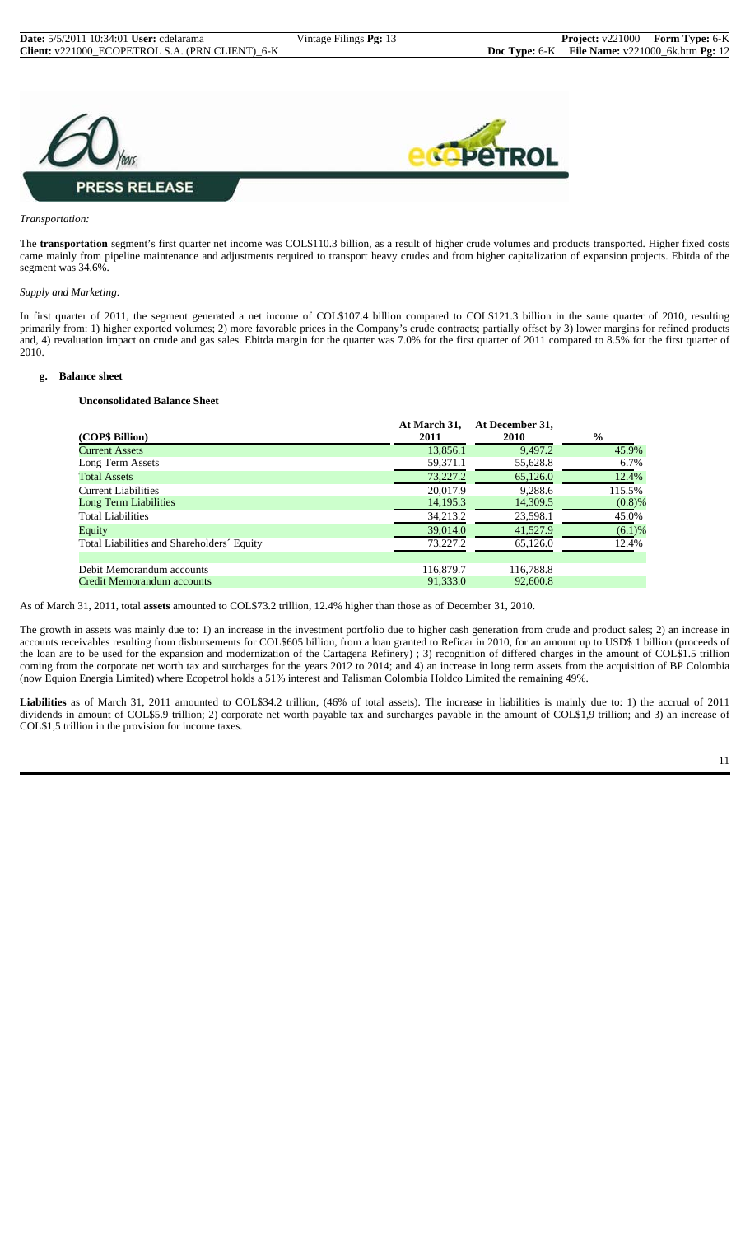

#### *Transportation:*

The **transportation** segment's first quarter net income was COL\$110.3 billion, as a result of higher crude volumes and products transported. Higher fixed costs came mainly from pipeline maintenance and adjustments required to transport heavy crudes and from higher capitalization of expansion projects. Ebitda of the segment was 34.6%.

#### *Supply and Marketing:*

In first quarter of 2011, the segment generated a net income of COL\$107.4 billion compared to COL\$121.3 billion in the same quarter of 2010, resulting primarily from: 1) higher exported volumes; 2) more favorable prices in the Company's crude contracts; partially offset by 3) lower margins for refined products and, 4) revaluation impact on crude and gas sales. Ebitda margin for the quarter was 7.0% for the first quarter of 2011 compared to 8.5% for the first quarter of 2010.

#### **g. Balance sheet**

#### **Unconsolidated Balance Sheet**

| (COP\$ Billion)                            | At March 31,<br>2011 | At December 31,<br>2010 | $\frac{0}{0}$ |
|--------------------------------------------|----------------------|-------------------------|---------------|
| Current Assets                             | 13,856.1             | 9,497.2                 | 45.9%         |
| Long Term Assets                           | 59,371.1             | 55,628.8                | 6.7%          |
| <b>Total Assets</b>                        | 73,227.2             | 65,126.0                | 12.4%         |
| Current Liabilities                        | 20.017.9             | 9,288.6                 | 115.5%        |
| Long Term Liabilities                      | 14,195.3             | 14,309.5                | $(0.8)$ %     |
| <b>Total Liabilities</b>                   | 34,213.2             | 23,598.1                | 45.0%         |
| Equity                                     | 39,014.0             | 41,527.9                | (6.1)%        |
| Total Liabilities and Shareholders' Equity | 73,227.2             | 65,126.0                | 12.4%         |
|                                            |                      |                         |               |
| Debit Memorandum accounts                  | 116,879.7            | 116,788.8               |               |
| Credit Memorandum accounts                 | 91.333.0             | 92,600.8                |               |

As of March 31, 2011, total **assets** amounted to COL\$73.2 trillion, 12.4% higher than those as of December 31, 2010.

The growth in assets was mainly due to: 1) an increase in the investment portfolio due to higher cash generation from crude and product sales; 2) an increase in accounts receivables resulting from disbursements for COL\$605 billion, from a loan granted to Reficar in 2010, for an amount up to USD\$ 1 billion (proceeds of the loan are to be used for the expansion and modernization of the Cartagena Refinery) ; 3) recognition of differed charges in the amount of COL\$1.5 trillion coming from the corporate net worth tax and surcharges for the years 2012 to 2014; and 4) an increase in long term assets from the acquisition of BP Colombia (now Equion Energia Limited) where Ecopetrol holds a 51% interest and Talisman Colombia Holdco Limited the remaining 49%.

**Liabilities** as of March 31, 2011 amounted to COL\$34.2 trillion, (46% of total assets). The increase in liabilities is mainly due to: 1) the accrual of 2011 dividends in amount of COL\$5.9 trillion; 2) corporate net worth payable tax and surcharges payable in the amount of COL\$1,9 trillion; and 3) an increase of COL\$1,5 trillion in the provision for income taxes.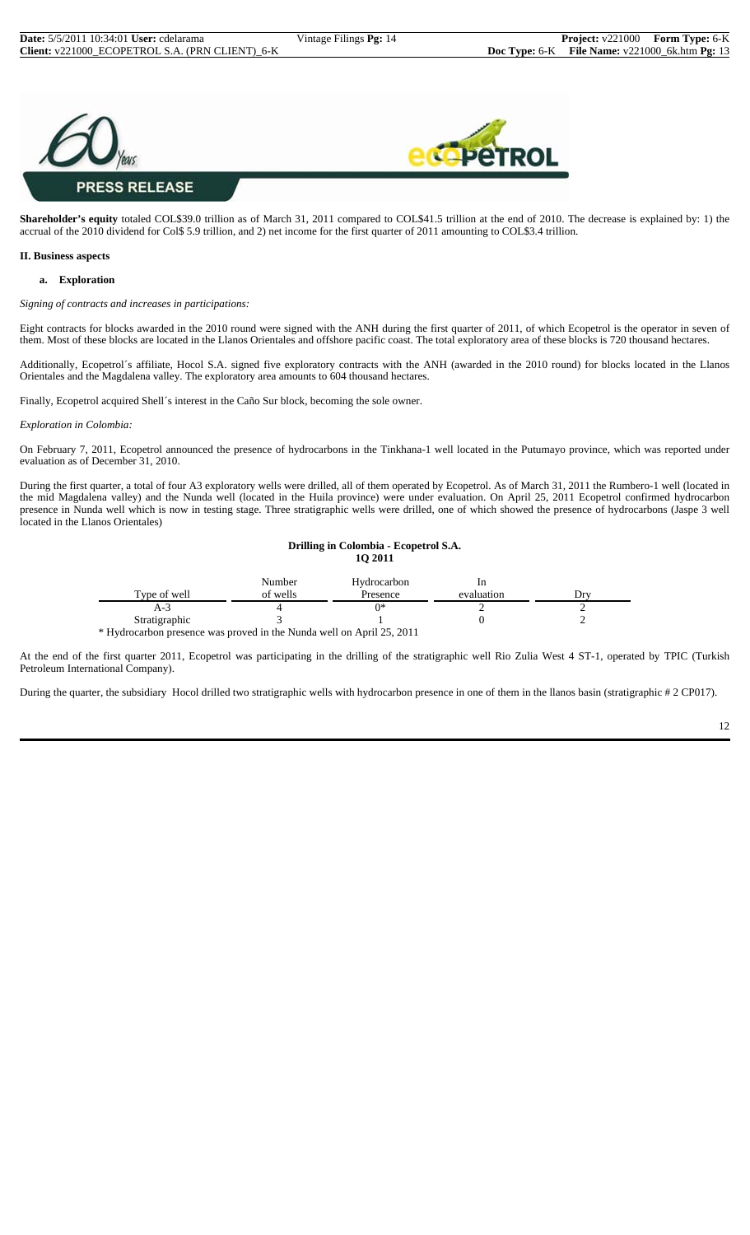

**Shareholder's equity** totaled COL\$39.0 trillion as of March 31, 2011 compared to COL\$41.5 trillion at the end of 2010. The decrease is explained by: 1) the accrual of the 2010 dividend for Col\$ 5.9 trillion, and 2) net income for the first quarter of 2011 amounting to COL\$3.4 trillion.

#### **II. Business aspects**

#### **a. Exploration**

*Signing of contracts and increases in participations:*

Eight contracts for blocks awarded in the 2010 round were signed with the ANH during the first quarter of 2011, of which Ecopetrol is the operator in seven of them. Most of these blocks are located in the Llanos Orientales and offshore pacific coast. The total exploratory area of these blocks is 720 thousand hectares.

Additionally, Ecopetrol´s affiliate, Hocol S.A. signed five exploratory contracts with the ANH (awarded in the 2010 round) for blocks located in the Llanos Orientales and the Magdalena valley. The exploratory area amounts to 604 thousand hectares.

Finally, Ecopetrol acquired Shell´s interest in the Caño Sur block, becoming the sole owner.

*Exploration in Colombia:*

On February 7, 2011, Ecopetrol announced the presence of hydrocarbons in the Tinkhana-1 well located in the Putumayo province, which was reported under evaluation as of December 31, 2010.

During the first quarter, a total of four A3 exploratory wells were drilled, all of them operated by Ecopetrol. As of March 31, 2011 the Rumbero-1 well (located in the mid Magdalena valley) and the Nunda well (located in the Huila province) were under evaluation. On April 25, 2011 Ecopetrol confirmed hydrocarbon presence in Nunda well which is now in testing stage. Three stratigraphic wells were drilled, one of which showed the presence of hydrocarbons (Jaspe 3 well located in the Llanos Orientales)

#### **Drilling in Colombia - Ecopetrol S.A. 1Q 2011**

|                                                                       | Number   | Hydrocarbon |            |       |
|-----------------------------------------------------------------------|----------|-------------|------------|-------|
| Type of well                                                          | of wells | Presence    | evaluation | . )rv |
| A-3                                                                   |          |             |            |       |
| Stratigraphic                                                         |          |             |            |       |
| * Hydrocarbon presence was proved in the Nunda well on April 25, 2011 |          |             |            |       |

At the end of the first quarter 2011, Ecopetrol was participating in the drilling of the stratigraphic well Rio Zulia West 4 ST-1, operated by TPIC (Turkish Petroleum International Company).

During the quarter, the subsidiary Hocol drilled two stratigraphic wells with hydrocarbon presence in one of them in the llanos basin (stratigraphic # 2 CP017).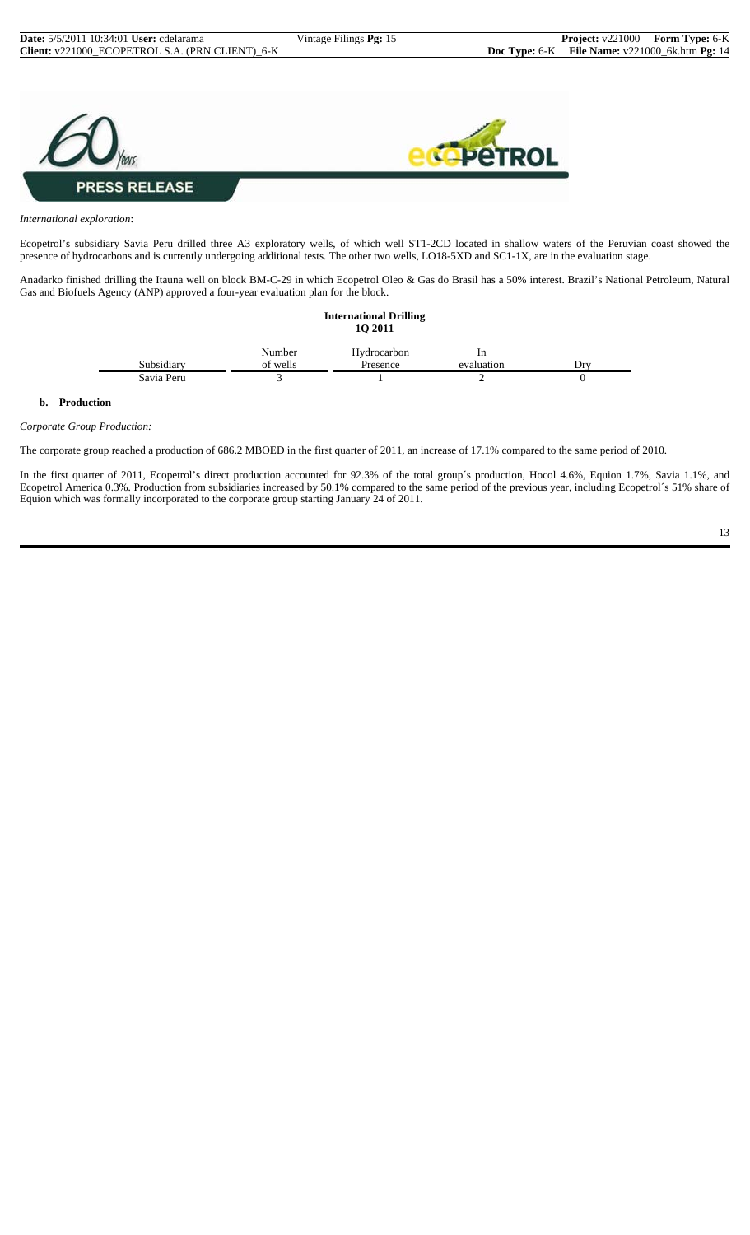

#### *International exploration*:

Ecopetrol's subsidiary Savia Peru drilled three A3 exploratory wells, of which well ST1-2CD located in shallow waters of the Peruvian coast showed the presence of hydrocarbons and is currently undergoing additional tests. The other two wells, LO18-5XD and SC1-1X, are in the evaluation stage.

Anadarko finished drilling the Itauna well on block BM-C-29 in which Ecopetrol Oleo & Gas do Brasil has a 50% interest. Brazil's National Petroleum, Natural Gas and Biofuels Agency (ANP) approved a four-year evaluation plan for the block.

|            |          | <b>International Drilling</b><br><b>1Q 2011</b> |                |     |
|------------|----------|-------------------------------------------------|----------------|-----|
|            | Number   | Hydrocarbon                                     | 1 <sub>n</sub> |     |
| Subsidiary | of wells | Presence                                        | evaluation     | Drv |
| Savia Peru |          |                                                 |                | O   |

#### **b. Production**

#### *Corporate Group Production:*

The corporate group reached a production of 686.2 MBOED in the first quarter of 2011, an increase of 17.1% compared to the same period of 2010.

In the first quarter of 2011, Ecopetrol's direct production accounted for 92.3% of the total group´s production, Hocol 4.6%, Equion 1.7%, Savia 1.1%, and Ecopetrol America 0.3%. Production from subsidiaries increased by 50.1% compared to the same period of the previous year, including Ecopetrol´s 51% share of Equion which was formally incorporated to the corporate group starting January 24 of 2011.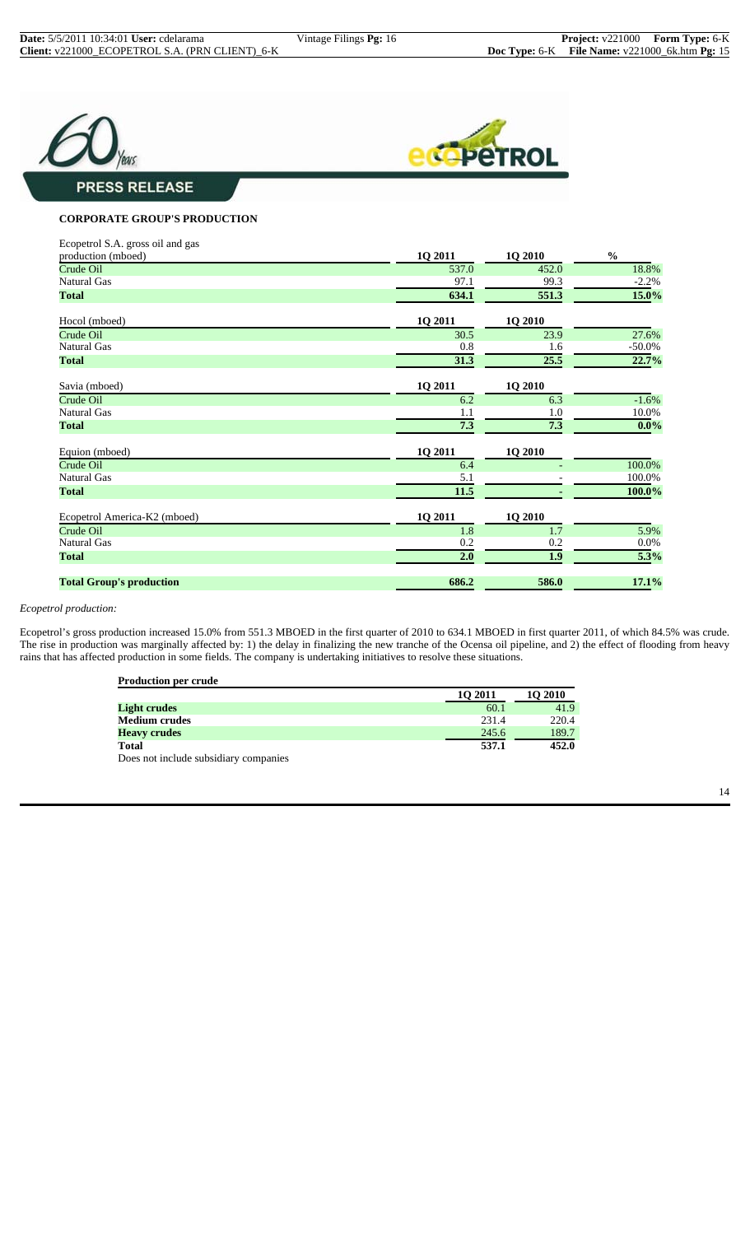



## **PRESS RELEASE**

#### **CORPORATE GROUP'S PRODUCTION**

| Ecopetrol S.A. gross oil and gas |         |                |               |
|----------------------------------|---------|----------------|---------------|
| production (mboed)               | 1Q 2011 | 1Q 2010        | $\frac{0}{0}$ |
| Crude Oil                        | 537.0   | 452.0          | 18.8%         |
| <b>Natural Gas</b>               | 97.1    | 99.3           | $-2.2%$       |
| <b>Total</b>                     | 634.1   | 551.3          | 15.0%         |
| Hocol (mboed)                    | 1Q 2011 | <b>1Q 2010</b> |               |
| Crude Oil                        | 30.5    | 23.9           | 27.6%         |
| <b>Natural Gas</b>               | 0.8     | 1.6            | $-50.0\%$     |
| <b>Total</b>                     | 31.3    | 25.5           | 22.7%         |
| Savia (mboed)                    | 1Q 2011 | <b>1Q 2010</b> |               |
| Crude Oil                        | 6.2     | 6.3            | $-1.6%$       |
| <b>Natural Gas</b>               | 1.1     | 1.0            | 10.0%         |
| <b>Total</b>                     | 7.3     | 7.3            | $0.0\%$       |
| Equion (mboed)                   | 1Q 2011 | 1Q 2010        |               |
| Crude Oil                        | 6.4     |                | 100.0%        |
| <b>Natural Gas</b>               | 5.1     |                | 100.0%        |
| <b>Total</b>                     | 11.5    |                | 100.0%        |
| Ecopetrol America-K2 (mboed)     | 1Q 2011 | 1Q 2010        |               |
| Crude Oil                        | 1.8     | 1.7            | 5.9%          |
| <b>Natural Gas</b>               | 0.2     | 0.2            | $0.0\%$       |
| <b>Total</b>                     | 2.0     | 1.9            | 5.3%          |
| <b>Total Group's production</b>  | 686.2   | 586.0          | 17.1%         |

#### *Ecopetrol production:*

Ecopetrol's gross production increased 15.0% from 551.3 MBOED in the first quarter of 2010 to 634.1 MBOED in first quarter 2011, of which 84.5% was crude. The rise in production was marginally affected by: 1) the delay in finalizing the new tranche of the Ocensa oil pipeline, and 2) the effect of flooding from heavy rains that has affected production in some fields. The company is undertaking initiatives to resolve these situations.

| <b>Production per crude</b>           |         |         |
|---------------------------------------|---------|---------|
|                                       | 10 2011 | 10 2010 |
| <b>Light crudes</b>                   | 60.1    | 41.9    |
| <b>Medium crudes</b>                  | 231.4   | 220.4   |
| <b>Heavy crudes</b>                   | 245.6   | 189.7   |
| <b>Total</b>                          | 537.1   | 452.0   |
| Does not include subsidiary companies |         |         |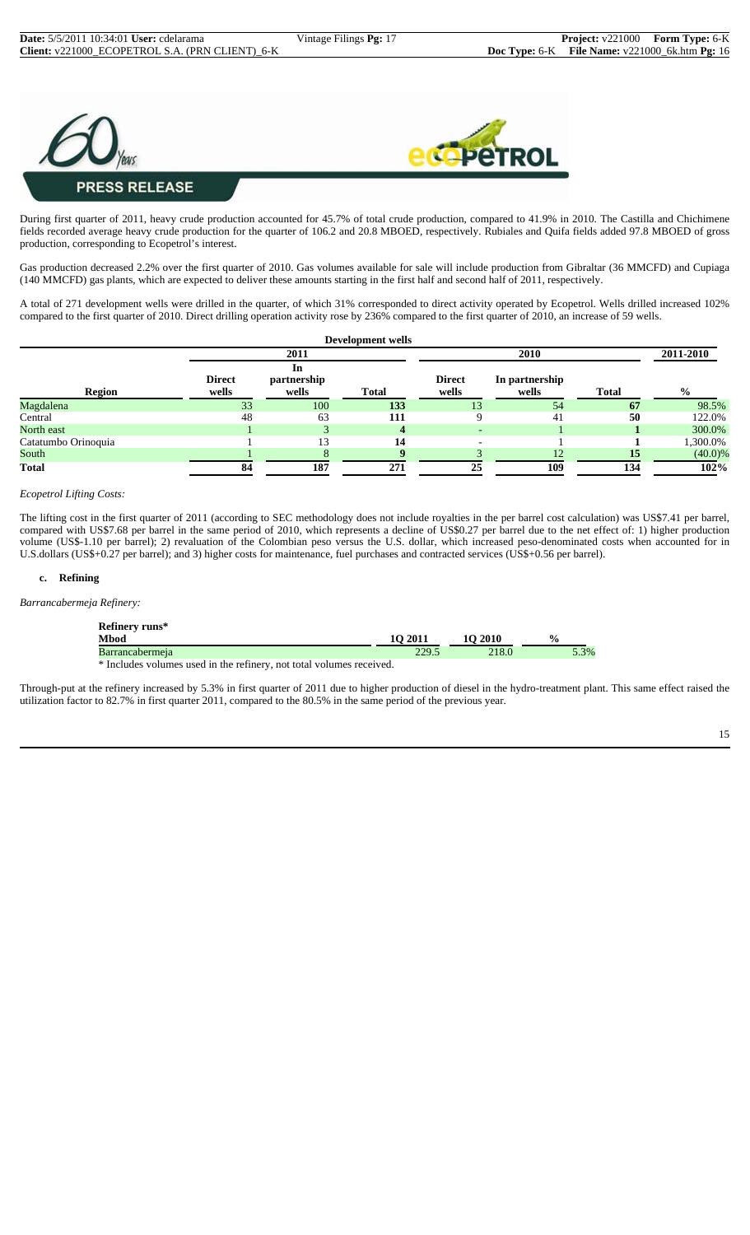



During first quarter of 2011, heavy crude production accounted for 45.7% of total crude production, compared to 41.9% in 2010. The Castilla and Chichimene fields recorded average heavy crude production for the quarter of 106.2 and 20.8 MBOED, respectively. Rubiales and Quifa fields added 97.8 MBOED of gross production, corresponding to Ecopetrol's interest.

Gas production decreased 2.2% over the first quarter of 2010. Gas volumes available for sale will include production from Gibraltar (36 MMCFD) and Cupiaga (140 MMCFD) gas plants, which are expected to deliver these amounts starting in the first half and second half of 2011, respectively.

A total of 271 development wells were drilled in the quarter, of which 31% corresponded to direct activity operated by Ecopetrol. Wells drilled increased 102% compared to the first quarter of 2010. Direct drilling operation activity rose by 236% compared to the first quarter of 2010, an increase of 59 wells.

|                     |               |                   | Development wells |                          |                |              |               |
|---------------------|---------------|-------------------|-------------------|--------------------------|----------------|--------------|---------------|
| 2011                |               |                   |                   | 2010                     |                |              |               |
|                     | <b>Direct</b> | In<br>partnership |                   | <b>Direct</b>            | In partnership |              |               |
| <b>Region</b>       | wells         | wells             | <b>Total</b>      | wells                    | wells          | <b>Total</b> | $\frac{6}{9}$ |
| Magdalena           | 33            | 100               | 133               | 13                       | 54             | 67           | 98.5%         |
| Central             | 48            | 63                | 111               |                          | 41             | 50           | 122.0%        |
| North east          |               |                   | 4                 | $\overline{\phantom{a}}$ |                |              | 300.0%        |
| Catatumbo Orinoquia |               | 13                | 14                | $\overline{\phantom{0}}$ |                |              | 1,300.0%      |
| South               |               |                   |                   |                          | 12.            | 15           | $(40.0)\%$    |
| <b>Total</b>        | 84            | 187               | 271               | 25                       | 109            | 134          | 102%          |

#### *Ecopetrol Lifting Costs:*

The lifting cost in the first quarter of 2011 (according to SEC methodology does not include royalties in the per barrel cost calculation) was US\$7.41 per barrel, compared with US\$7.68 per barrel in the same period of 2010, which represents a decline of US\$0.27 per barrel due to the net effect of: 1) higher production volume (US\$-1.10 per barrel); 2) revaluation of the Colombian peso versus the U.S. dollar, which increased peso-denominated costs when accounted for in U.S.dollars (US\$+0.27 per barrel); and 3) higher costs for maintenance, fuel purchases and contracted services (US\$+0.56 per barrel).

#### **c. Refining**

*Barrancabermeja Refinery:*

| Refinery runs*<br><b>Mbod</b> | 10 2011 | 10 2010 | $\frac{0}{0}$ |
|-------------------------------|---------|---------|---------------|
| <b>Barrancabermeja</b>        | 229.5   | 218.0   | 5.3%          |
|                               |         |         |               |

\* Includes volumes used in the refinery, not total volumes received.

Through-put at the refinery increased by 5.3% in first quarter of 2011 due to higher production of diesel in the hydro-treatment plant. This same effect raised the utilization factor to 82.7% in first quarter 2011, compared to the 80.5% in the same period of the previous year.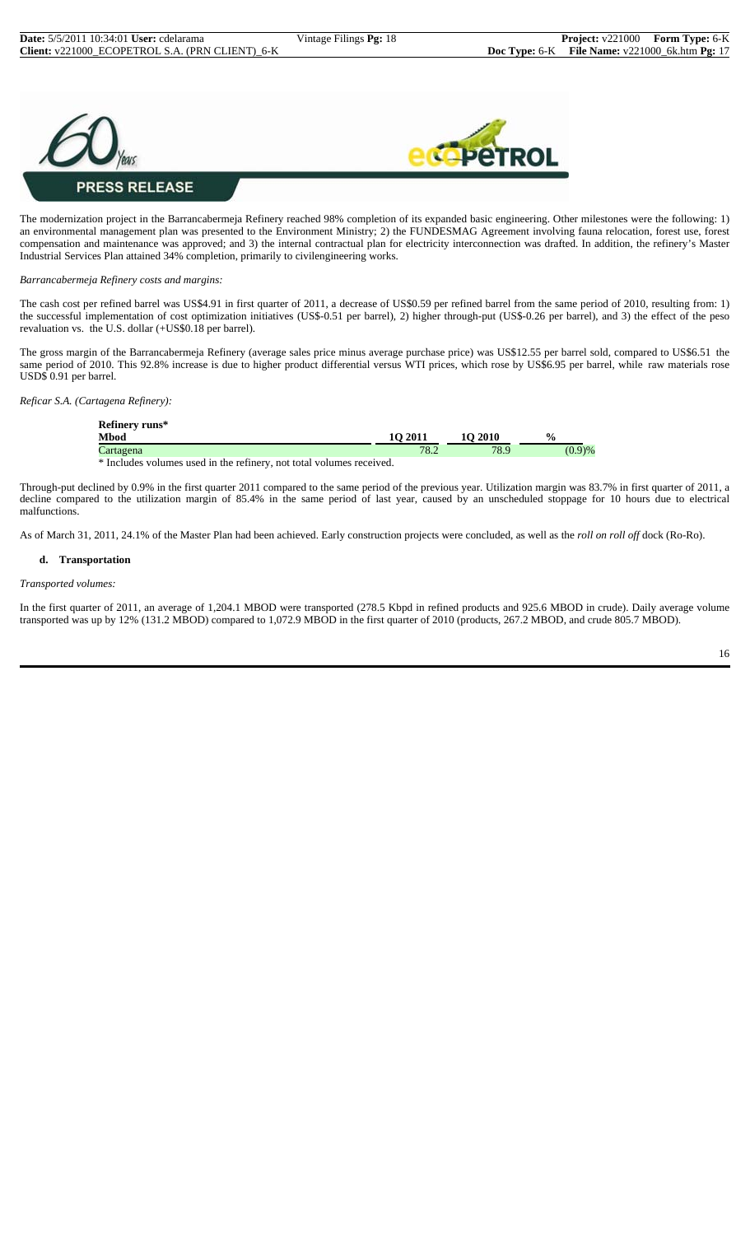

The modernization project in the Barrancabermeja Refinery reached 98% completion of its expanded basic engineering. Other milestones were the following: 1) an environmental management plan was presented to the Environment Ministry; 2) the FUNDESMAG Agreement involving fauna relocation, forest use, forest compensation and maintenance was approved; and 3) the internal contractual plan for electricity interconnection was drafted. In addition, the refinery's Master Industrial Services Plan attained 34% completion, primarily to civilengineering works.

*Barrancabermeja Refinery costs and margins:*

The cash cost per refined barrel was US\$4.91 in first quarter of 2011, a decrease of US\$0.59 per refined barrel from the same period of 2010, resulting from: 1) the successful implementation of cost optimization initiatives (US\$-0.51 per barrel), 2) higher through-put (US\$-0.26 per barrel), and 3) the effect of the peso revaluation vs. the U.S. dollar (+US\$0.18 per barrel).

The gross margin of the Barrancabermeja Refinery (average sales price minus average purchase price) was US\$12.55 per barrel sold, compared to US\$6.51 the same period of 2010. This 92.8% increase is due to higher product differential versus WTI prices, which rose by US\$6.95 per barrel, while raw materials rose USD\$ 0.91 per barrel.

*Reficar S.A. (Cartagena Refinery):*

| Refinery runs*                                                                             |         |         |               |
|--------------------------------------------------------------------------------------------|---------|---------|---------------|
| <b>Mbod</b>                                                                                | 10 2011 | 10 2010 | $\frac{0}{0}$ |
| Cartagena                                                                                  | 78.2    | 78.9    | (0.9)%        |
| ※ Tarolard construction of the distribution of the construction of the language associated |         |         |               |

\* Includes volumes used in the refinery, not total volumes received.

Through-put declined by 0.9% in the first quarter 2011 compared to the same period of the previous year. Utilization margin was 83.7% in first quarter of 2011, a decline compared to the utilization margin of 85.4% in the same period of last year, caused by an unscheduled stoppage for 10 hours due to electrical malfunctions.

As of March 31, 2011, 24.1% of the Master Plan had been achieved. Early construction projects were concluded, as well as the *roll on roll off* dock (Ro-Ro).

#### **d. Transportation**

*Transported volumes:*

In the first quarter of 2011, an average of 1,204.1 MBOD were transported (278.5 Kbpd in refined products and 925.6 MBOD in crude). Daily average volume transported was up by 12% (131.2 MBOD) compared to 1,072.9 MBOD in the first quarter of 2010 (products, 267.2 MBOD, and crude 805.7 MBOD).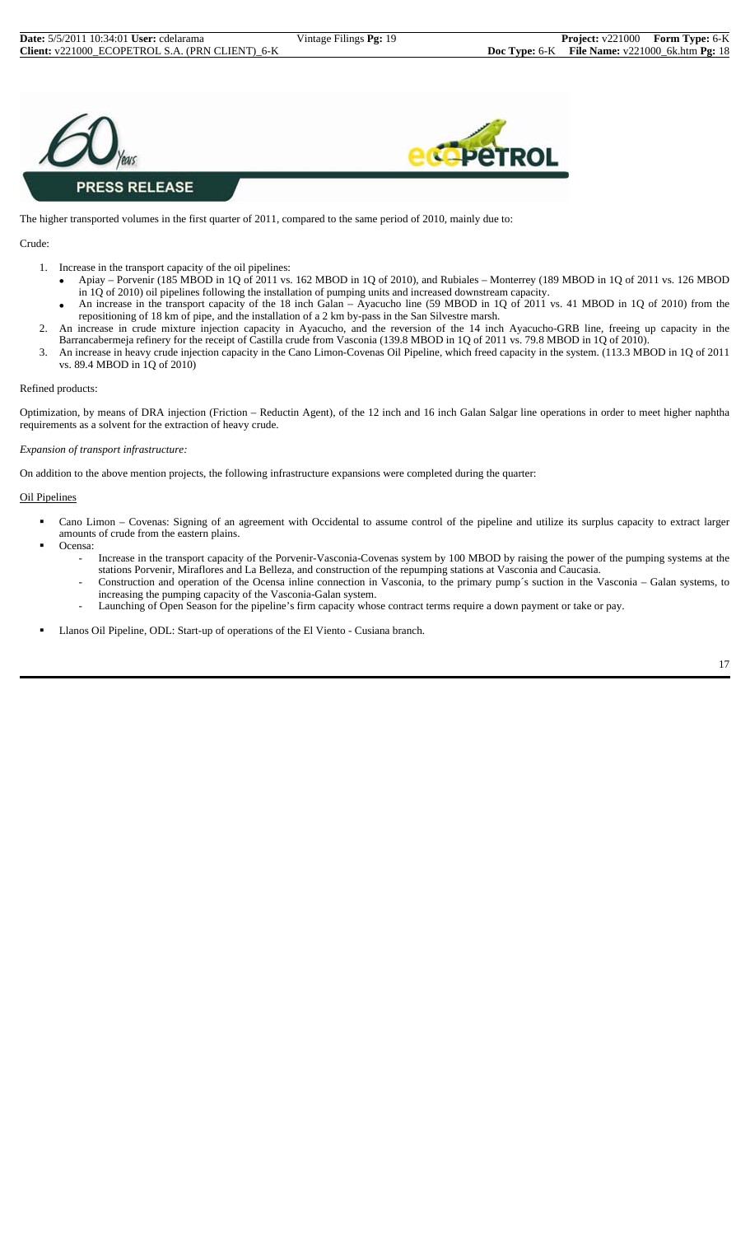



The higher transported volumes in the first quarter of 2011, compared to the same period of 2010, mainly due to:

#### Crude:

- 1. Increase in the transport capacity of the oil pipelines:
	- Apiay Porvenir (185 MBOD in 1Q of 2011 vs. 162 MBOD in 1Q of 2010), and Rubiales Monterrey (189 MBOD in 1Q of 2011 vs. 126 MBOD in 1Q of 2010) oil pipelines following the installation of pumping units and increased downstream capacity.
	- An increase in the transport capacity of the 18 inch Galan Ayacucho line (59 MBOD in 1Q of 2011 vs. 41 MBOD in 1Q of 2010) from the repositioning of 18 km of pipe, and the installation of a 2 km by-pass in the San Silvestre marsh.
- 2. An increase in crude mixture injection capacity in Ayacucho, and the reversion of the 14 inch Ayacucho-GRB line, freeing up capacity in the Barrancabermeja refinery for the receipt of Castilla crude from Vasconia (139.8 MBOD in 1Q of 2011 vs. 79.8 MBOD in 1Q of 2010).
- 3. An increase in heavy crude injection capacity in the Cano Limon-Covenas Oil Pipeline, which freed capacity in the system. (113.3 MBOD in 1Q of 2011 vs. 89.4 MBOD in 1Q of 2010)

#### Refined products:

Optimization, by means of DRA injection (Friction – Reductin Agent), of the 12 inch and 16 inch Galan Salgar line operations in order to meet higher naphtha requirements as a solvent for the extraction of heavy crude.

#### *Expansion of transport infrastructure:*

On addition to the above mention projects, the following infrastructure expansions were completed during the quarter:

#### Oil Pipelines

- Cano Limon Covenas: Signing of an agreement with Occidental to assume control of the pipeline and utilize its surplus capacity to extract larger amounts of crude from the eastern plains.
- Ocensa:
	- Increase in the transport capacity of the Porvenir-Vasconia-Covenas system by 100 MBOD by raising the power of the pumping systems at the stations Porvenir, Miraflores and La Belleza, and construction of the repumping stations at Vasconia and Caucasia.
	- Construction and operation of the Ocensa inline connection in Vasconia, to the primary pump´s suction in the Vasconia Galan systems, to increasing the pumping capacity of the Vasconia-Galan system.
	- Launching of Open Season for the pipeline's firm capacity whose contract terms require a down payment or take or pay.
- Llanos Oil Pipeline, ODL: Start-up of operations of the El Viento Cusiana branch.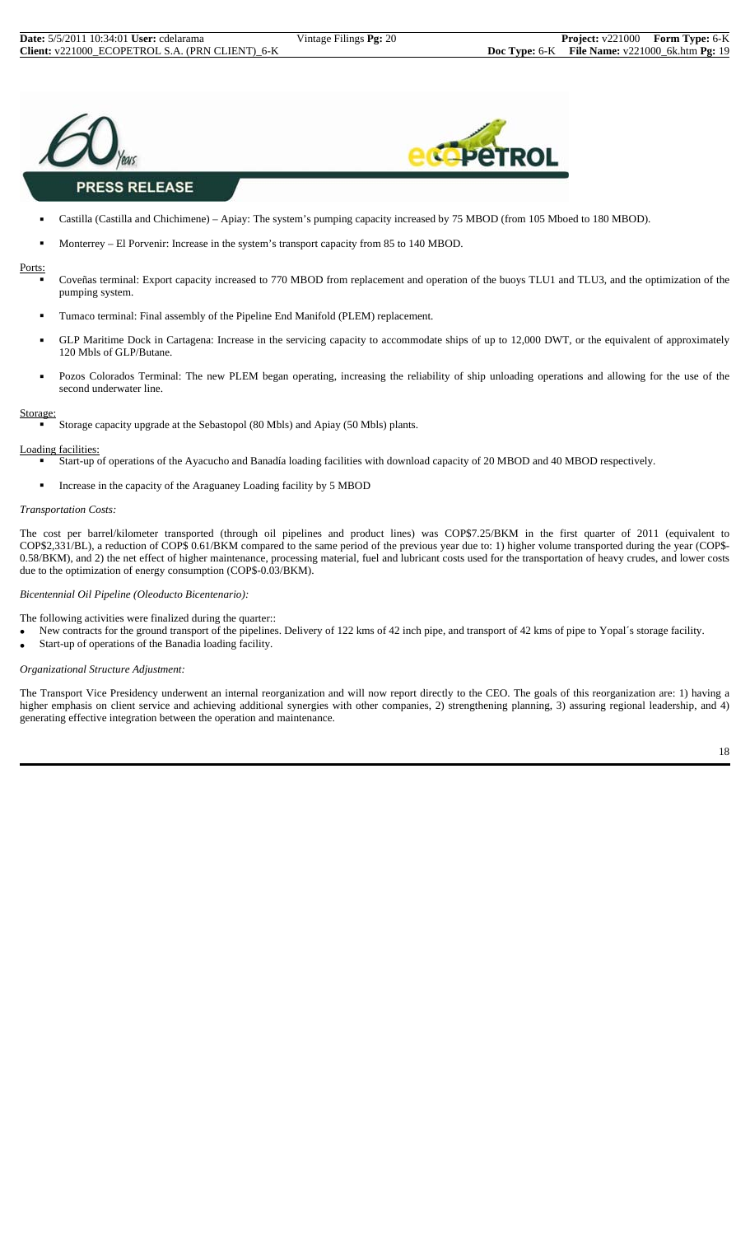



### **PRESS RELEASE**

- Castilla (Castilla and Chichimene) Apiay: The system's pumping capacity increased by 75 MBOD (from 105 Mboed to 180 MBOD).
- Monterrey El Porvenir: Increase in the system's transport capacity from 85 to 140 MBOD.

#### Ports:

- Coveñas terminal: Export capacity increased to 770 MBOD from replacement and operation of the buoys TLU1 and TLU3, and the optimization of the pumping system.
- **Tumaco terminal: Final assembly of the Pipeline End Manifold (PLEM) replacement.**
- GLP Maritime Dock in Cartagena: Increase in the servicing capacity to accommodate ships of up to 12,000 DWT, or the equivalent of approximately 120 Mbls of GLP/Butane.
- Pozos Colorados Terminal: The new PLEM began operating, increasing the reliability of ship unloading operations and allowing for the use of the second underwater line.

#### Storage:

Storage capacity upgrade at the Sebastopol (80 Mbls) and Apiay (50 Mbls) plants.

#### Loading facilities:

- Start-up of operations of the Ayacucho and Banadía loading facilities with download capacity of 20 MBOD and 40 MBOD respectively.
- Increase in the capacity of the Araguaney Loading facility by 5 MBOD

#### *Transportation Costs:*

The cost per barrel/kilometer transported (through oil pipelines and product lines) was COP\$7.25/BKM in the first quarter of 2011 (equivalent to COP\$2,331/BL), a reduction of COP\$ 0.61/BKM compared to the same period of the previous year due to: 1) higher volume transported during the year (COP\$- 0.58/BKM), and 2) the net effect of higher maintenance, processing material, fuel and lubricant costs used for the transportation of heavy crudes, and lower costs due to the optimization of energy consumption (COP\$-0.03/BKM).

#### *Bicentennial Oil Pipeline (Oleoducto Bicentenario):*

The following activities were finalized during the quarter::

- New contracts for the ground transport of the pipelines. Delivery of 122 kms of 42 inch pipe, and transport of 42 kms of pipe to Yopal´s storage facility.
- Start-up of operations of the Banadia loading facility.

#### *Organizational Structure Adjustment:*

The Transport Vice Presidency underwent an internal reorganization and will now report directly to the CEO. The goals of this reorganization are: 1) having a higher emphasis on client service and achieving additional synergies with other companies, 2) strengthening planning, 3) assuring regional leadership, and 4) generating effective integration between the operation and maintenance.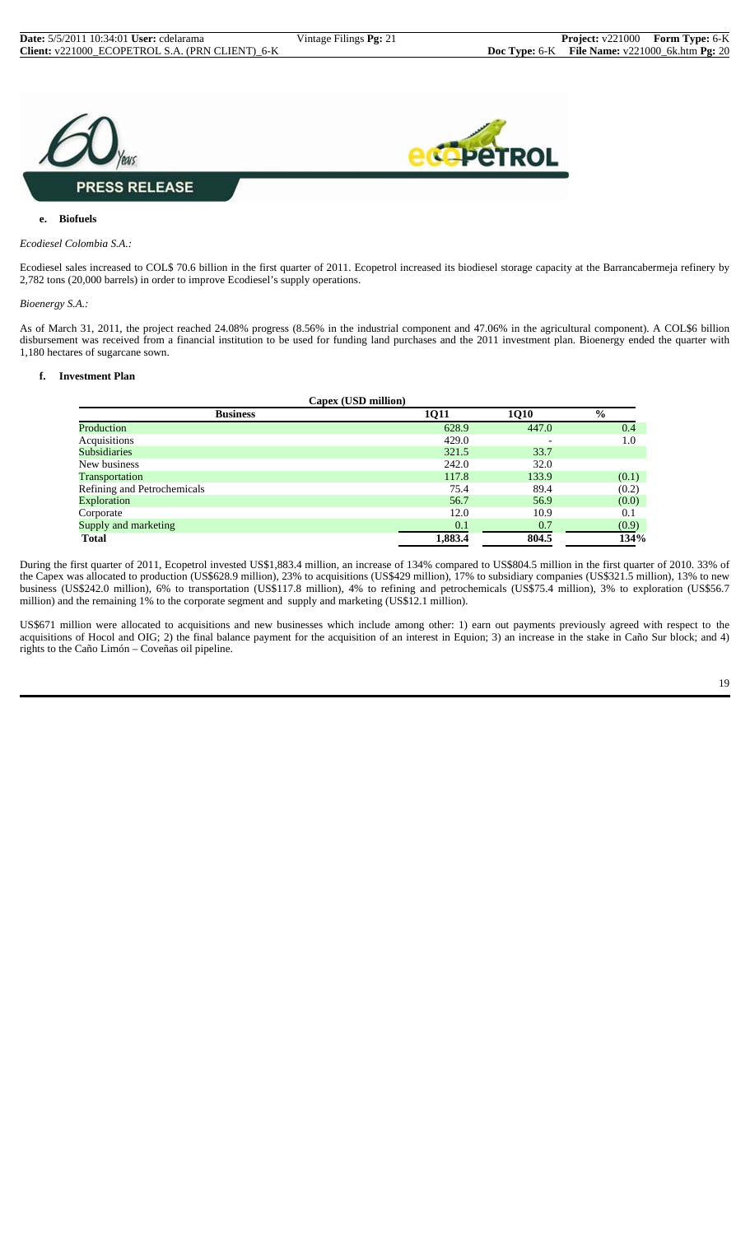

#### **e. Biofuels**

#### *Ecodiesel Colombia S.A.:*

Ecodiesel sales increased to COL\$ 70.6 billion in the first quarter of 2011. Ecopetrol increased its biodiesel storage capacity at the Barrancabermeja refinery by 2,782 tons (20,000 barrels) in order to improve Ecodiesel's supply operations.

*Bioenergy S.A.:*

As of March 31, 2011, the project reached 24.08% progress (8.56% in the industrial component and 47.06% in the agricultural component). A COL\$6 billion disbursement was received from a financial institution to be used for funding land purchases and the 2011 investment plan. Bioenergy ended the quarter with 1,180 hectares of sugarcane sown.

#### **f. Investment Plan**

| Capex (USD million)                                     |         |       |       |  |  |  |  |
|---------------------------------------------------------|---------|-------|-------|--|--|--|--|
| $\frac{0}{0}$<br><b>1Q10</b><br><b>Business</b><br>1Q11 |         |       |       |  |  |  |  |
| Production                                              | 628.9   | 447.0 | 0.4   |  |  |  |  |
| Acquisitions                                            | 429.0   |       | 1.0   |  |  |  |  |
| <b>Subsidiaries</b>                                     | 321.5   | 33.7  |       |  |  |  |  |
| New business                                            | 242.0   | 32.0  |       |  |  |  |  |
| Transportation                                          | 117.8   | 133.9 | (0.1) |  |  |  |  |
| Refining and Petrochemicals                             | 75.4    | 89.4  | (0.2) |  |  |  |  |
| Exploration                                             | 56.7    | 56.9  | (0.0) |  |  |  |  |
| Corporate                                               | 12.0    | 10.9  | 0.1   |  |  |  |  |
| Supply and marketing                                    | 0.1     | 0.7   | (0.9) |  |  |  |  |
| <b>Total</b>                                            | 1,883.4 | 804.5 | 134%  |  |  |  |  |

During the first quarter of 2011, Ecopetrol invested US\$1,883.4 million, an increase of 134% compared to US\$804.5 million in the first quarter of 2010. 33% of the Capex was allocated to production (US\$628.9 million), 23% to acquisitions (US\$429 million), 17% to subsidiary companies (US\$321.5 million), 13% to new business (US\$242.0 million), 6% to transportation (US\$117.8 million), 4% to refining and petrochemicals (US\$75.4 million), 3% to exploration (US\$56.7 million) and the remaining 1% to the corporate segment and supply and marketing (US\$12.1 million).

US\$671 million were allocated to acquisitions and new businesses which include among other: 1) earn out payments previously agreed with respect to the acquisitions of Hocol and OIG; 2) the final balance payment for the acquisition of an interest in Equion; 3) an increase in the stake in Caño Sur block; and 4) rights to the Caño Limón – Coveñas oil pipeline.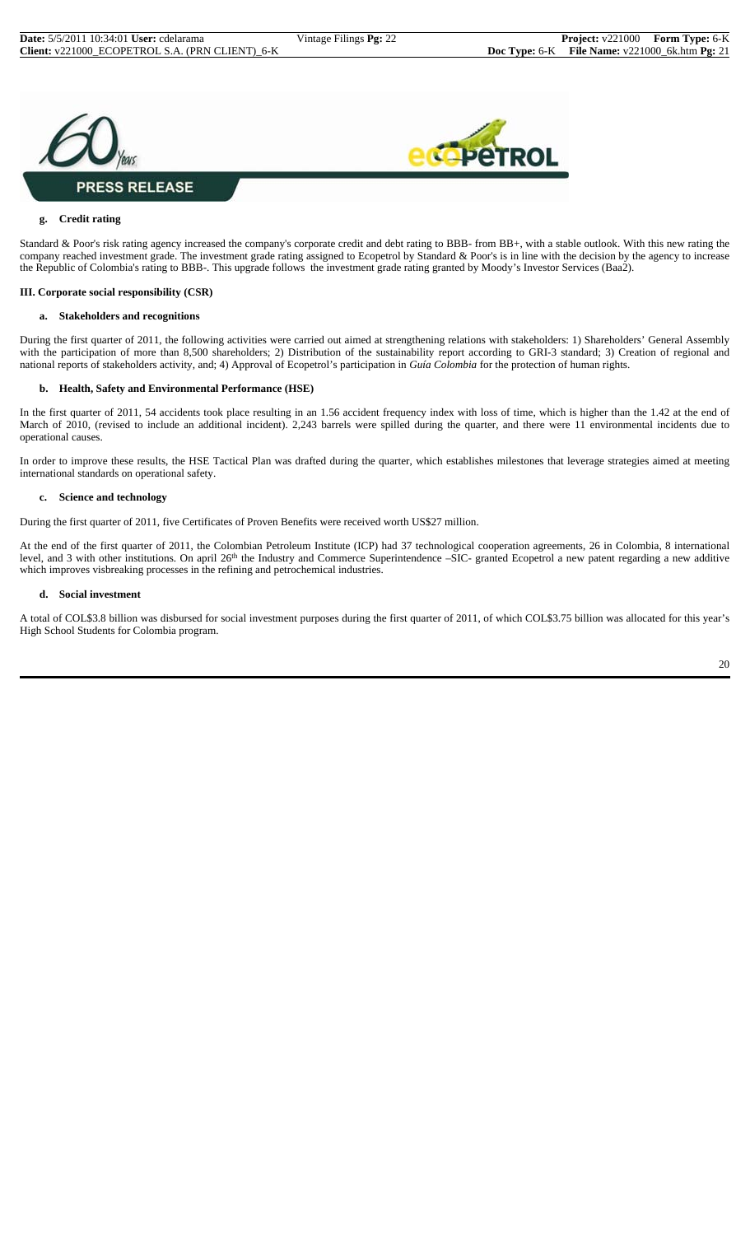



#### **g. Credit rating**

Standard & Poor's risk rating agency increased the company's corporate credit and debt rating to BBB- from BB+, with a stable outlook. With this new rating the company reached investment grade. The investment grade rating assigned to Ecopetrol by Standard & Poor's is in line with the decision by the agency to increase the Republic of Colombia's rating to BBB-. This upgrade follows the investment grade rating granted by Moody's Investor Services (Baa2).

#### **III. Corporate social responsibility (CSR)**

#### **a. Stakeholders and recognitions**

During the first quarter of 2011, the following activities were carried out aimed at strengthening relations with stakeholders: 1) Shareholders' General Assembly with the participation of more than 8,500 shareholders; 2) Distribution of the sustainability report according to GRI-3 standard; 3) Creation of regional and national reports of stakeholders activity, and; 4) Approval of Ecopetrol's participation in *Guía Colombia* for the protection of human rights.

#### **b. Health, Safety and Environmental Performance (HSE)**

In the first quarter of 2011, 54 accidents took place resulting in an 1.56 accident frequency index with loss of time, which is higher than the 1.42 at the end of March of 2010, (revised to include an additional incident). 2,243 barrels were spilled during the quarter, and there were 11 environmental incidents due to operational causes.

In order to improve these results, the HSE Tactical Plan was drafted during the quarter, which establishes milestones that leverage strategies aimed at meeting international standards on operational safety.

#### **c. Science and technology**

During the first quarter of 2011, five Certificates of Proven Benefits were received worth US\$27 million.

At the end of the first quarter of 2011, the Colombian Petroleum Institute (ICP) had 37 technological cooperation agreements, 26 in Colombia, 8 international level, and 3 with other institutions. On april 26<sup>th</sup> the Industry and Commerce Superintendence –SIC- granted Ecopetrol a new patent regarding a new additive which improves visbreaking processes in the refining and petrochemical industries.

#### **d. Social investment**

A total of COL\$3.8 billion was disbursed for social investment purposes during the first quarter of 2011, of which COL\$3.75 billion was allocated for this year's High School Students for Colombia program.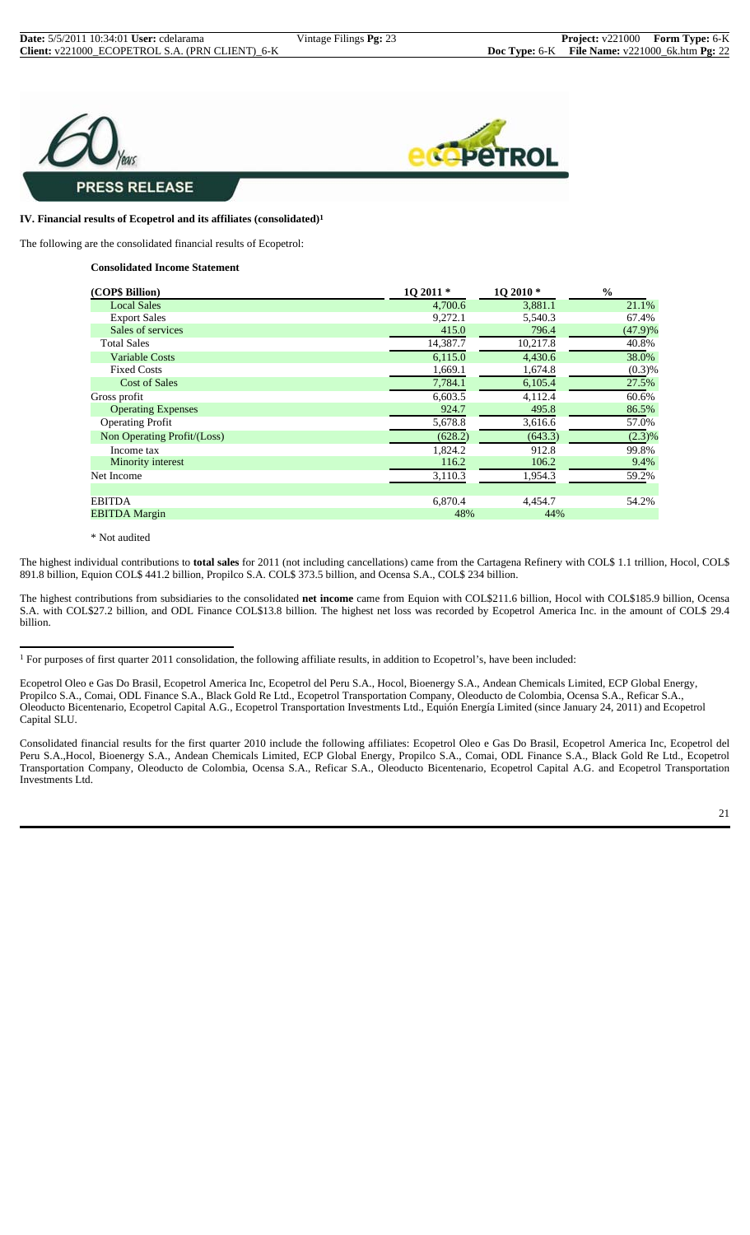



#### **IV. Financial results of Ecopetrol and its affiliates (consolidated)1**

The following are the consolidated financial results of Ecopetrol:

**Consolidated Income Statement**

| (COP\$ Billion)             | 10 2011 * | 1Q 2010* | $\frac{0}{0}$ |
|-----------------------------|-----------|----------|---------------|
| <b>Local Sales</b>          | 4,700.6   | 3,881.1  | 21.1%         |
| <b>Export Sales</b>         | 9,272.1   | 5,540.3  | 67.4%         |
| Sales of services           | 415.0     | 796.4    | (47.9)%       |
| <b>Total Sales</b>          | 14,387.7  | 10,217.8 | 40.8%         |
| <b>Variable Costs</b>       | 6,115.0   | 4,430.6  | 38.0%         |
| <b>Fixed Costs</b>          | 1,669.1   | 1,674.8  | $(0.3)$ %     |
| <b>Cost of Sales</b>        | 7,784.1   | 6,105.4  | 27.5%         |
| Gross profit                | 6,603.5   | 4,112.4  | 60.6%         |
| <b>Operating Expenses</b>   | 924.7     | 495.8    | 86.5%         |
| <b>Operating Profit</b>     | 5,678.8   | 3,616.6  | 57.0%         |
| Non Operating Profit/(Loss) | (628.2)   | (643.3)  | (2.3)%        |
| Income tax                  | 1,824.2   | 912.8    | 99.8%         |
| Minority interest           | 116.2     | 106.2    | 9.4%          |
| Net Income                  | 3,110.3   | 1,954.3  | 59.2%         |
|                             |           |          |               |
| <b>EBITDA</b>               | 6,870.4   | 4,454.7  | 54.2%         |
| <b>EBITDA Margin</b>        | 48%       | 44%      |               |

\* Not audited

The highest individual contributions to **total sales** for 2011 (not including cancellations) came from the Cartagena Refinery with COL\$ 1.1 trillion, Hocol, COL\$ 891.8 billion, Equion COL\$ 441.2 billion, Propilco S.A. COL\$ 373.5 billion, and Ocensa S.A., COL\$ 234 billion.

The highest contributions from subsidiaries to the consolidated **net income** came from Equion with COL\$211.6 billion, Hocol with COL\$185.9 billion, Ocensa S.A. with COL\$27.2 billion, and ODL Finance COL\$13.8 billion. The highest net loss was recorded by Ecopetrol America Inc. in the amount of COL\$ 29.4 billion.

 $<sup>1</sup>$  For purposes of first quarter 2011 consolidation, the following affiliate results, in addition to Ecopetrol's, have been included:</sup>

Ecopetrol Oleo e Gas Do Brasil, Ecopetrol America Inc, Ecopetrol del Peru S.A., Hocol, Bioenergy S.A., Andean Chemicals Limited, ECP Global Energy, Propilco S.A., Comai, ODL Finance S.A., Black Gold Re Ltd., Ecopetrol Transportation Company, Oleoducto de Colombia, Ocensa S.A., Reficar S.A., Oleoducto Bicentenario, Ecopetrol Capital A.G., Ecopetrol Transportation Investments Ltd., Equión Energía Limited (since January 24, 2011) and Ecopetrol Capital SLU.

Consolidated financial results for the first quarter 2010 include the following affiliates: Ecopetrol Oleo e Gas Do Brasil, Ecopetrol America Inc, Ecopetrol del Peru S.A.,Hocol, Bioenergy S.A., Andean Chemicals Limited, ECP Global Energy, Propilco S.A., Comai, ODL Finance S.A., Black Gold Re Ltd., Ecopetrol Transportation Company, Oleoducto de Colombia, Ocensa S.A., Reficar S.A., Oleoducto Bicentenario, Ecopetrol Capital A.G. and Ecopetrol Transportation Investments Ltd.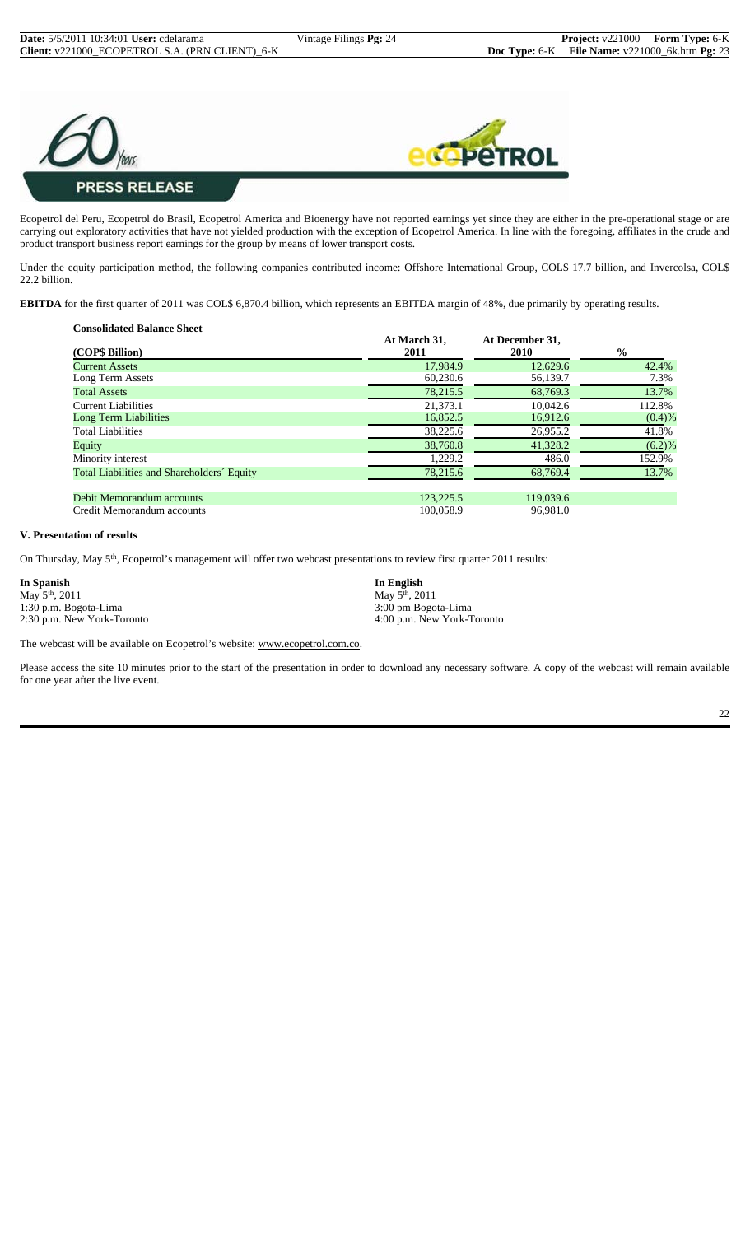

Ecopetrol del Peru, Ecopetrol do Brasil, Ecopetrol America and Bioenergy have not reported earnings yet since they are either in the pre-operational stage or are carrying out exploratory activities that have not yielded production with the exception of Ecopetrol America. In line with the foregoing, affiliates in the crude and product transport business report earnings for the group by means of lower transport costs.

Under the equity participation method, the following companies contributed income: Offshore International Group, COL\$ 17.7 billion, and Invercolsa, COL\$ 22.2 billion.

**EBITDA** for the first quarter of 2011 was COL\$ 6,870.4 billion, which represents an EBITDA margin of 48%, due primarily by operating results.

| <b>Consolidated Balance Sheet</b> |  |
|-----------------------------------|--|

| (COP\$ Billion)                            | At March 31,<br>2011 | At December 31,<br><b>2010</b> | $\frac{0}{0}$ |
|--------------------------------------------|----------------------|--------------------------------|---------------|
| <b>Current Assets</b>                      | 17,984.9             | 12,629.6                       | 42.4%         |
| Long Term Assets                           | 60,230.6             | 56,139.7                       | 7.3%          |
| <b>Total Assets</b>                        | 78,215.5             | 68,769.3                       | 13.7%         |
| <b>Current Liabilities</b>                 | 21,373.1             | 10,042.6                       | 112.8%        |
| <b>Long Term Liabilities</b>               | 16,852.5             | 16,912.6                       | (0.4)%        |
| <b>Total Liabilities</b>                   | 38,225.6             | 26,955.2                       | 41.8%         |
| Equity                                     | 38,760.8             | 41,328.2                       | (6.2)%        |
| Minority interest                          | 1,229.2              | 486.0                          | 152.9%        |
| Total Liabilities and Shareholders' Equity | 78,215.6             | 68,769.4                       | 13.7%         |
| Debit Memorandum accounts                  | 123,225.5            | 119,039.6                      |               |
| Credit Memorandum accounts                 | 100,058.9            | 96.981.0                       |               |

#### **V. Presentation of results**

On Thursday, May 5<sup>th</sup>, Ecopetrol's management will offer two webcast presentations to review first quarter 2011 results:

May 5<sup>th</sup>, 2011 May 5<sup>th</sup>, 2011 1:30 p.m. Bogota-Lima 3:00 pm Bogota-Lima 3:00 pm Bogota-Lima 3:00 pm Bogota-Lima 3:00 pm Bogota-Lima 3:00 pm Bogota-Lima 3:00 pm Bogota-Lima 3:00 pm Bogota-Lima 3:00 pm Bogota-Lima 3:00 pm Bogota-Lima 3:00 pm Bogota-Lima

**In Spanish In English** 2:30 p.m. New York-Toronto 4:00 p.m. New York-Toronto

The webcast will be available on Ecopetrol's website: www.ecopetrol.com.co.

Please access the site 10 minutes prior to the start of the presentation in order to download any necessary software. A copy of the webcast will remain available for one year after the live event.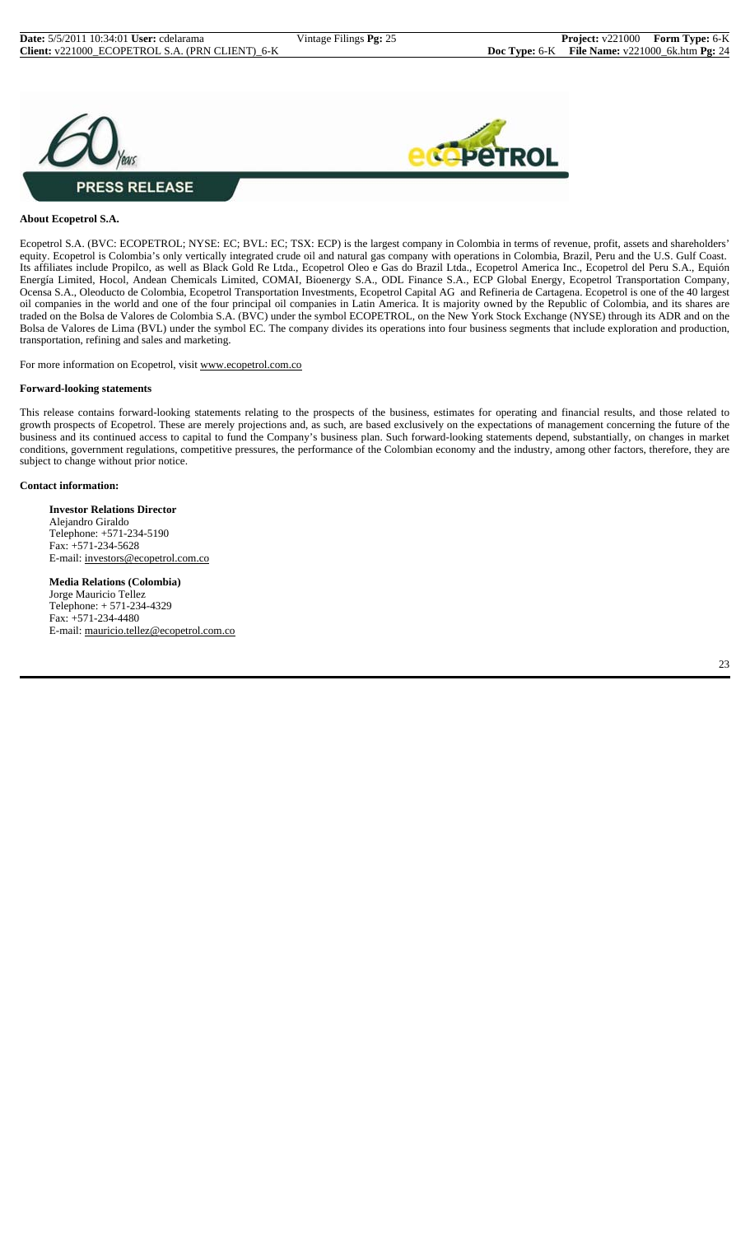



#### **About Ecopetrol S.A.**

Ecopetrol S.A. (BVC: ECOPETROL; NYSE: EC; BVL: EC; TSX: ECP) is the largest company in Colombia in terms of revenue, profit, assets and shareholders' equity. Ecopetrol is Colombia's only vertically integrated crude oil and natural gas company with operations in Colombia, Brazil, Peru and the U.S. Gulf Coast. Its affiliates include Propilco, as well as Black Gold Re Ltda., Ecopetrol Oleo e Gas do Brazil Ltda., Ecopetrol America Inc., Ecopetrol del Peru S.A., Equión Energía Limited, Hocol, Andean Chemicals Limited, COMAI, Bioenergy S.A., ODL Finance S.A., ECP Global Energy, Ecopetrol Transportation Company, Ocensa S.A., Oleoducto de Colombia, Ecopetrol Transportation Investments, Ecopetrol Capital AG and Refineria de Cartagena. Ecopetrol is one of the 40 largest oil companies in the world and one of the four principal oil companies in Latin America. It is majority owned by the Republic of Colombia, and its shares are traded on the Bolsa de Valores de Colombia S.A. (BVC) under the symbol ECOPETROL, on the New York Stock Exchange (NYSE) through its ADR and on the Bolsa de Valores de Lima (BVL) under the symbol EC. The company divides its operations into four business segments that include exploration and production, transportation, refining and sales and marketing.

For more information on Ecopetrol, visit www.ecopetrol.com.co

#### **Forward-looking statements**

This release contains forward-looking statements relating to the prospects of the business, estimates for operating and financial results, and those related to growth prospects of Ecopetrol. These are merely projections and, as such, are based exclusively on the expectations of management concerning the future of the business and its continued access to capital to fund the Company's business plan. Such forward-looking statements depend, substantially, on changes in market conditions, government regulations, competitive pressures, the performance of the Colombian economy and the industry, among other factors, therefore, they are subject to change without prior notice.

#### **Contact information:**

**Investor Relations Director** Alejandro Giraldo Telephone: +571-234-5190 Fax: +571-234-5628 E-mail: investors@ecopetrol.com.co

**Media Relations (Colombia)** Jorge Mauricio Tellez Telephone: + 571-234-4329 Fax: +571-234-4480 E-mail: mauricio.tellez@ecopetrol.com.co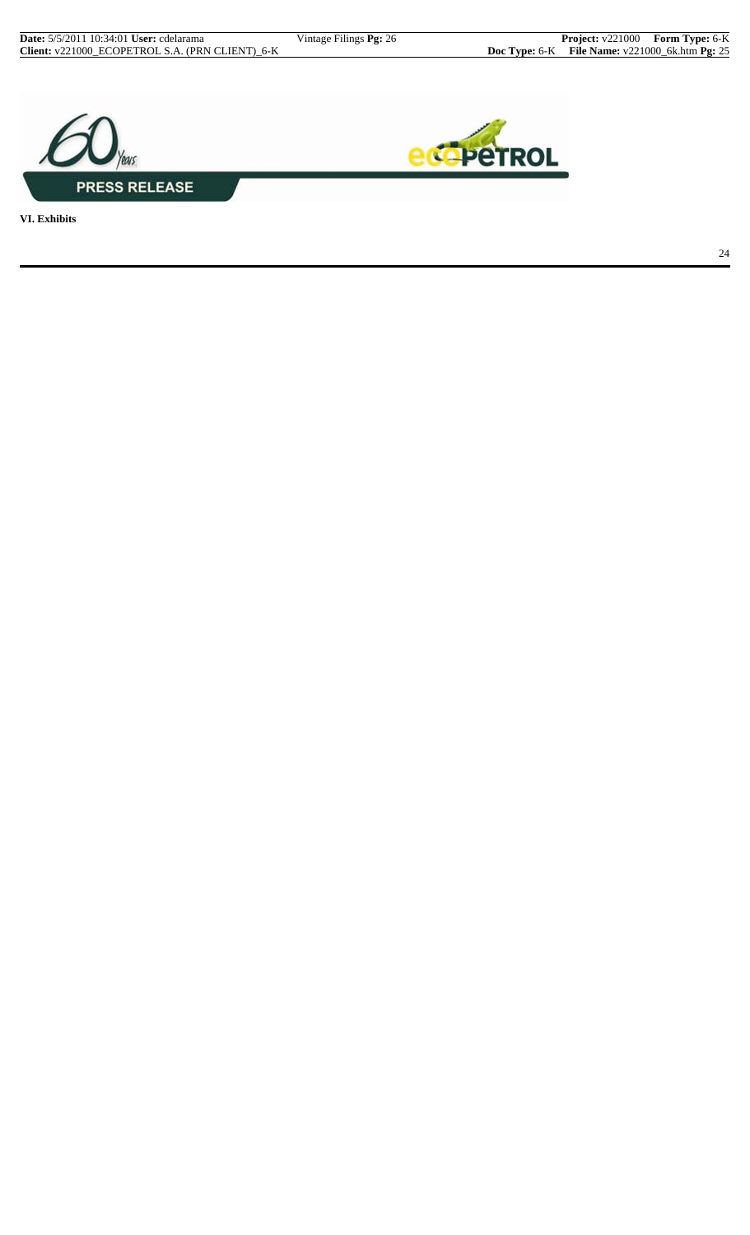



**VI. Exhibits**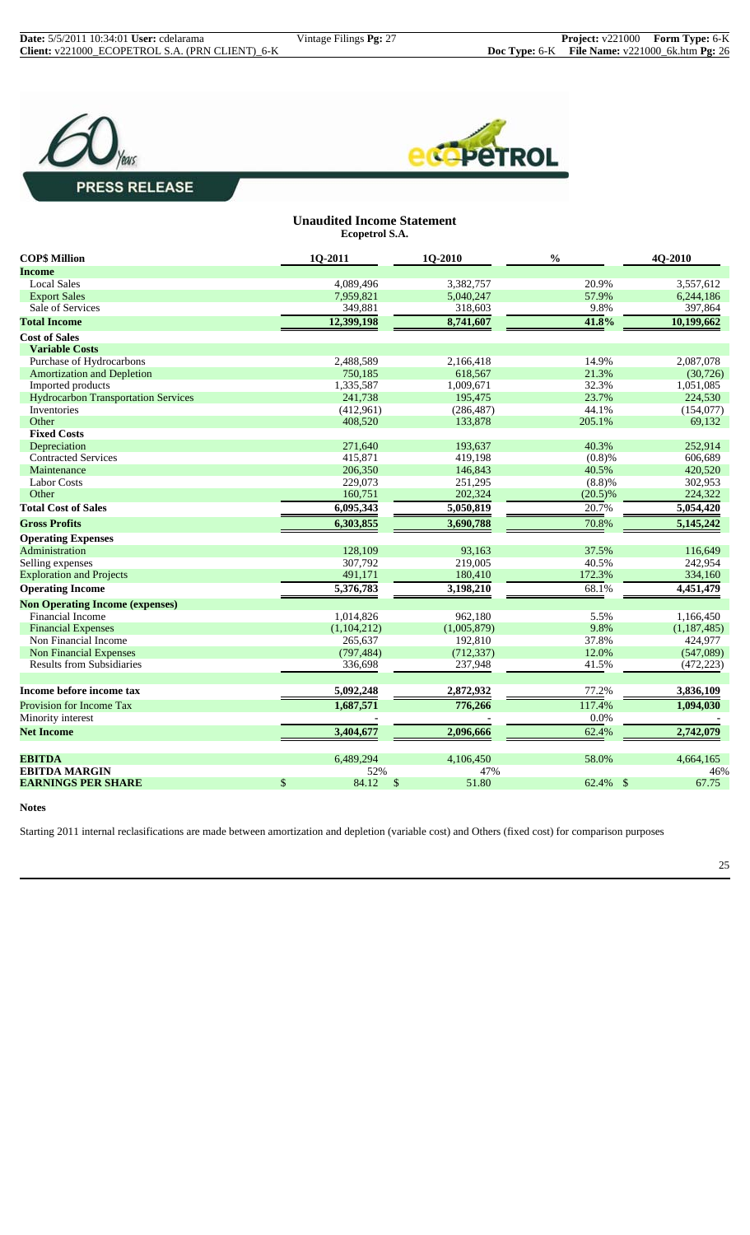



#### **Unaudited Income Statement Ecopetrol S.A.**

| <b>COP\$ Million</b>                       | 1Q-2011     | 1Q-2010     | $\frac{0}{0}$ | 4Q-2010       |
|--------------------------------------------|-------------|-------------|---------------|---------------|
| <b>Income</b>                              |             |             |               |               |
| <b>Local Sales</b>                         | 4,089,496   | 3,382,757   | 20.9%         | 3,557,612     |
| <b>Export Sales</b>                        | 7,959,821   | 5,040,247   | 57.9%         | 6,244,186     |
| Sale of Services                           | 349,881     | 318,603     | 9.8%          | 397,864       |
| <b>Total Income</b>                        | 12,399,198  | 8,741,607   | 41.8%         | 10,199,662    |
| <b>Cost of Sales</b>                       |             |             |               |               |
| <b>Variable Costs</b>                      |             |             |               |               |
| Purchase of Hydrocarbons                   | 2,488,589   | 2,166,418   | 14.9%         | 2,087,078     |
| <b>Amortization and Depletion</b>          | 750,185     | 618,567     | 21.3%         | (30, 726)     |
| Imported products                          | 1,335,587   | 1,009,671   | 32.3%         | 1,051,085     |
| <b>Hydrocarbon Transportation Services</b> | 241,738     | 195,475     | 23.7%         | 224,530       |
| Inventories                                | (412,961)   | (286, 487)  | 44.1%         | (154, 077)    |
| Other                                      | 408,520     | 133,878     | 205.1%        | 69,132        |
| <b>Fixed Costs</b>                         |             |             |               |               |
| Depreciation                               | 271,640     | 193.637     | 40.3%         | 252,914       |
| <b>Contracted Services</b>                 | 415,871     | 419,198     | (0.8)%        | 606,689       |
| Maintenance                                | 206,350     | 146,843     | 40.5%         | 420,520       |
| <b>Labor Costs</b>                         | 229,073     | 251,295     | (8.8)%        | 302,953       |
| Other                                      | 160,751     | 202,324     | $(20.5)\%$    | 224,322       |
| <b>Total Cost of Sales</b>                 | 6,095,343   | 5,050,819   | 20.7%         | 5,054,420     |
| <b>Gross Profits</b>                       | 6,303,855   | 3,690,788   | 70.8%         | 5,145,242     |
| <b>Operating Expenses</b>                  |             |             |               |               |
| Administration                             | 128,109     | 93.163      | 37.5%         | 116,649       |
| Selling expenses                           | 307,792     | 219,005     | 40.5%         | 242,954       |
| <b>Exploration and Projects</b>            | 491,171     | 180,410     | 172.3%        | 334,160       |
| <b>Operating Income</b>                    | 5,376,783   | 3,198,210   | 68.1%         | 4,451,479     |
| <b>Non Operating Income (expenses)</b>     |             |             |               |               |
| <b>Financial Income</b>                    | 1,014,826   | 962,180     | 5.5%          | 1,166,450     |
| <b>Financial Expenses</b>                  | (1,104,212) | (1,005,879) | 9.8%          | (1, 187, 485) |
| Non Financial Income                       | 265,637     | 192,810     | 37.8%         | 424,977       |
| <b>Non Financial Expenses</b>              | (797, 484)  | (712, 337)  | 12.0%         | (547,089)     |
| <b>Results from Subsidiaries</b>           | 336,698     | 237,948     | 41.5%         | (472, 223)    |
|                                            |             |             |               |               |
| Income before income tax                   | 5,092,248   | 2,872,932   | 77.2%         | 3,836,109     |
| Provision for Income Tax                   | 1,687,571   | 776,266     | 117.4%        | 1,094,030     |
| Minority interest                          |             |             | 0.0%          |               |
| <b>Net Income</b>                          | 3,404,677   | 2,096,666   | 62.4%         | 2,742,079     |
| <b>EBITDA</b>                              | 6,489,294   | 4,106,450   | 58.0%         | 4,664,165     |
| <b>EBITDA MARGIN</b>                       | 52%         | 47%         |               | 46%           |
| <b>EARNINGS PER SHARE</b>                  | \$<br>84.12 | \$<br>51.80 | 62.4% \$      | 67.75         |
|                                            |             |             |               |               |

**Notes**

Starting 2011 internal reclasifications are made between amortization and depletion (variable cost) and Others (fixed cost) for comparison purposes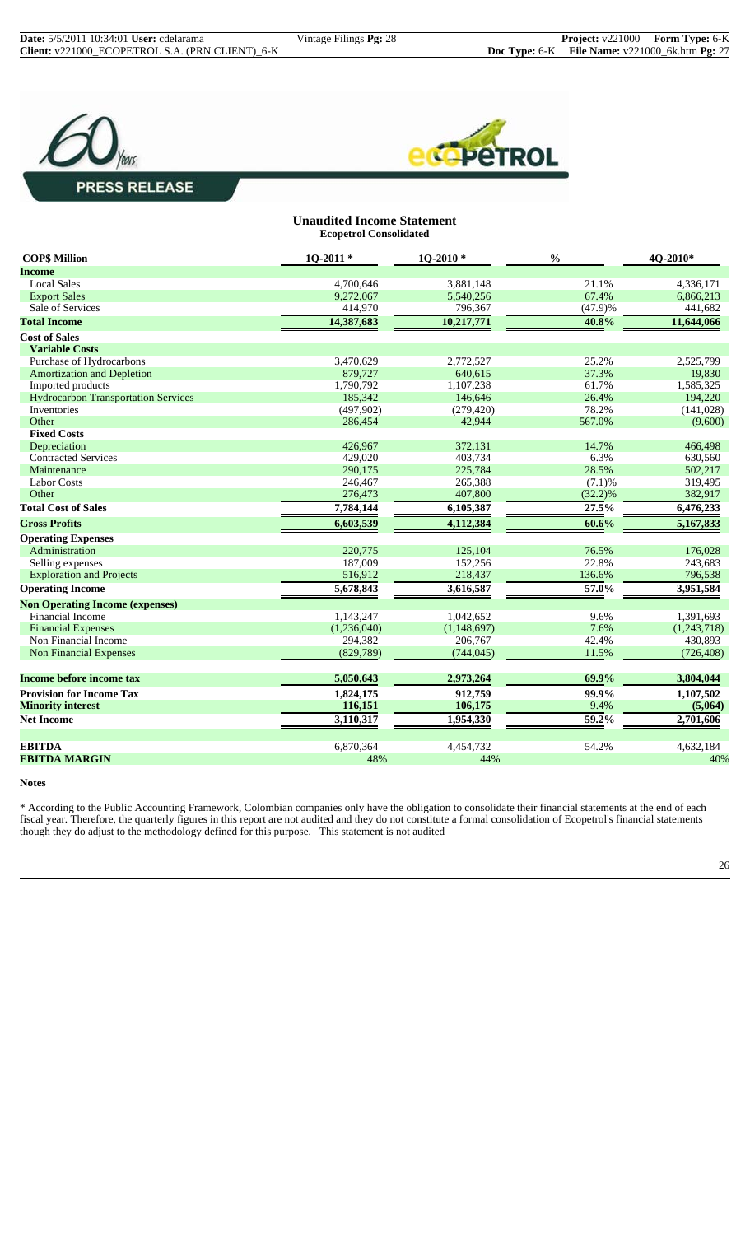



#### **Unaudited Income Statement Ecopetrol Consolidated**

| <b>COP\$ Million</b>                       | $10-2011*$  | 1Q-2010*    | $\frac{0}{0}$ | 4Q-2010*    |
|--------------------------------------------|-------------|-------------|---------------|-------------|
| Income                                     |             |             |               |             |
| <b>Local Sales</b>                         | 4,700,646   | 3,881,148   | 21.1%         | 4,336,171   |
| <b>Export Sales</b>                        | 9,272,067   | 5,540,256   | 67.4%         | 6,866,213   |
| Sale of Services                           | 414,970     | 796,367     | (47.9)%       | 441,682     |
| <b>Total Income</b>                        | 14,387,683  | 10,217,771  | 40.8%         | 11,644,066  |
| <b>Cost of Sales</b>                       |             |             |               |             |
| <b>Variable Costs</b>                      |             |             |               |             |
| Purchase of Hydrocarbons                   | 3,470,629   | 2,772,527   | 25.2%         | 2,525,799   |
| <b>Amortization and Depletion</b>          | 879,727     | 640,615     | 37.3%         | 19,830      |
| Imported products                          | 1,790,792   | 1,107,238   | 61.7%         | 1,585,325   |
| <b>Hydrocarbon Transportation Services</b> | 185,342     | 146,646     | 26.4%         | 194,220     |
| Inventories                                | (497,902)   | (279, 420)  | 78.2%         | (141,028)   |
| Other                                      | 286,454     | 42,944      | 567.0%        | (9,600)     |
| <b>Fixed Costs</b>                         |             |             |               |             |
| Depreciation                               | 426,967     | 372,131     | 14.7%         | 466,498     |
| <b>Contracted Services</b>                 | 429,020     | 403,734     | 6.3%          | 630,560     |
| Maintenance                                | 290,175     | 225,784     | 28.5%         | 502,217     |
| <b>Labor Costs</b>                         | 246,467     | 265,388     | (7.1)%        | 319,495     |
| Other                                      | 276,473     | 407,800     | (32.2)%       | 382,917     |
| <b>Total Cost of Sales</b>                 | 7,784,144   | 6,105,387   | 27.5%         | 6,476,233   |
| <b>Gross Profits</b>                       | 6,603,539   | 4,112,384   | 60.6%         | 5,167,833   |
| <b>Operating Expenses</b>                  |             |             |               |             |
| Administration                             | 220,775     | 125,104     | 76.5%         | 176,028     |
| Selling expenses                           | 187,009     | 152,256     | 22.8%         | 243,683     |
| <b>Exploration and Projects</b>            | 516,912     | 218,437     | 136.6%        | 796,538     |
| <b>Operating Income</b>                    | 5,678,843   | 3,616,587   | $57.0\%$      | 3,951,584   |
| <b>Non Operating Income (expenses)</b>     |             |             |               |             |
| <b>Financial Income</b>                    | 1,143,247   | 1,042,652   | 9.6%          | 1,391,693   |
| <b>Financial Expenses</b>                  | (1,236,040) | (1,148,697) | 7.6%          | (1,243,718) |
| Non Financial Income                       | 294,382     | 206,767     | 42.4%         | 430,893     |
| <b>Non Financial Expenses</b>              | (829, 789)  | (744, 045)  | 11.5%         | (726, 408)  |
| <b>Income before income tax</b>            | 5,050,643   | 2,973,264   | 69.9%         | 3,804,044   |
| <b>Provision for Income Tax</b>            | 1,824,175   | 912,759     | 99.9%         | 1,107,502   |
| <b>Minority interest</b>                   | 116,151     | 106,175     | 9.4%          | (5,064)     |
| <b>Net Income</b>                          | 3,110,317   | 1,954,330   | 59.2%         | 2,701,606   |
|                                            |             |             |               |             |
| <b>EBITDA</b>                              | 6,870,364   | 4,454,732   | 54.2%         | 4,632,184   |
| <b>EBITDA MARGIN</b>                       | 48%         | 44%         |               | 40%         |

**Notes**

\* According to the Public Accounting Framework, Colombian companies only have the obligation to consolidate their financial statements at the end of each fiscal year. Therefore, the quarterly figures in this report are not audited and they do not constitute a formal consolidation of Ecopetrol's financial statements though they do adjust to the methodology defined for this purpose. This statement is not audited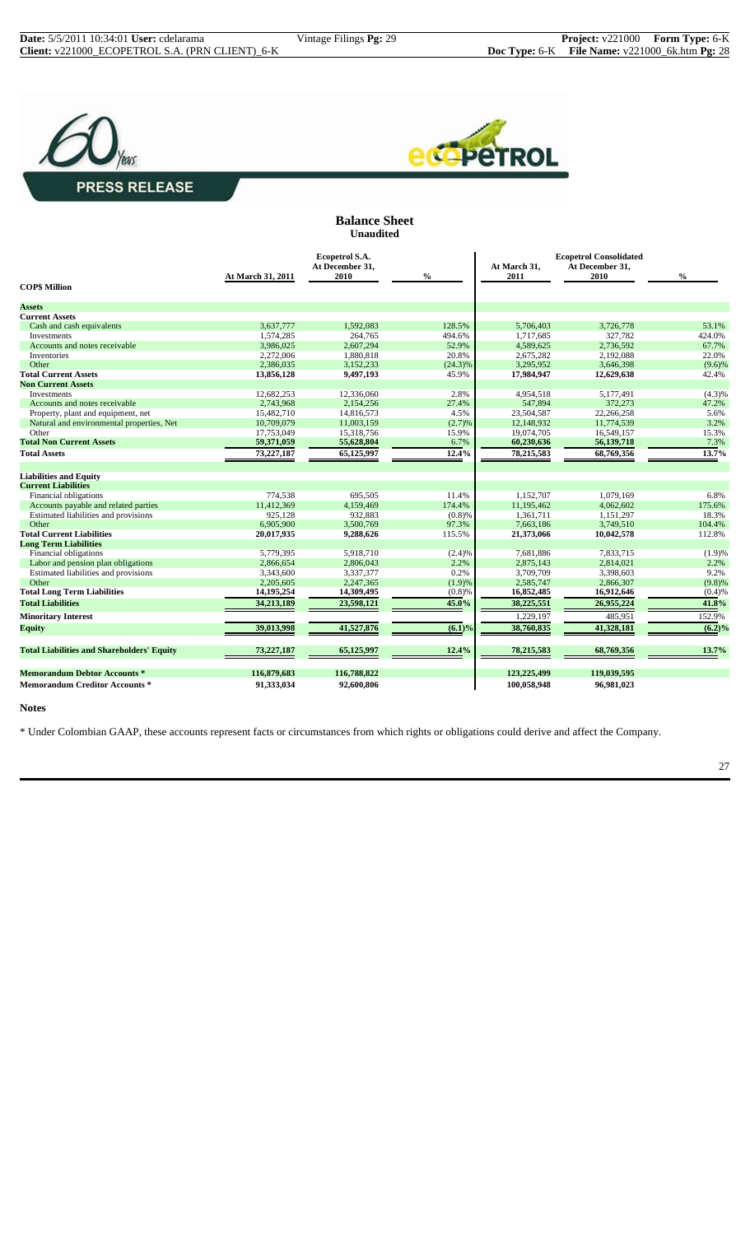



#### **Balance Sheet Unaudited**

|                                                    | At March 31, 2011        | Ecopetrol S.A.<br>At December 31,<br>2010 | $\%$            | At March 31.<br>2011     | <b>Ecopetrol Consolidated</b><br>At December 31,<br>2010 | $\frac{0}{0}$ |
|----------------------------------------------------|--------------------------|-------------------------------------------|-----------------|--------------------------|----------------------------------------------------------|---------------|
| <b>COPS Million</b>                                |                          |                                           |                 |                          |                                                          |               |
| <b>Assets</b>                                      |                          |                                           |                 |                          |                                                          |               |
| <b>Current Assets</b>                              |                          |                                           |                 |                          |                                                          |               |
| Cash and cash equivalents                          | 3,637,777                | 1,592,083                                 | 128.5%          | 5,706,403                | 3,726,778                                                | 53.1%         |
| Investments                                        | 1,574,285                | 264,765                                   | 494.6%          | 1,717,685                | 327,782                                                  | 424.0%        |
| Accounts and notes receivable                      | 3,986,025                | 2,607,294                                 | 52.9%           | 4,589,625                | 2,736,592                                                | 67.7%         |
| Inventories                                        | 2,272,006                | 1,880,818                                 | 20.8%           | 2,675,282                | 2,192,088                                                | 22.0%         |
| Other                                              | 2,386,035                | 3,152,233                                 | $(24.3)\%$      | 3,295,952                | 3,646,398                                                | (9.6)%        |
| <b>Total Current Assets</b>                        | 13,856,128               | 9,497,193                                 | 45.9%           | 17,984,947               | 12,629,638                                               | 42.4%         |
| <b>Non Current Assets</b>                          |                          |                                           |                 |                          |                                                          |               |
| Investments                                        | 12,682,253               | 12,336,060                                | 2.8%            | 4,954,518                | 5,177,491                                                | (4.3)%        |
| Accounts and notes receivable                      | 2,743,968                | 2,154,256                                 | 27.4%           | 547,894                  | 372,273                                                  | 47.2%         |
| Property, plant and equipment, net                 | 15,482,710               | 14,816,573                                | 4.5%            | 23,504,587               | 22,266,258                                               | 5.6%          |
| Natural and environmental properties, Net<br>Other | 10,709,079<br>17,753,049 | 11,003,159<br>15.318.756                  | (2.7)%<br>15.9% | 12,148,932<br>19,074,705 | 11,774,539<br>16.549.157                                 | 3.2%<br>15.3% |
| <b>Total Non Current Assets</b>                    | 59,371,059               | 55,628,804                                | 6.7%            | 60,230,636               | 56,139,718                                               | 7.3%          |
|                                                    |                          |                                           |                 |                          |                                                          |               |
| <b>Total Assets</b>                                | 73,227,187               | 65,125,997                                | 12.4%           | 78,215,583               | 68,769,356                                               | 13.7%         |
| <b>Liabilities and Equity</b>                      |                          |                                           |                 |                          |                                                          |               |
| <b>Current Liabilities</b>                         |                          |                                           |                 |                          |                                                          |               |
| Financial obligations                              | 774,538                  | 695,505                                   | 11.4%           | 1,152,707                | 1,079,169                                                | 6.8%          |
| Accounts payable and related parties               | 11,412,369               | 4,159,469                                 | 174.4%          | 11,195,462               | 4,062,602                                                | 175.6%        |
| Estimated liabilities and provisions               | 925,128                  | 932,883                                   | (0.8)%          | 1,361,711                | 1,151,297                                                | 18.3%         |
| Other                                              | 6,905,900                | 3,500,769                                 | 97.3%           | 7,663,186                | 3,749,510                                                | 104.4%        |
| <b>Total Current Liabilities</b>                   | 20,017,935               | 9,288,626                                 | 115.5%          | 21,373,066               | 10,042,578                                               | 112.8%        |
| <b>Long Term Liabilities</b>                       |                          |                                           |                 |                          |                                                          |               |
| Financial obligations                              | 5,779,395                | 5,918,710                                 | (2.4)%          | 7,681,886                | 7.833.715                                                | (1.9)%        |
| Labor and pension plan obligations                 | 2,866,654                | 2,806,043                                 | 2.2%            | 2,875,143                | 2,814,021                                                | 2.2%          |
| Estimated liabilities and provisions               | 3,343,600                | 3,337,377                                 | 0.2%            | 3,709,709                | 3,398,603                                                | 9.2%          |
| Other                                              | 2,205,605                | 2,247,365                                 | (1.9)%          | 2,585,747                | 2,866,307                                                | (9.8)%        |
| <b>Total Long Term Liabilities</b>                 | 14,195,254               | 14,309,495                                | (0.8)%          | 16,852,485               | 16,912,646                                               | (0.4)%        |
| <b>Total Liabilities</b>                           | 34,213,189               | 23,598,121                                | 45.0%           | 38,225,551               | 26,955,224                                               | 41.8%         |
| <b>Minoritary Interest</b>                         |                          |                                           |                 | 1,229,197                | 485,951                                                  | 152.9%        |
| <b>Equity</b>                                      | 39,013,998               | 41,527,876                                | $(6.1)\%$       | 38,760,835               | 41,328,181                                               | $(6.2)\%$     |
| <b>Total Liabilities and Shareholders' Equity</b>  | 73,227,187               | 65,125,997                                | 12.4%           | 78,215,583               | 68,769,356                                               | 13.7%         |
| <b>Memorandum Debtor Accounts*</b>                 | 116,879,683              | 116,788,822                               |                 | 123,225,499              | 119,039,595                                              |               |
| <b>Memorandum Creditor Accounts *</b>              | 91,333,034               | 92,600,806                                |                 | 100,058,948              | 96,981,023                                               |               |

#### **Notes**

\* Under Colombian GAAP, these accounts represent facts or circumstances from which rights or obligations could derive and affect the Company.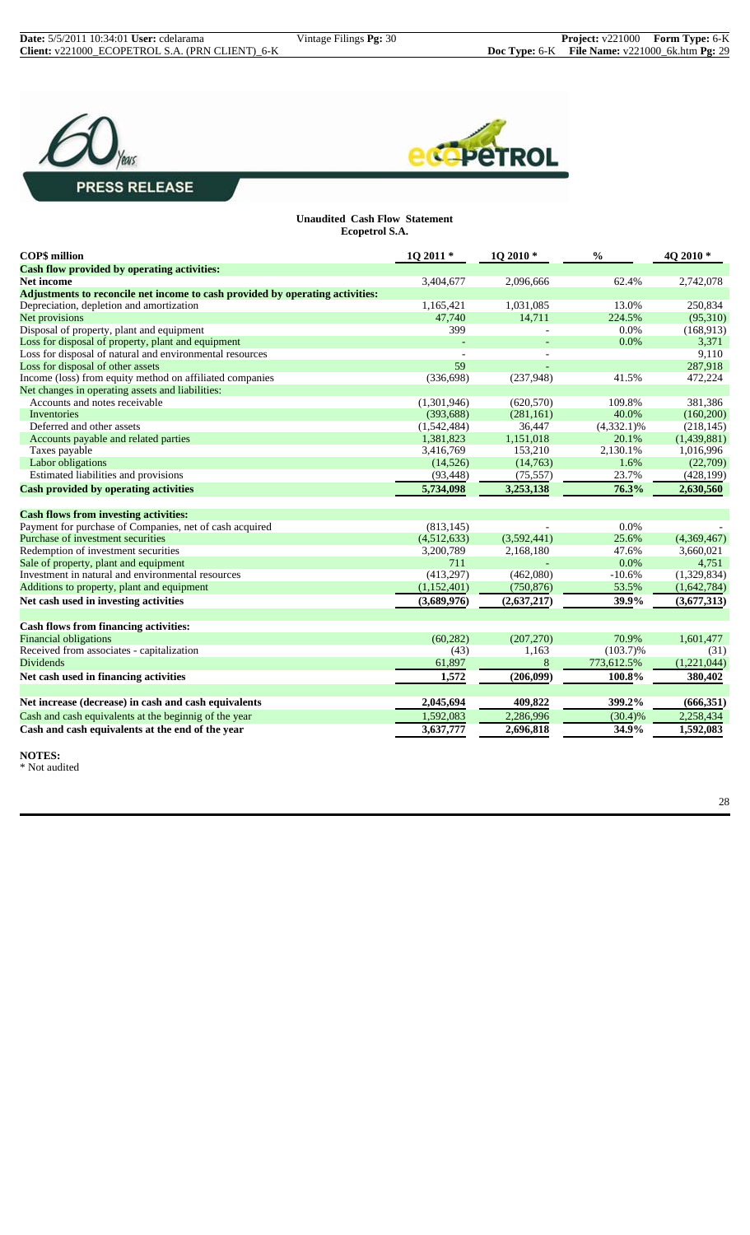



**Unaudited Cash Flow Statement Ecopetrol S.A.**

| <b>COP\$</b> million                                                          | 1Q 2011 *   | 1Q 2010*    | $\frac{0}{0}$ | 4Q 2010*    |
|-------------------------------------------------------------------------------|-------------|-------------|---------------|-------------|
| Cash flow provided by operating activities:                                   |             |             |               |             |
| <b>Net income</b>                                                             | 3,404,677   | 2.096.666   | 62.4%         | 2,742,078   |
| Adjustments to reconcile net income to cash provided by operating activities: |             |             |               |             |
| Depreciation, depletion and amortization                                      | 1,165,421   | 1,031,085   | 13.0%         | 250,834     |
| Net provisions                                                                | 47,740      | 14,711      | 224.5%        | (95,310)    |
| Disposal of property, plant and equipment                                     | 399         |             | 0.0%          | (168, 913)  |
| Loss for disposal of property, plant and equipment                            |             |             | 0.0%          | 3,371       |
| Loss for disposal of natural and environmental resources                      |             |             |               | 9,110       |
| Loss for disposal of other assets                                             | 59          |             |               | 287,918     |
| Income (loss) from equity method on affiliated companies                      | (336, 698)  | (237,948)   | 41.5%         | 472,224     |
| Net changes in operating assets and liabilities:                              |             |             |               |             |
| Accounts and notes receivable                                                 | (1,301,946) | (620, 570)  | 109.8%        | 381,386     |
| Inventories                                                                   | (393, 688)  | (281, 161)  | 40.0%         | (160, 200)  |
| Deferred and other assets                                                     | (1,542,484) | 36,447      | $(4,332.1)\%$ | (218, 145)  |
| Accounts payable and related parties                                          | 1,381,823   | 1,151,018   | 20.1%         | (1,439,881) |
| Taxes payable                                                                 | 3,416,769   | 153,210     | 2,130.1%      | 1,016,996   |
| Labor obligations                                                             | (14, 526)   | (14,763)    | 1.6%          | (22,709)    |
| Estimated liabilities and provisions                                          | (93, 448)   | (75, 557)   | 23.7%         | (428, 199)  |
| <b>Cash provided by operating activities</b>                                  | 5,734,098   | 3,253,138   | 76.3%         | 2,630,560   |
| <b>Cash flows from investing activities:</b>                                  |             |             |               |             |
| Payment for purchase of Companies, net of cash acquired                       | (813, 145)  |             | 0.0%          |             |
| Purchase of investment securities                                             | (4,512,633) | (3,592,441) | 25.6%         | (4,369,467) |
| Redemption of investment securities                                           | 3,200,789   | 2,168,180   | 47.6%         | 3,660,021   |
| Sale of property, plant and equipment                                         | 711         |             | 0.0%          | 4,751       |
| Investment in natural and environmental resources                             | (413,297)   | (462,080)   | $-10.6%$      | (1,329,834) |
| Additions to property, plant and equipment                                    | (1,152,401) | (750, 876)  | 53.5%         | (1,642,784) |
| Net cash used in investing activities                                         | (3,689,976) | (2,637,217) | 39.9%         | (3,677,313) |
| Cash flows from financing activities:                                         |             |             |               |             |
| <b>Financial obligations</b>                                                  | (60, 282)   | (207, 270)  | 70.9%         | 1,601,477   |
| Received from associates - capitalization                                     | (43)        | 1,163       | $(103.7)\%$   | (31)        |
| <b>Dividends</b>                                                              | 61,897      | 8           | 773,612.5%    | (1,221,044) |
|                                                                               | 1,572       |             | 100.8%        |             |
| Net cash used in financing activities                                         |             | (206, 099)  |               | 380,402     |
| Net increase (decrease) in cash and cash equivalents                          | 2,045,694   | 409,822     | 399.2%        | (666, 351)  |
| Cash and cash equivalents at the beginnig of the year                         | 1,592,083   | 2,286,996   | $(30.4)\%$    | 2,258,434   |
| Cash and cash equivalents at the end of the year                              | 3,637,777   | 2,696,818   | 34.9%         | 1,592,083   |
|                                                                               |             |             |               |             |

**NOTES:**  $^\ast$  Not audited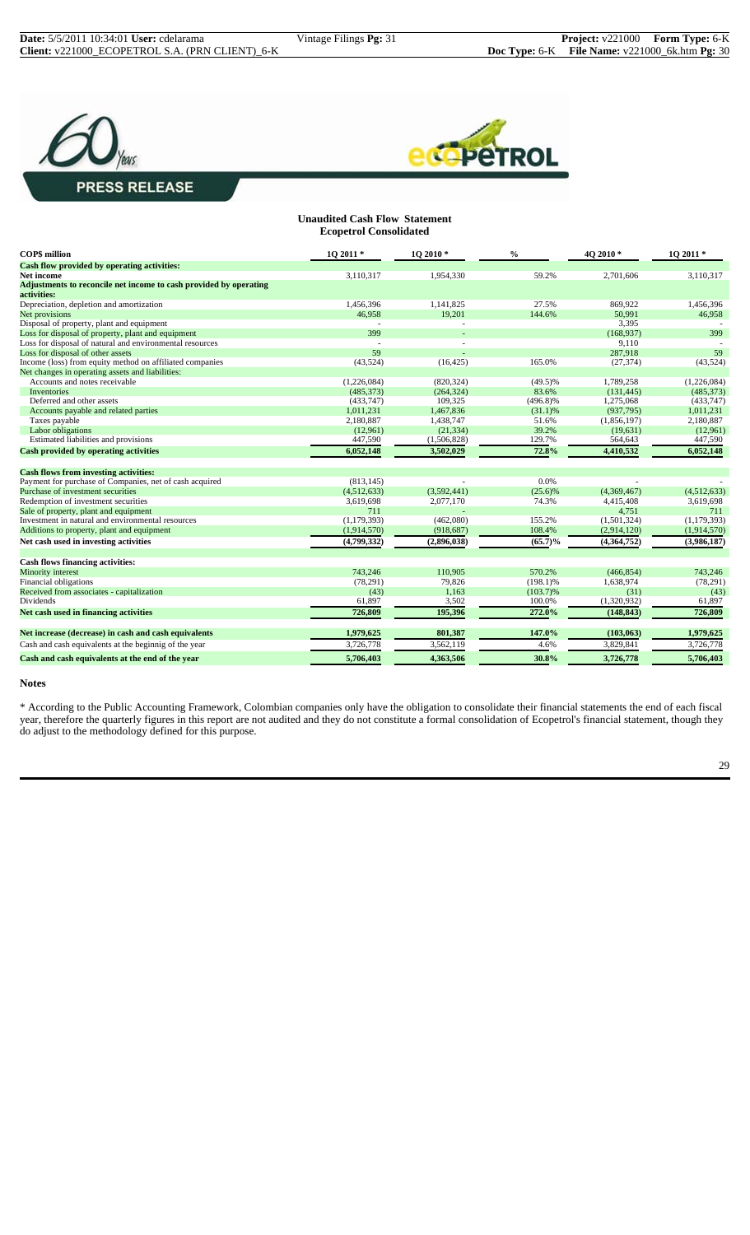# **PRESS RELEASE**



#### **Unaudited Cash Flow Statement Ecopetrol Consolidated**

| <b>COPS</b> million                                               | $102011*$     | $102010*$   | $\frac{0}{0}$ | 40 2010 *   | 10 2011 *     |
|-------------------------------------------------------------------|---------------|-------------|---------------|-------------|---------------|
| Cash flow provided by operating activities:                       |               |             |               |             |               |
| Net income                                                        | 3,110,317     | 1,954,330   | 59.2%         | 2,701,606   | 3,110,317     |
| Adjustments to reconcile net income to cash provided by operating |               |             |               |             |               |
| activities:                                                       |               |             |               |             |               |
| Depreciation, depletion and amortization                          | 1,456,396     | 1,141,825   | 27.5%         | 869,922     | 1,456,396     |
| Net provisions                                                    | 46.958        | 19,201      | 144.6%        | 50,991      | 46,958        |
| Disposal of property, plant and equipment                         |               |             |               | 3,395       |               |
| Loss for disposal of property, plant and equipment                | 399           |             |               | (168, 937)  | 399           |
| Loss for disposal of natural and environmental resources          |               |             |               | 9.110       |               |
| Loss for disposal of other assets                                 | 59            |             |               | 287.918     | 59            |
| Income (loss) from equity method on affiliated companies          | (43,524)      | (16, 425)   | 165.0%        | (27, 374)   | (43,524)      |
| Net changes in operating assets and liabilities:                  |               |             |               |             |               |
| Accounts and notes receivable                                     | (1,226,084)   | (820, 324)  | $(49.5)\%$    | 1,789,258   | (1,226,084)   |
| <b>Inventories</b>                                                | (485, 373)    | (264, 324)  | 83.6%         | (131, 445)  | (485, 373)    |
| Deferred and other assets                                         | (433,747)     | 109,325     | $(496.8)\%$   | 1,275,068   | (433,747)     |
| Accounts payable and related parties                              | 1,011,231     | 1,467,836   | (31.1)%       | (937,795)   | 1,011,231     |
| Taxes payable                                                     | 2,180,887     | 1,438,747   | 51.6%         | (1,856,197) | 2,180,887     |
| Labor obligations                                                 | (12,961)      | (21.334)    | 39.2%         | (19,631)    | (12,961)      |
| Estimated liabilities and provisions                              | 447,590       | (1,506,828) | 129.7%        | 564,643     | 447,590       |
| <b>Cash provided by operating activities</b>                      | 6,052,148     | 3,502,029   | 72.8%         | 4,410,532   | 6,052,148     |
| <b>Cash flows from investing activities:</b>                      |               |             |               |             |               |
| Payment for purchase of Companies, net of cash acquired           | (813, 145)    |             | 0.0%          |             |               |
| Purchase of investment securities                                 | (4,512,633)   | (3,592,441) | (25.6)%       | (4,369,467) | (4,512,633)   |
| Redemption of investment securities                               | 3,619,698     | 2,077,170   | 74.3%         | 4,415,408   | 3,619,698     |
| Sale of property, plant and equipment                             | 711           |             |               | 4,751       | 711           |
| Investment in natural and environmental resources                 | (1, 179, 393) | (462,080)   | 155.2%        | (1,501,324) | (1, 179, 393) |
| Additions to property, plant and equipment                        | (1,914,570)   | (918, 687)  | 108.4%        | (2,914,120) | (1,914,570)   |
| Net cash used in investing activities                             | (4,799,332)   | (2,896,038) | $(65.7)\%$    | (4,364,752) | (3,986,187)   |
| Cash flows financing activities:                                  |               |             |               |             |               |
| Minority interest                                                 | 743,246       | 110,905     | 570.2%        | (466, 854)  | 743,246       |
| Financial obligations                                             | (78, 291)     | 79,826      | $(198.1)\%$   | 1,638,974   | (78,291)      |
| Received from associates - capitalization                         | (43)          | 1,163       | $(103.7)\%$   | (31)        | (43)          |
| Dividends                                                         | 61,897        | 3,502       | 100.0%        | (1,320,932) | 61,897        |
|                                                                   |               |             |               |             |               |
| Net cash used in financing activities                             | 726,809       | 195,396     | 272.0%        | (148, 843)  | 726,809       |
| Net increase (decrease) in cash and cash equivalents              | 1,979,625     | 801,387     | 147.0%        | (103, 063)  | 1,979,625     |
| Cash and cash equivalents at the beginnig of the year             | 3,726,778     | 3,562,119   | 4.6%          | 3,829,841   | 3,726,778     |
| Cash and cash equivalents at the end of the year                  | 5,706,403     | 4,363,506   | 30.8%         | 3,726,778   | 5,706,403     |

#### **Notes**

\* According to the Public Accounting Framework, Colombian companies only have the obligation to consolidate their financial statements the end of each fiscal year, therefore the quarterly figures in this report are not audited and they do not constitute a formal consolidation of Ecopetrol's financial statement, though they do adjust to the methodology defined for this purpose.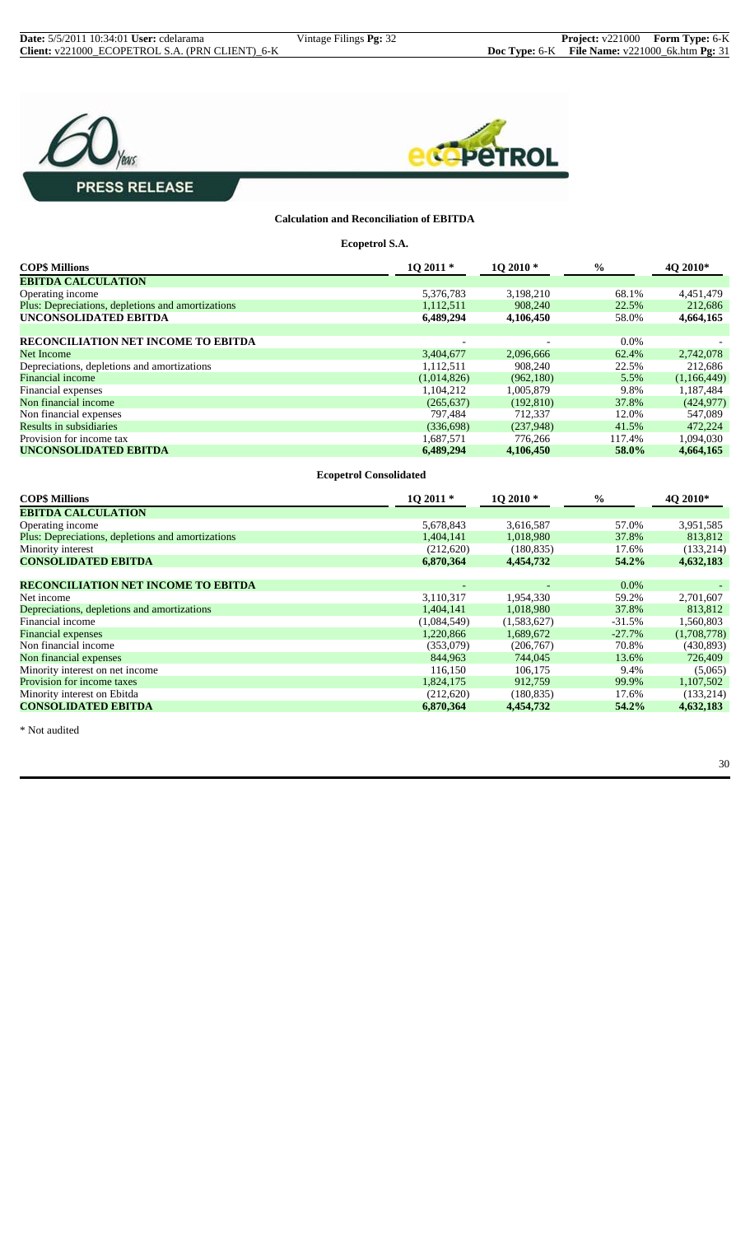



#### **Calculation and Reconciliation of EBITDA**

**Ecopetrol S.A.**

| <b>COP\$ Millions</b>                             | $102011*$                     | 1Q 2010*   | $\frac{6}{6}$ | 4Q 2010*    |
|---------------------------------------------------|-------------------------------|------------|---------------|-------------|
| <b>EBITDA CALCULATION</b>                         |                               |            |               |             |
| Operating income                                  | 5,376,783                     | 3,198,210  | 68.1%         | 4,451,479   |
| Plus: Depreciations, depletions and amortizations | 1,112,511                     | 908,240    | 22.5%         | 212,686     |
| UNCONSOLIDATED EBITDA                             | 6,489,294                     | 4,106,450  | 58.0%         | 4,664,165   |
|                                                   |                               |            |               |             |
| RECONCILIATION NET INCOME TO EBITDA               |                               |            | 0.0%          |             |
| <b>Net Income</b>                                 | 3,404,677                     | 2,096,666  | 62.4%         | 2,742,078   |
| Depreciations, depletions and amortizations       | 1,112,511                     | 908,240    | 22.5%         | 212,686     |
| <b>Financial income</b>                           | (1,014,826)                   | (962,180)  | 5.5%          | (1,166,449) |
| Financial expenses                                | 1,104,212                     | 1,005,879  | 9.8%          | 1,187,484   |
| Non financial income                              | (265, 637)                    | (192, 810) | 37.8%         | (424, 977)  |
| Non financial expenses                            | 797,484                       | 712,337    | 12.0%         | 547,089     |
| Results in subsidiaries                           | (336,698)                     | (237,948)  | 41.5%         | 472,224     |
| Provision for income tax                          | 1,687,571                     | 776,266    | 117.4%        | 1,094,030   |
| <b>UNCONSOLIDATED EBITDA</b>                      | 6,489,294                     | 4,106,450  | 58.0%         | 4,664,165   |
|                                                   |                               |            |               |             |
|                                                   | <b>Ecopetrol Consolidated</b> |            |               |             |
| <b>COP\$ Millions</b>                             | 1Q 2011 *                     | 1Q 2010 *  | $\frac{0}{0}$ | 4Q 2010*    |
| <b>EBITDA CALCULATION</b>                         |                               |            |               |             |
| Operating income                                  | 5,678,843                     | 3,616,587  | 57.0%         | 3,951,585   |
| Plus: Depreciations, depletions and amortizations | 1,404,141                     | 1,018,980  | 37.8%         | 813,812     |
| Minority interest                                 | (212,620)                     | (180, 835) | 17.6%         | (133,214)   |
| <b>CONSOLIDATED EBITDA</b>                        | 6,870,364                     | 4,454,732  | 54.2%         | 4,632,183   |

| соноошилтир притри                          | <u>vw www.</u> | ----------- | $\sim$ to $\sim$ $\sim$ | 700001000   |
|---------------------------------------------|----------------|-------------|-------------------------|-------------|
|                                             |                |             |                         |             |
| <b>RECONCILIATION NET INCOME TO EBITDA</b>  |                |             | $0.0\%$                 |             |
| Net income                                  | 3,110,317      | 1,954,330   | 59.2%                   | 2,701,607   |
| Depreciations, depletions and amortizations | 1,404,141      | 1,018,980   | 37.8%                   | 813,812     |
| Financial income                            | (1,084,549)    | (1,583,627) | $-31.5%$                | 1,560,803   |
| <b>Financial expenses</b>                   | 1,220,866      | 1,689,672   | $-27.7\%$               | (1,708,778) |
| Non financial income                        | (353,079)      | (206,767)   | 70.8%                   | (430,893)   |
| Non financial expenses                      | 844,963        | 744,045     | 13.6%                   | 726,409     |
| Minority interest on net income             | 116,150        | 106.175     | 9.4%                    | (5,065)     |
| Provision for income taxes                  | 1,824,175      | 912,759     | 99.9%                   | 1,107,502   |
| Minority interest on Ebitda                 | (212,620)      | (180, 835)  | 17.6%                   | (133,214)   |
| <b>CONSOLIDATED EBITDA</b>                  | 6,870,364      | 4,454,732   | $54.2\%$                | 4,632,183   |
|                                             |                |             |                         |             |

\* Not audited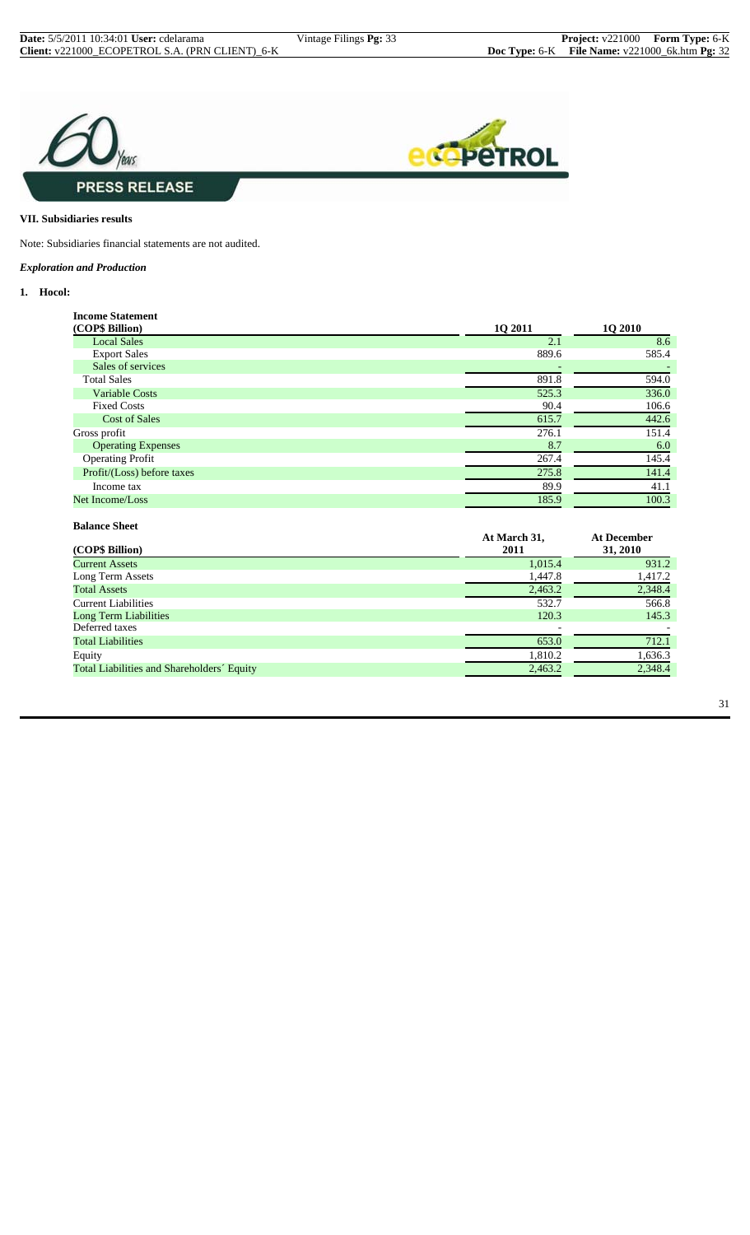

#### **VII. Subsidiaries results**

Note: Subsidiaries financial statements are not audited.

#### *Exploration and Production*

**Balance Sheet**

#### **1. Hocol:**

| <b>Income Statement</b>    |         |                |
|----------------------------|---------|----------------|
| (COP\$ Billion)            | 1Q 2011 | <b>1Q 2010</b> |
| <b>Local Sales</b>         | 2.1     | 8.6            |
| <b>Export Sales</b>        | 889.6   | 585.4          |
| Sales of services          |         |                |
| <b>Total Sales</b>         | 891.8   | 594.0          |
| <b>Variable Costs</b>      | 525.3   | 336.0          |
| <b>Fixed Costs</b>         | 90.4    | 106.6          |
| <b>Cost of Sales</b>       | 615.7   | 442.6          |
| Gross profit               | 276.1   | 151.4          |
| <b>Operating Expenses</b>  | 8.7     | 6.0            |
| <b>Operating Profit</b>    | 267.4   | 145.4          |
| Profit/(Loss) before taxes | 275.8   | 141.4          |
| Income tax                 | 89.9    | 41.1           |
| Net Income/Loss            | 185.9   | 100.3          |
|                            |         |                |

| (COP\$ Billion)                            | At March 31,<br>2011 | <b>At December</b><br>31, 2010 |
|--------------------------------------------|----------------------|--------------------------------|
| <b>Current Assets</b>                      | 1,015.4              | 931.2                          |
| Long Term Assets                           | 1,447.8              | 1,417.2                        |
| <b>Total Assets</b>                        | 2,463.2              | 2,348.4                        |
| <b>Current Liabilities</b>                 | 532.7                | 566.8                          |
| Long Term Liabilities                      | 120.3                | 145.3                          |
| Deferred taxes                             |                      |                                |
| <b>Total Liabilities</b>                   | 653.0                | 712.1                          |
| Equity                                     | 1,810.2              | 1,636.3                        |
| Total Liabilities and Shareholders' Equity | 2,463.2              | 2,348.4                        |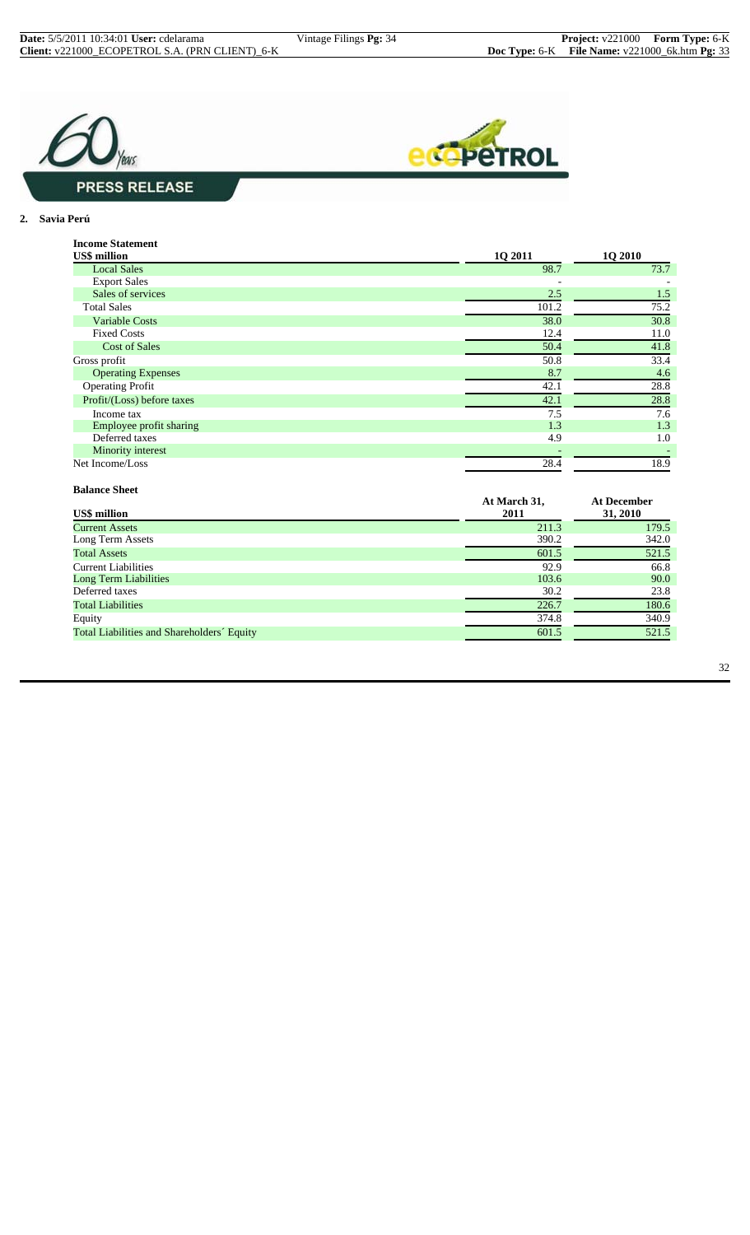



#### **2. Savia Perú**

| <b>Income Statement</b>    |         |         |
|----------------------------|---------|---------|
| <b>US\$</b> million        | 1Q 2011 | 1Q 2010 |
| <b>Local Sales</b>         | 98.7    | 73.7    |
| <b>Export Sales</b>        |         |         |
| Sales of services          | 2.5     | 1.5     |
| <b>Total Sales</b>         | 101.2   | 75.2    |
| <b>Variable Costs</b>      | 38.0    | 30.8    |
| <b>Fixed Costs</b>         | 12.4    | 11.0    |
| <b>Cost of Sales</b>       | 50.4    | 41.8    |
| Gross profit               | 50.8    | 33.4    |
| <b>Operating Expenses</b>  | 8.7     | 4.6     |
| <b>Operating Profit</b>    | 42.1    | 28.8    |
| Profit/(Loss) before taxes | 42.1    | 28.8    |
| Income tax                 | 7.5     | 7.6     |
| Employee profit sharing    | 1.3     | 1.3     |
| Deferred taxes             | 4.9     | 1.0     |
| Minority interest          |         |         |
| Net Income/Loss            | 28.4    | 18.9    |

#### **Balance Sheet**

| Dalance Blittl                             |                      |                         |
|--------------------------------------------|----------------------|-------------------------|
| <b>US\$</b> million                        | At March 31,<br>2011 | At December<br>31, 2010 |
| <b>Current Assets</b>                      | 211.3                | 179.5                   |
| Long Term Assets                           | 390.2                | 342.0                   |
| <b>Total Assets</b>                        | 601.5                | 521.5                   |
| <b>Current Liabilities</b>                 | 92.9                 | 66.8                    |
| <b>Long Term Liabilities</b>               | 103.6                | 90.0                    |
| Deferred taxes                             | 30.2                 | 23.8                    |
| <b>Total Liabilities</b>                   | 226.7                | 180.6                   |
| Equity                                     | 374.8                | 340.9                   |
| Total Liabilities and Shareholders' Equity | 601.5                | 521.5                   |
|                                            |                      |                         |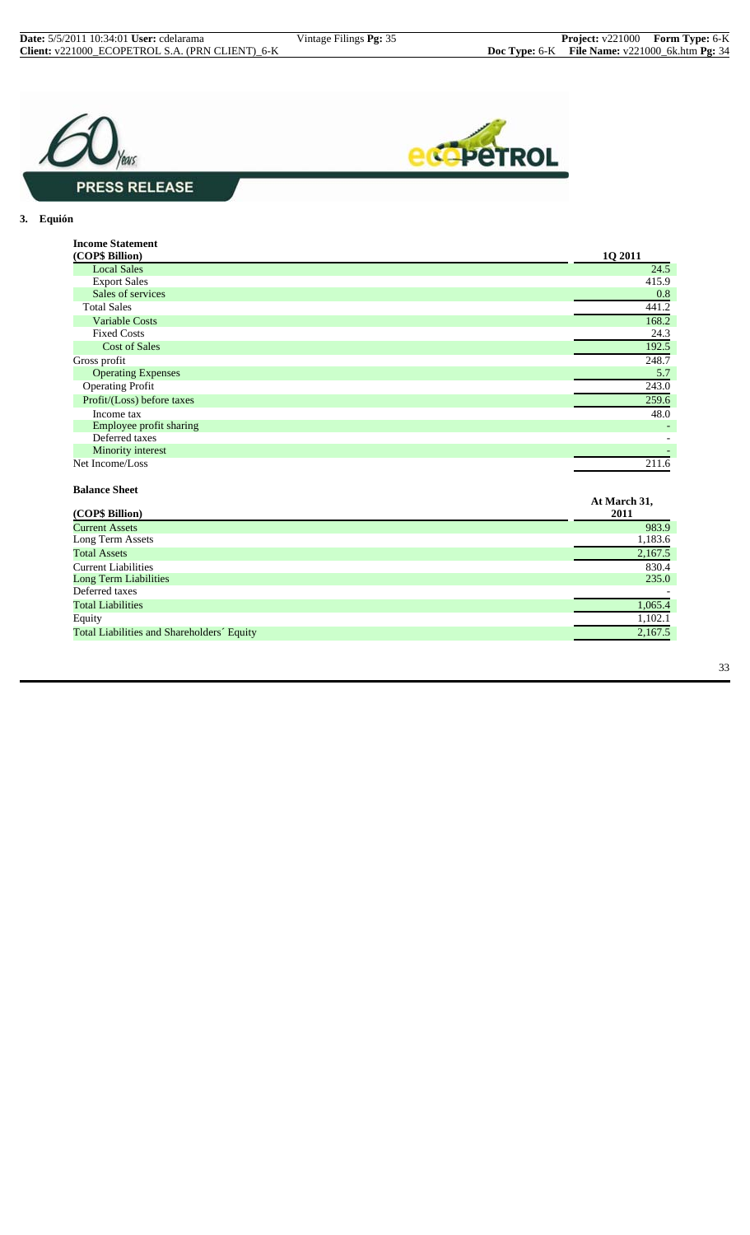



#### **3. Equión**

| <b>Income Statement</b>    |         |
|----------------------------|---------|
| (COP\$ Billion)            | 1Q 2011 |
| <b>Local Sales</b>         | 24.5    |
| <b>Export Sales</b>        | 415.9   |
| Sales of services          | 0.8     |
| <b>Total Sales</b>         | 441.2   |
| <b>Variable Costs</b>      | 168.2   |
| <b>Fixed Costs</b>         | 24.3    |
| <b>Cost of Sales</b>       | 192.5   |
| Gross profit               | 248.7   |
| <b>Operating Expenses</b>  | 5.7     |
| <b>Operating Profit</b>    | 243.0   |
| Profit/(Loss) before taxes | 259.6   |
| Income tax                 | 48.0    |
| Employee profit sharing    |         |
| Deferred taxes             |         |
| Minority interest          |         |
| Net Income/Loss            | 211.6   |

#### **Balance Sheet**

| ратансе энест                              |                      |
|--------------------------------------------|----------------------|
| (COP\$ Billion)                            | At March 31,<br>2011 |
| <b>Current Assets</b>                      | 983.9                |
| Long Term Assets                           | 1,183.6              |
| <b>Total Assets</b>                        | 2,167.5              |
| <b>Current Liabilities</b>                 | 830.4                |
| <b>Long Term Liabilities</b>               | 235.0                |
| Deferred taxes                             |                      |
| <b>Total Liabilities</b>                   | 1,065.4              |
| Equity                                     | 1,102.1              |
| Total Liabilities and Shareholders' Equity | 2,167.5              |
|                                            |                      |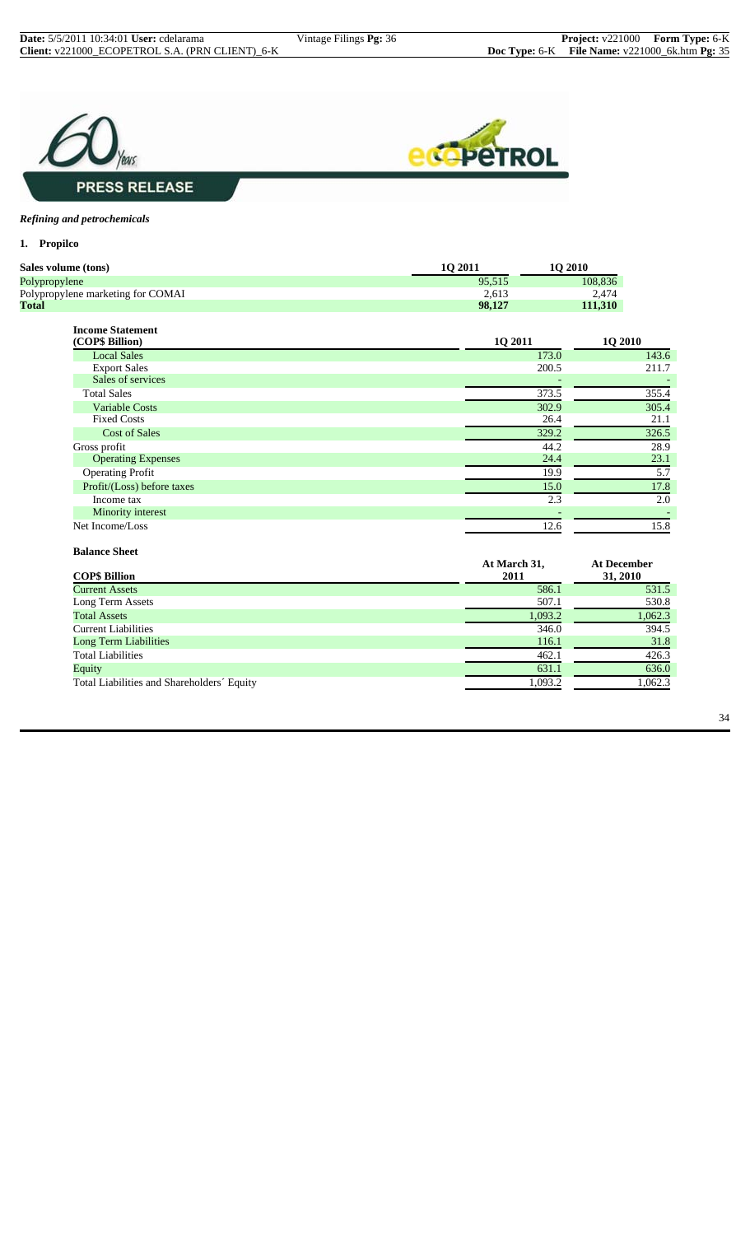



#### *Refining and petrochemicals*

**1. Propilco**

| <b>1O 2010</b>    |
|-------------------|
| 08.836<br>95.515  |
| 2.613<br>2,474    |
| 111.310<br>98.127 |
|                   |

| <b>Income Statement</b>    |                |                |
|----------------------------|----------------|----------------|
| (COP\$ Billion)            | <b>1Q 2011</b> | <b>1Q 2010</b> |
| <b>Local Sales</b>         | 173.0          | 143.6          |
| <b>Export Sales</b>        | 200.5          | 211.7          |
| Sales of services          |                |                |
| <b>Total Sales</b>         | 373.5          | 355.4          |
| <b>Variable Costs</b>      | 302.9          | 305.4          |
| <b>Fixed Costs</b>         | 26.4           | 21.1           |
| <b>Cost of Sales</b>       | 329.2          | 326.5          |
| Gross profit               | 44.2           | 28.9           |
| <b>Operating Expenses</b>  | 24.4           | 23.1           |
| <b>Operating Profit</b>    | 19.9           | 5.7            |
| Profit/(Loss) before taxes | 15.0           | 17.8           |
| Income tax                 | 2.3            | 2.0            |
| Minority interest          |                |                |
| Net Income/Loss            | 12.6           | 15.8           |

#### **Balance Sheet**

|                                            | At March 31, | <b>At December</b> |
|--------------------------------------------|--------------|--------------------|
| <b>COP\$ Billion</b>                       | 2011         | 31, 2010           |
| <b>Current Assets</b>                      | 586.1        | 531.5              |
| Long Term Assets                           | 507.1        | 530.8              |
| <b>Total Assets</b>                        | 1,093.2      | 1,062.3            |
| <b>Current Liabilities</b>                 | 346.0        | 394.5              |
| Long Term Liabilities                      | 116.1        | 31.8               |
| <b>Total Liabilities</b>                   | 462.1        | 426.3              |
| Equity                                     | 631.1        | 636.0              |
| Total Liabilities and Shareholders' Equity | 1,093.2      | 1,062.3            |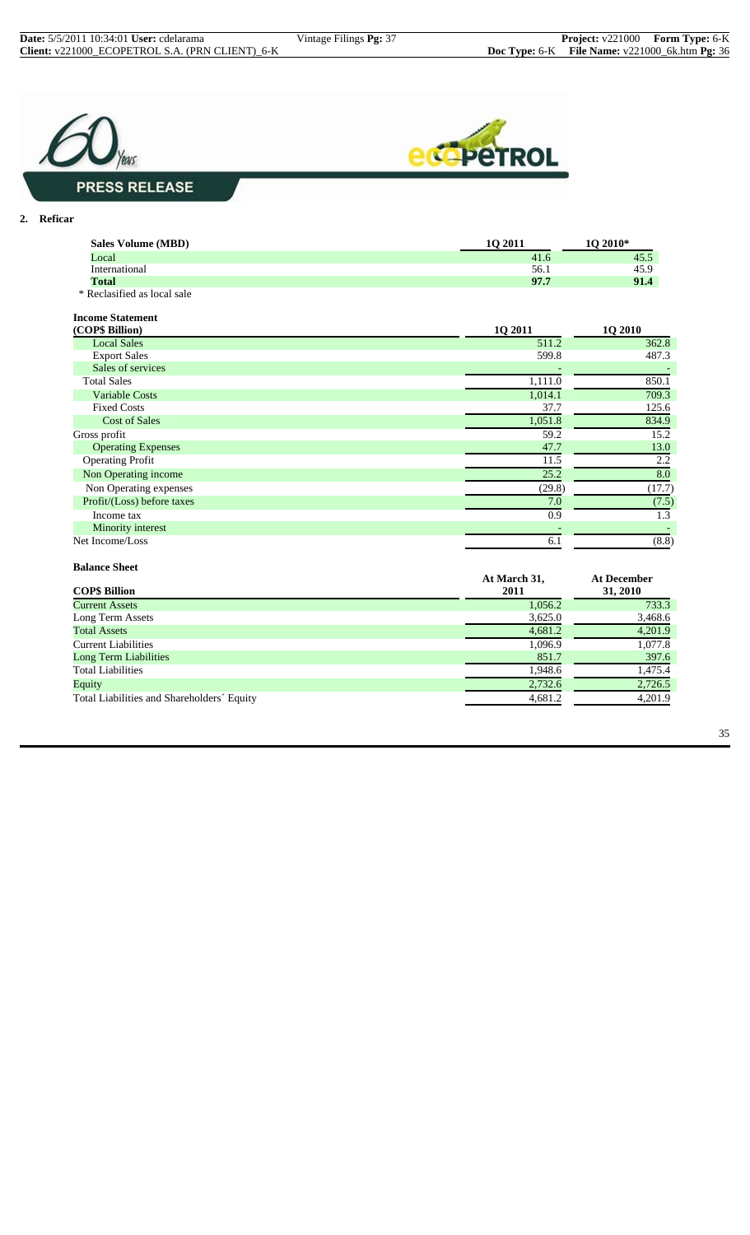



**2. Reficar**

| <b>Sales Volume (MBD)</b>                  | 10 2011         | 1Q 2010*        |
|--------------------------------------------|-----------------|-----------------|
| Local                                      | 41.6            | 45.5            |
| International                              | 56.1            | 45.9            |
| Total                                      | 97.7            | 91.4            |
| * Reclasified as local sale                |                 |                 |
| <b>Income Statement</b><br>$(CDo$ Rillian) | 1 $\Omega$ 2011 | 1 $\Omega$ 2010 |

| (COP\$ Billion)            | 10 2011 | <b>1Q 2010</b> |
|----------------------------|---------|----------------|
| <b>Local Sales</b>         | 511.2   | 362.8          |
| <b>Export Sales</b>        | 599.8   | 487.3          |
| Sales of services          |         |                |
| <b>Total Sales</b>         | 1,111.0 | 850.1          |
| <b>Variable Costs</b>      | 1,014.1 | 709.3          |
| <b>Fixed Costs</b>         | 37.7    | 125.6          |
| <b>Cost of Sales</b>       | 1,051.8 | 834.9          |
| Gross profit               | 59.2    | 15.2           |
| <b>Operating Expenses</b>  | 47.7    | 13.0           |
| <b>Operating Profit</b>    | 11.5    | 2.2            |
| Non Operating income       | 25.2    | 8.0            |
| Non Operating expenses     | (29.8)  | (17.7)         |
| Profit/(Loss) before taxes | 7.0     | (7.5)          |
| Income tax                 | 0.9     | 1.3            |
| Minority interest          |         |                |
| Net Income/Loss            | 6.1     | (8.8)          |
|                            |         |                |

#### **Balance Sheet COP\$ Billion At March 31, 2011 At December 31, 2010 Current Assets** 1,056.2 733.3 1,056.2 733.3 1,056.2 733.3 1,056.2 733.3 1,056.2 733.3 1,056.2 733.3 1,056.2 733.3 1,056.2 733.3 1,056.2 733.3 1,056.2 733.3 1,056.2 733.3 1,056.2 733.3 1,056.2 733.3 1,056.2 73.468.6 1,000 Long Term Assets 3,625.0 3,468.6 3,625.0 3,468.6 3,625.0 3,468.6 3,625.0 3,468.6 3,525.0 3,468.6 3,525.0 3,468.6 3,525.0 3,468.6 3,525.0 3,468.6 3,525.0 3,468.6 3,525.0 3,468.7 3 and 3.7 and 3.7 and 3.7 and 3.7 and 3.7 and Total Assets 4,681.2 4,201.9 Eurrent Liabilities 1,096.9 1,077.8 1,077.8 1,096.9 1,077.8 1,096.9 1,077.8 1,077.8 1,077.8 1,077.8 1,077.8 1,077.8 1,077.8 1,077.8 1,077.8 1,077.8 1,077.8 1,077.8 1,077.8 1,077.8 1,077.8 1,077.8 1,077.8 1,077.8 1,077.8 1, Long Term Liabilities Total Liabilities 1,948.6 1,475.4<br>
Equity 1,475.4<br>
Total Liabilities and Shareholders' Equity 1,681.2 4,681.2 4,201.9 Equity 2,732.6 2,726.5 Total Liabilities and Shareholders´ Equity 4,681.2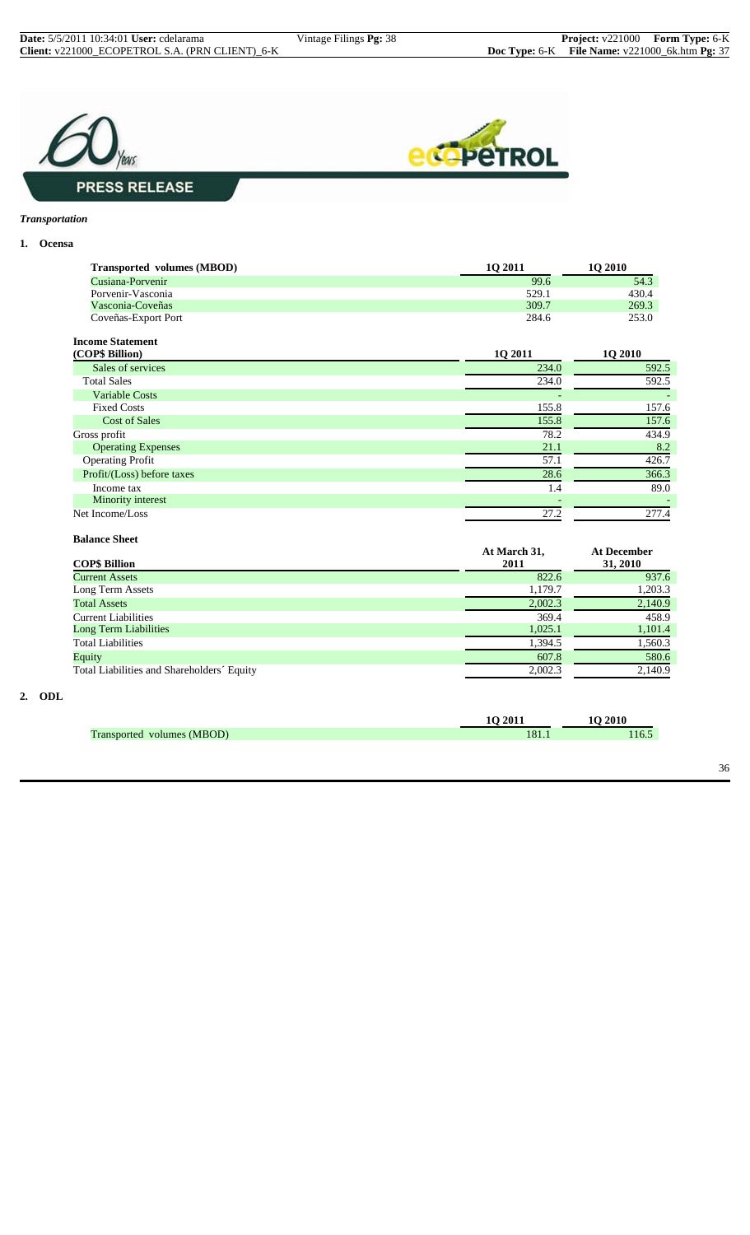



#### *Transportation*

#### **1. Ocensa**

| <b>Transported volumes (MBOD)</b> | 10 2011 | 10 2010 |
|-----------------------------------|---------|---------|
| Cusiana-Porvenir                  | 99.6    | 54.3    |
| Porvenir-Vasconia                 | 529.1   | 430.4   |
| Vasconia-Coveñas                  | 309.7   | 269.3   |
| Coveñas-Export Port               | 284.6   | 253.0   |

| <b>Income Statement</b> |                 |
|-------------------------|-----------------|
| $(COP \&$ Rillian)      | 1 $\Omega$ 2011 |

| (COP\$ Billion)            | 1Q 2011                  | 1Q 2010                  |
|----------------------------|--------------------------|--------------------------|
| Sales of services          | 234.0                    | 592.5                    |
| <b>Total Sales</b>         | 234.0                    | 592.5                    |
| <b>Variable Costs</b>      | $\overline{\phantom{0}}$ | $\overline{\phantom{0}}$ |
| <b>Fixed Costs</b>         | 155.8                    | 157.6                    |
| <b>Cost of Sales</b>       | 155.8                    | 157.6                    |
| Gross profit               | 78.2                     | 434.9                    |
| <b>Operating Expenses</b>  | 21.1                     | 8.2                      |
| <b>Operating Profit</b>    | 57.1                     | 426.7                    |
| Profit/(Loss) before taxes | 28.6                     | 366.3                    |
| Income tax                 | 1.4                      | 89.0                     |
| Minority interest          |                          |                          |
| Net Income/Loss            | 27.2                     | 277.4                    |

#### **Balance Sheet**

| <b>COP\$ Billion</b>                       | At March 31,<br>2011 | <b>At December</b><br>31, 2010 |
|--------------------------------------------|----------------------|--------------------------------|
|                                            |                      |                                |
| <b>Current Assets</b>                      | 822.6                | 937.6                          |
| Long Term Assets                           | 1,179.7              | 1,203.3                        |
| <b>Total Assets</b>                        | 2,002.3              | 2,140.9                        |
| <b>Current Liabilities</b>                 | 369.4                | 458.9                          |
| <b>Long Term Liabilities</b>               | 1,025.1              | 1,101.4                        |
| <b>Total Liabilities</b>                   | 1,394.5              | 1,560.3                        |
| Equity                                     | 607.8                | 580.6                          |
| Total Liabilities and Shareholders' Equity | 2.002.3              | 2,140.9                        |

#### **2. ODL**

|   | ንበ<br>. . | 2010<br>__ |
|---|-----------|------------|
| . |           | O.,        |
|   |           |            |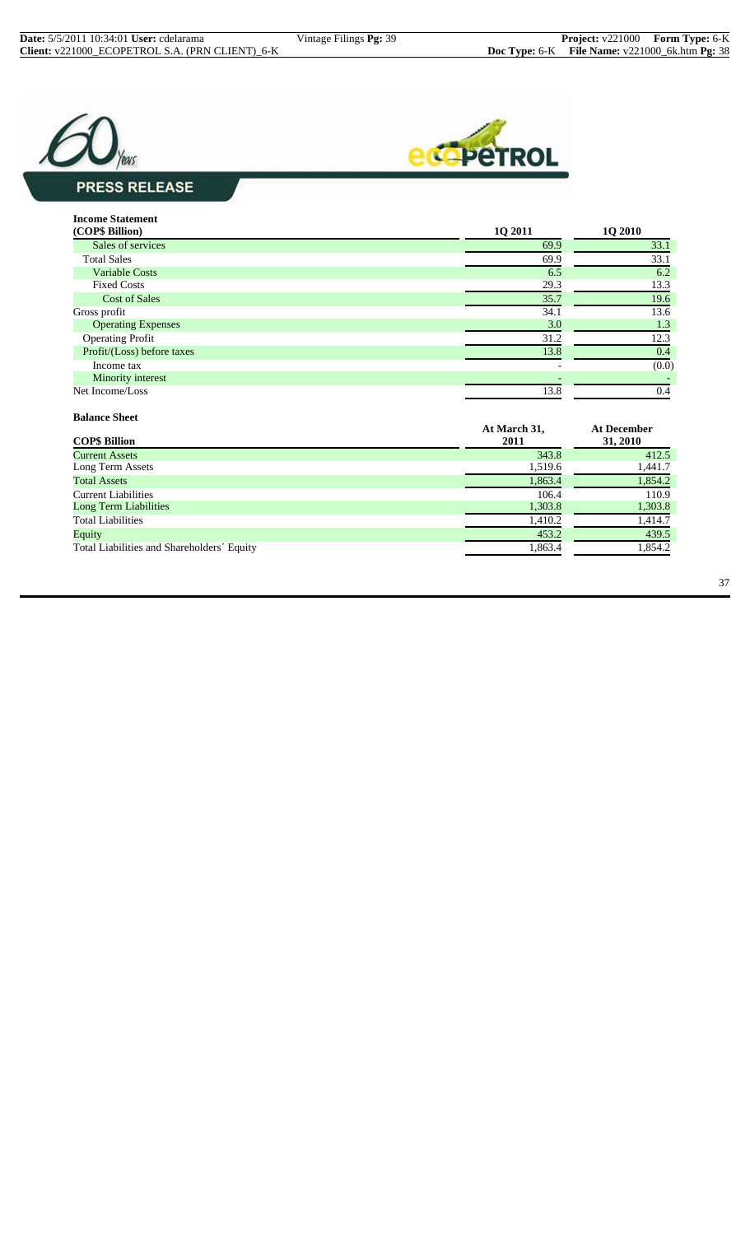



# **PRESS RELEASE**

| <b>Income Statement</b><br>(COP\$ Billion) | <b>10 2011</b> | <b>1Q 2010</b> |
|--------------------------------------------|----------------|----------------|
| Sales of services                          | 69.9           | 33.1           |
| <b>Total Sales</b>                         | 69.9           | 33.1           |
| <b>Variable Costs</b>                      | 6.5            | 6.2            |
| <b>Fixed Costs</b>                         | 29.3           | 13.3           |
| <b>Cost of Sales</b>                       | 35.7           | 19.6           |
| Gross profit                               | 34.1           | 13.6           |
| <b>Operating Expenses</b>                  | 3.0            | 1.3            |
| <b>Operating Profit</b>                    | 31.2           | 12.3           |
| Profit/(Loss) before taxes                 | 13.8           | 0.4            |
| Income tax                                 |                | (0.0)          |
| Minority interest                          |                |                |
| Net Income/Loss                            | 13.8           | 0.4            |

| <b>Balance Sheet</b>                       |              |                    |
|--------------------------------------------|--------------|--------------------|
|                                            | At March 31, | <b>At December</b> |
| <b>COP\$ Billion</b>                       | 2011         | 31, 2010           |
| <b>Current Assets</b>                      | 343.8        | 412.5              |
| Long Term Assets                           | 1,519.6      | 1,441.7            |
| <b>Total Assets</b>                        | 1,863.4      | 1,854.2            |
| <b>Current Liabilities</b>                 | 106.4        | 110.9              |
| Long Term Liabilities                      | 1,303.8      | 1,303.8            |
| <b>Total Liabilities</b>                   | 1,410.2      | 1,414.7            |
| Equity                                     | 453.2        | 439.5              |
| Total Liabilities and Shareholders' Equity | 1,863.4      | 1,854.2            |
|                                            |              |                    |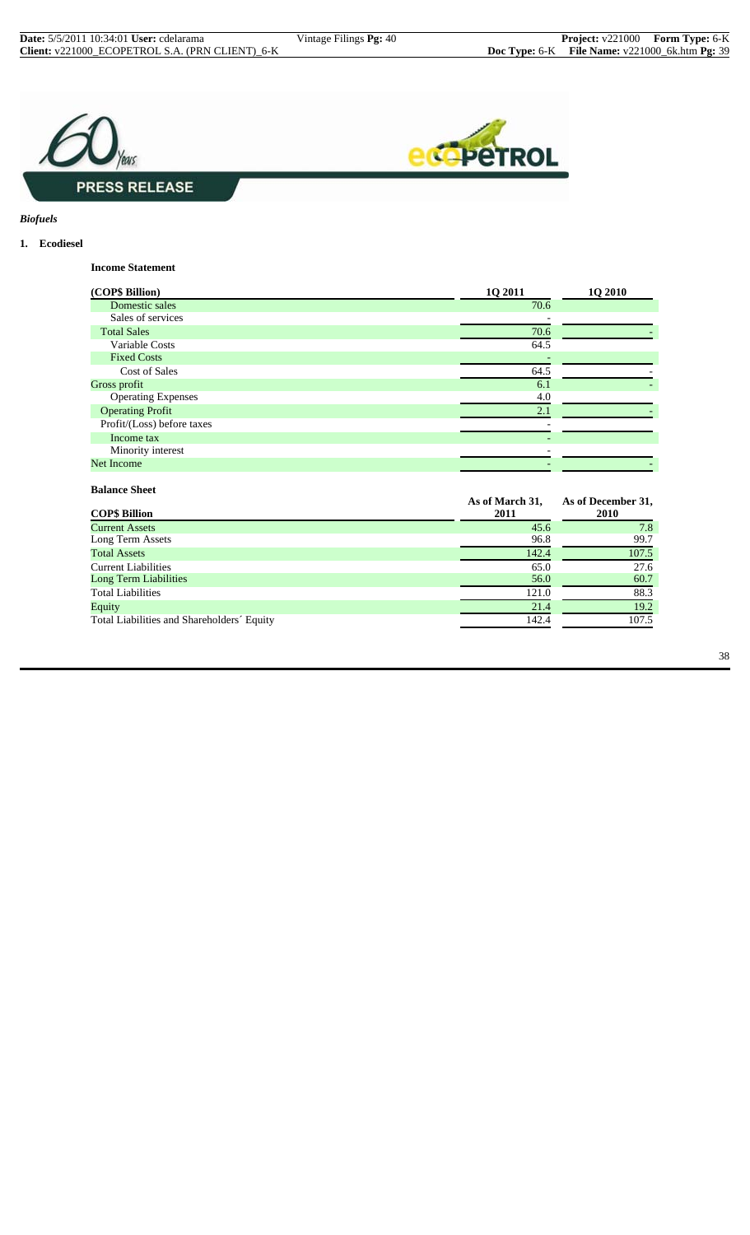



*Biofuels*

#### **1. Ecodiesel**

**Income Statement**

| (COP\$ Billion)            | 10 2011                 | <b>10 2010</b>             |
|----------------------------|-------------------------|----------------------------|
| Domestic sales             | 70.6                    |                            |
| Sales of services          |                         |                            |
| <b>Total Sales</b>         | 70.6                    |                            |
| Variable Costs             | 64.5                    |                            |
| <b>Fixed Costs</b>         |                         |                            |
| Cost of Sales              | 64.5                    |                            |
| Gross profit               | 6.1                     |                            |
| <b>Operating Expenses</b>  | 4.0                     |                            |
| <b>Operating Profit</b>    | 2.1                     |                            |
| Profit/(Loss) before taxes |                         |                            |
| Income tax                 |                         |                            |
| Minority interest          |                         |                            |
| <b>Net Income</b>          |                         |                            |
| <b>Balance Sheet</b>       |                         |                            |
| <b>COP\$ Billion</b>       | As of March 31,<br>2011 | As of December 31,<br>2010 |
| <b>Current Assets</b>      | 45.6                    | 7.8                        |
| Long Torm Assats           | 06.8                    | 007                        |

| <b>Current Assets</b>                      | 45.6  | 7.8   |
|--------------------------------------------|-------|-------|
| Long Term Assets                           | 96.8  | 99.7  |
| <b>Total Assets</b>                        | 142.4 | 107.5 |
| <b>Current Liabilities</b>                 | 65.0  | 27.6  |
| <b>Long Term Liabilities</b>               | 56.0  | 60.7  |
| <b>Total Liabilities</b>                   | 121.0 | 88.3  |
| Equity                                     | 21.4  | 19.2  |
| Total Liabilities and Shareholders' Equity | 142.4 | 107.5 |
|                                            |       |       |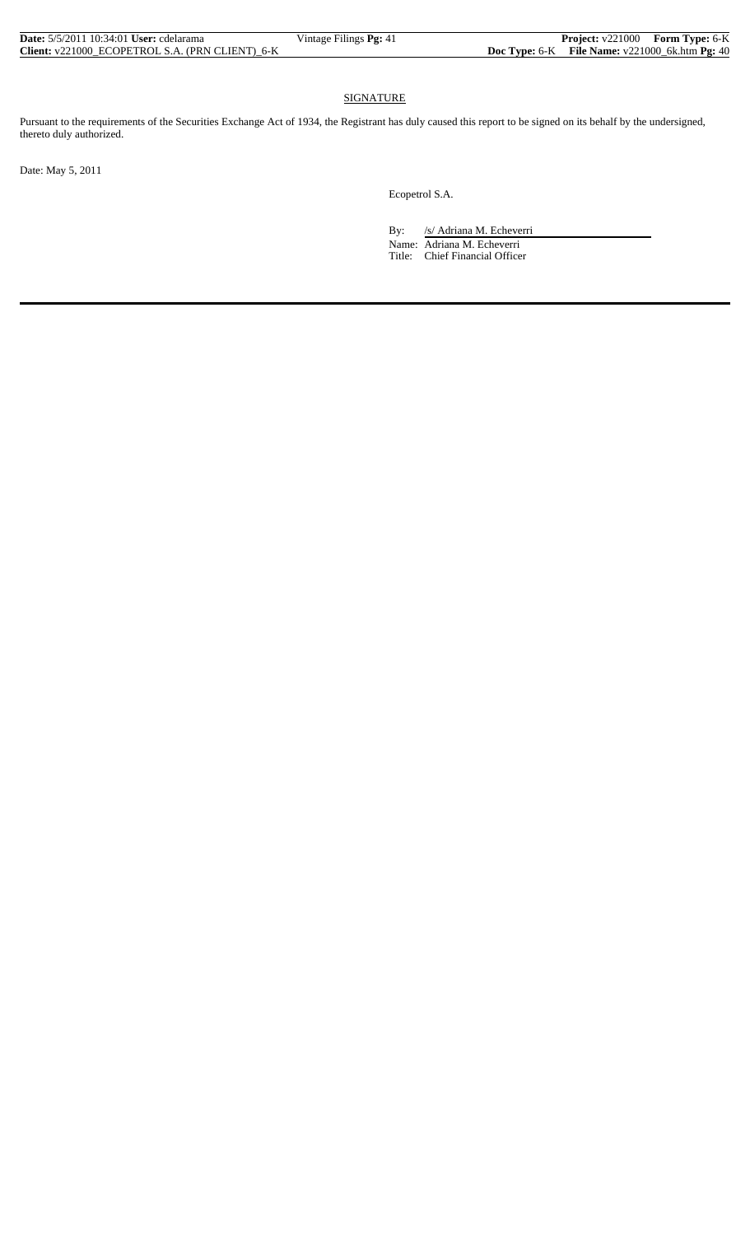| <b>Date:</b> 5/5/2011 10:34:01 <b>User:</b> cdelarama | Vintage Filings <b>Pg:</b> 41 | <b>Project:</b> v221000 Form Type: 6-K             |  |
|-------------------------------------------------------|-------------------------------|----------------------------------------------------|--|
| Client: v221000 ECOPETROL S.A. (PRN CLIENT) 6-K       |                               | Doc Type: $6-K$ File Name: $v221000$ 6k.htm Pg: 40 |  |

#### **SIGNATURE**

Pursuant to the requirements of the Securities Exchange Act of 1934, the Registrant has duly caused this report to be signed on its behalf by the undersigned, thereto duly authorized.

Date: May 5, 2011

Ecopetrol S.A.

By: /s/ Adriana M. Echeverri Name: Adriana M. Echeverri Title: Chief Financial Officer